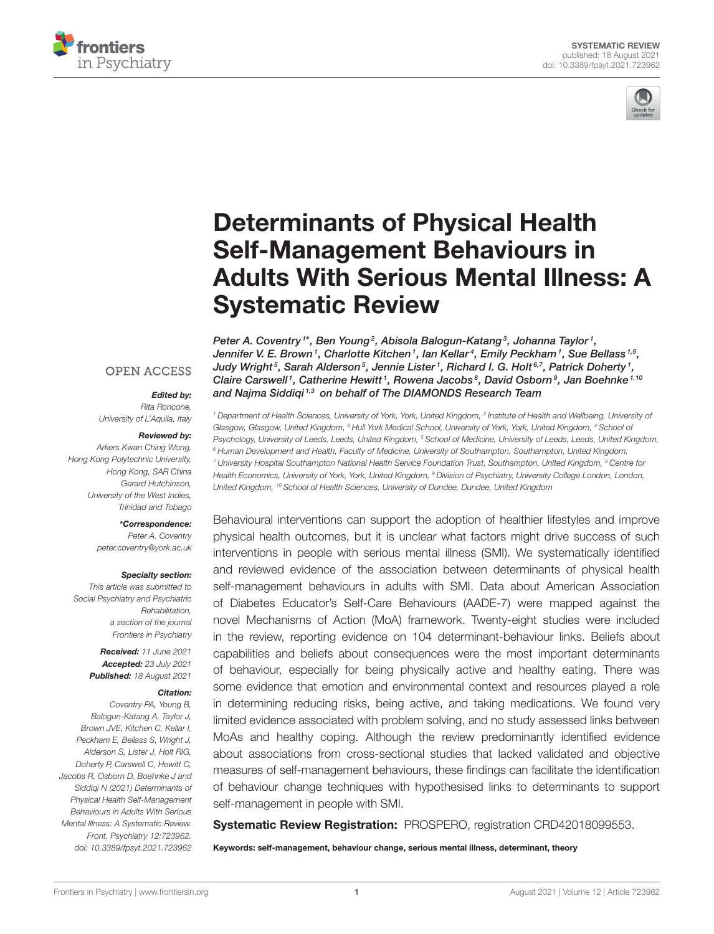



# Determinants of Physical Health Self-Management Behaviours in [Adults With Serious Mental Illness: A](https://www.frontiersin.org/articles/10.3389/fpsyt.2021.723962/full) Systematic Review

Peter A. Coventry  $^{\text{!}*}$ , Ben Young  $^{\text{2}}$ , Abisola Balogun-Katang  $^{\text{3}}$ , Johanna Taylor  $^{\text{!}},$ Jennifer V. E. Brown1, Charlotte Kitchen1, Ian Kellar4, Emily Peckham1, Sue Bellass1,5, Judy Wright $^5$ , Sarah Alderson $^5$ , Jennie Lister $^1$ , Richard I. G. Holt $^{6,7}$ , Patrick Doherty $^1$ , Claire Carswell<sup>1</sup>, Catherine Hewitt<sup>1</sup>, Rowena Jacobs<sup>8</sup>, David Osborn<sup>9</sup>, Jan Boehnke<sup>1,10</sup> and Najma Siddiqi<sup>1,3</sup> on behalf of The DIAMONDS Research Team

# **OPEN ACCESS**

### Edited by:

*Rita Roncone, University of L'Aquila, Italy*

#### Reviewed by:

*Arkers Kwan Ching Wong, Hong Kong Polytechnic University, Hong Kong, SAR China Gerard Hutchinson, University of the West Indies, Trinidad and Tobago*

#### \*Correspondence:

*Peter A. Coventry [peter.coventry@york.ac.uk](mailto:peter.coventry@york.ac.uk)*

#### Specialty section:

*This article was submitted to Social Psychiatry and Psychiatric Rehabilitation, a section of the journal Frontiers in Psychiatry*

> Received: *11 June 2021* Accepted: *23 July 2021* Published: *18 August 2021*

#### Citation:

*Coventry PA, Young B, Balogun-Katang A, Taylor J, Brown JVE, Kitchen C, Kellar I, Peckham E, Bellass S, Wright J, Alderson S, Lister J, Holt RIG, Doherty P, Carswell C, Hewitt C, Jacobs R, Osborn D, Boehnke J and Siddiqi N (2021) Determinants of Physical Health Self-Management Behaviours in Adults With Serious Mental Illness: A Systematic Review. Front. Psychiatry 12:723962. doi: [10.3389/fpsyt.2021.723962](https://doi.org/10.3389/fpsyt.2021.723962)*

*<sup>1</sup> Department of Health Sciences, University of York, York, United Kingdom, <sup>2</sup> Institute of Health and Wellbeing, University of Glasgow, Glasgow, United Kingdom, <sup>3</sup> Hull York Medical School, University of York, York, United Kingdom, <sup>4</sup> School of Psychology, University of Leeds, Leeds, United Kingdom, <sup>5</sup> School of Medicine, University of Leeds, Leeds, United Kingdom, <sup>6</sup> Human Development and Health, Faculty of Medicine, University of Southampton, Southampton, United Kingdom, <sup>7</sup> University Hospital Southampton National Health Service Foundation Trust, Southampton, United Kingdom, <sup>8</sup> Centre for Health Economics, University of York, York, United Kingdom, <sup>9</sup> Division of Psychiatry, University College London, London, United Kingdom, <sup>10</sup> School of Health Sciences, University of Dundee, Dundee, United Kingdom*

Behavioural interventions can support the adoption of healthier lifestyles and improve physical health outcomes, but it is unclear what factors might drive success of such interventions in people with serious mental illness (SMI). We systematically identified and reviewed evidence of the association between determinants of physical health self-management behaviours in adults with SMI. Data about American Association of Diabetes Educator's Self-Care Behaviours (AADE-7) were mapped against the novel Mechanisms of Action (MoA) framework. Twenty-eight studies were included in the review, reporting evidence on 104 determinant-behaviour links. Beliefs about capabilities and beliefs about consequences were the most important determinants of behaviour, especially for being physically active and healthy eating. There was some evidence that emotion and environmental context and resources played a role in determining reducing risks, being active, and taking medications. We found very limited evidence associated with problem solving, and no study assessed links between MoAs and healthy coping. Although the review predominantly identified evidence about associations from cross-sectional studies that lacked validated and objective measures of self-management behaviours, these findings can facilitate the identification of behaviour change techniques with hypothesised links to determinants to support self-management in people with SMI.

Systematic Review Registration: PROSPERO, registration CRD42018099553.

Keywords: self-management, behaviour change, serious mental illness, determinant, theory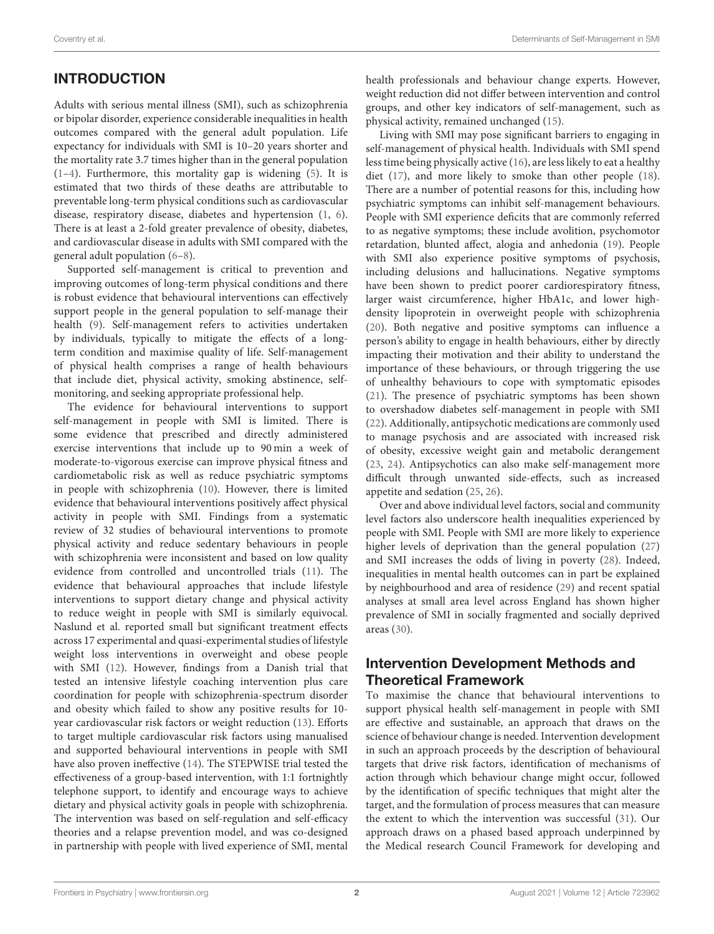## INTRODUCTION

Adults with serious mental illness (SMI), such as schizophrenia or bipolar disorder, experience considerable inequalities in health outcomes compared with the general adult population. Life expectancy for individuals with SMI is 10–20 years shorter and the mortality rate 3.7 times higher than in the general population [\(1–](#page-22-0)[4\)](#page-23-0). Furthermore, this mortality gap is widening [\(5\)](#page-23-1). It is estimated that two thirds of these deaths are attributable to preventable long-term physical conditions such as cardiovascular disease, respiratory disease, diabetes and hypertension [\(1,](#page-22-0) [6\)](#page-23-2). There is at least a 2-fold greater prevalence of obesity, diabetes, and cardiovascular disease in adults with SMI compared with the general adult population [\(6–](#page-23-2)[8\)](#page-23-3).

Supported self-management is critical to prevention and improving outcomes of long-term physical conditions and there is robust evidence that behavioural interventions can effectively support people in the general population to self-manage their health [\(9\)](#page-23-4). Self-management refers to activities undertaken by individuals, typically to mitigate the effects of a longterm condition and maximise quality of life. Self-management of physical health comprises a range of health behaviours that include diet, physical activity, smoking abstinence, selfmonitoring, and seeking appropriate professional help.

The evidence for behavioural interventions to support self-management in people with SMI is limited. There is some evidence that prescribed and directly administered exercise interventions that include up to 90 min a week of moderate-to-vigorous exercise can improve physical fitness and cardiometabolic risk as well as reduce psychiatric symptoms in people with schizophrenia [\(10\)](#page-23-5). However, there is limited evidence that behavioural interventions positively affect physical activity in people with SMI. Findings from a systematic review of 32 studies of behavioural interventions to promote physical activity and reduce sedentary behaviours in people with schizophrenia were inconsistent and based on low quality evidence from controlled and uncontrolled trials [\(11\)](#page-23-6). The evidence that behavioural approaches that include lifestyle interventions to support dietary change and physical activity to reduce weight in people with SMI is similarly equivocal. Naslund et al. reported small but significant treatment effects across 17 experimental and quasi-experimental studies of lifestyle weight loss interventions in overweight and obese people with SMI [\(12\)](#page-23-7). However, findings from a Danish trial that tested an intensive lifestyle coaching intervention plus care coordination for people with schizophrenia-spectrum disorder and obesity which failed to show any positive results for 10 year cardiovascular risk factors or weight reduction [\(13\)](#page-23-8). Efforts to target multiple cardiovascular risk factors using manualised and supported behavioural interventions in people with SMI have also proven ineffective [\(14\)](#page-23-9). The STEPWISE trial tested the effectiveness of a group-based intervention, with 1:1 fortnightly telephone support, to identify and encourage ways to achieve dietary and physical activity goals in people with schizophrenia. The intervention was based on self-regulation and self-efficacy theories and a relapse prevention model, and was co-designed in partnership with people with lived experience of SMI, mental

health professionals and behaviour change experts. However, weight reduction did not differ between intervention and control groups, and other key indicators of self-management, such as physical activity, remained unchanged [\(15\)](#page-23-10).

Living with SMI may pose significant barriers to engaging in self-management of physical health. Individuals with SMI spend less time being physically active [\(16\)](#page-23-11), are less likely to eat a healthy diet [\(17\)](#page-23-12), and more likely to smoke than other people [\(18\)](#page-23-13). There are a number of potential reasons for this, including how psychiatric symptoms can inhibit self-management behaviours. People with SMI experience deficits that are commonly referred to as negative symptoms; these include avolition, psychomotor retardation, blunted affect, alogia and anhedonia [\(19\)](#page-23-14). People with SMI also experience positive symptoms of psychosis, including delusions and hallucinations. Negative symptoms have been shown to predict poorer cardiorespiratory fitness, larger waist circumference, higher HbA1c, and lower highdensity lipoprotein in overweight people with schizophrenia [\(20\)](#page-23-15). Both negative and positive symptoms can influence a person's ability to engage in health behaviours, either by directly impacting their motivation and their ability to understand the importance of these behaviours, or through triggering the use of unhealthy behaviours to cope with symptomatic episodes [\(21\)](#page-23-16). The presence of psychiatric symptoms has been shown to overshadow diabetes self-management in people with SMI [\(22\)](#page-23-17). Additionally, antipsychotic medications are commonly used to manage psychosis and are associated with increased risk of obesity, excessive weight gain and metabolic derangement [\(23,](#page-23-18) [24\)](#page-23-19). Antipsychotics can also make self-management more difficult through unwanted side-effects, such as increased appetite and sedation [\(25,](#page-23-20) [26\)](#page-23-21).

Over and above individual level factors, social and community level factors also underscore health inequalities experienced by people with SMI. People with SMI are more likely to experience higher levels of deprivation than the general population [\(27\)](#page-23-22) and SMI increases the odds of living in poverty [\(28\)](#page-23-23). Indeed, inequalities in mental health outcomes can in part be explained by neighbourhood and area of residence [\(29\)](#page-23-24) and recent spatial analyses at small area level across England has shown higher prevalence of SMI in socially fragmented and socially deprived areas [\(30\)](#page-23-25).

## Intervention Development Methods and Theoretical Framework

To maximise the chance that behavioural interventions to support physical health self-management in people with SMI are effective and sustainable, an approach that draws on the science of behaviour change is needed. Intervention development in such an approach proceeds by the description of behavioural targets that drive risk factors, identification of mechanisms of action through which behaviour change might occur, followed by the identification of specific techniques that might alter the target, and the formulation of process measures that can measure the extent to which the intervention was successful [\(31\)](#page-23-26). Our approach draws on a phased based approach underpinned by the Medical research Council Framework for developing and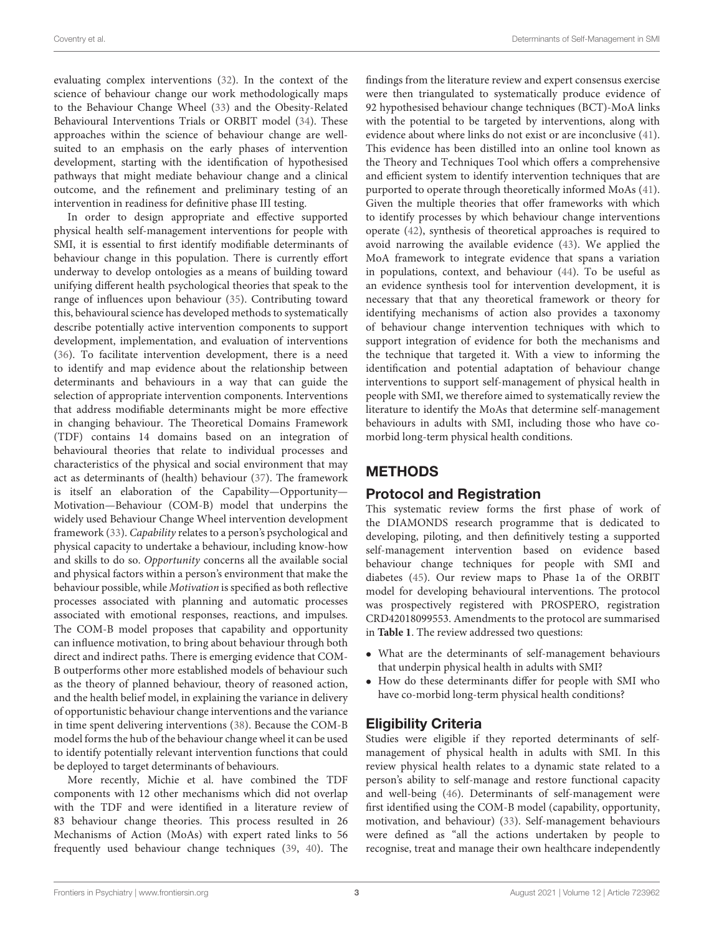evaluating complex interventions [\(32\)](#page-23-27). In the context of the science of behaviour change our work methodologically maps to the Behaviour Change Wheel [\(33\)](#page-23-28) and the Obesity-Related Behavioural Interventions Trials or ORBIT model [\(34\)](#page-23-29). These approaches within the science of behaviour change are wellsuited to an emphasis on the early phases of intervention development, starting with the identification of hypothesised pathways that might mediate behaviour change and a clinical outcome, and the refinement and preliminary testing of an intervention in readiness for definitive phase III testing.

In order to design appropriate and effective supported physical health self-management interventions for people with SMI, it is essential to first identify modifiable determinants of behaviour change in this population. There is currently effort underway to develop ontologies as a means of building toward unifying different health psychological theories that speak to the range of influences upon behaviour [\(35\)](#page-23-30). Contributing toward this, behavioural science has developed methods to systematically describe potentially active intervention components to support development, implementation, and evaluation of interventions [\(36\)](#page-23-31). To facilitate intervention development, there is a need to identify and map evidence about the relationship between determinants and behaviours in a way that can guide the selection of appropriate intervention components. Interventions that address modifiable determinants might be more effective in changing behaviour. The Theoretical Domains Framework (TDF) contains 14 domains based on an integration of behavioural theories that relate to individual processes and characteristics of the physical and social environment that may act as determinants of (health) behaviour [\(37\)](#page-23-32). The framework is itself an elaboration of the Capability—Opportunity— Motivation—Behaviour (COM-B) model that underpins the widely used Behaviour Change Wheel intervention development framework [\(33\)](#page-23-28). Capability relates to a person's psychological and physical capacity to undertake a behaviour, including know-how and skills to do so. Opportunity concerns all the available social and physical factors within a person's environment that make the behaviour possible, while Motivation is specified as both reflective processes associated with planning and automatic processes associated with emotional responses, reactions, and impulses. The COM-B model proposes that capability and opportunity can influence motivation, to bring about behaviour through both direct and indirect paths. There is emerging evidence that COM-B outperforms other more established models of behaviour such as the theory of planned behaviour, theory of reasoned action, and the health belief model, in explaining the variance in delivery of opportunistic behaviour change interventions and the variance in time spent delivering interventions [\(38\)](#page-23-33). Because the COM-B model forms the hub of the behaviour change wheel it can be used to identify potentially relevant intervention functions that could be deployed to target determinants of behaviours.

More recently, Michie et al. have combined the TDF components with 12 other mechanisms which did not overlap with the TDF and were identified in a literature review of 83 behaviour change theories. This process resulted in 26 Mechanisms of Action (MoAs) with expert rated links to 56 frequently used behaviour change techniques [\(39,](#page-24-0) [40\)](#page-24-1). The findings from the literature review and expert consensus exercise were then triangulated to systematically produce evidence of 92 hypothesised behaviour change techniques (BCT)-MoA links with the potential to be targeted by interventions, along with evidence about where links do not exist or are inconclusive [\(41\)](#page-24-2). This evidence has been distilled into an online tool known as the Theory and Techniques Tool which offers a comprehensive and efficient system to identify intervention techniques that are purported to operate through theoretically informed MoAs [\(41\)](#page-24-2). Given the multiple theories that offer frameworks with which to identify processes by which behaviour change interventions operate [\(42\)](#page-24-3), synthesis of theoretical approaches is required to avoid narrowing the available evidence [\(43\)](#page-24-4). We applied the MoA framework to integrate evidence that spans a variation in populations, context, and behaviour [\(44\)](#page-24-5). To be useful as an evidence synthesis tool for intervention development, it is necessary that that any theoretical framework or theory for identifying mechanisms of action also provides a taxonomy of behaviour change intervention techniques with which to support integration of evidence for both the mechanisms and the technique that targeted it. With a view to informing the identification and potential adaptation of behaviour change interventions to support self-management of physical health in people with SMI, we therefore aimed to systematically review the literature to identify the MoAs that determine self-management behaviours in adults with SMI, including those who have comorbid long-term physical health conditions.

## **METHODS**

## Protocol and Registration

This systematic review forms the first phase of work of the DIAMONDS research programme that is dedicated to developing, piloting, and then definitively testing a supported self-management intervention based on evidence based behaviour change techniques for people with SMI and diabetes [\(45\)](#page-24-6). Our review maps to Phase 1a of the ORBIT model for developing behavioural interventions. The protocol was prospectively registered with PROSPERO, registration CRD42018099553. Amendments to the protocol are summarised in **[Table 1](#page-3-0)**. The review addressed two questions:

- What are the determinants of self-management behaviours that underpin physical health in adults with SMI?
- How do these determinants differ for people with SMI who have co-morbid long-term physical health conditions?

## Eligibility Criteria

Studies were eligible if they reported determinants of selfmanagement of physical health in adults with SMI. In this review physical health relates to a dynamic state related to a person's ability to self-manage and restore functional capacity and well-being [\(46\)](#page-24-7). Determinants of self-management were first identified using the COM-B model (capability, opportunity, motivation, and behaviour) [\(33\)](#page-23-28). Self-management behaviours were defined as "all the actions undertaken by people to recognise, treat and manage their own healthcare independently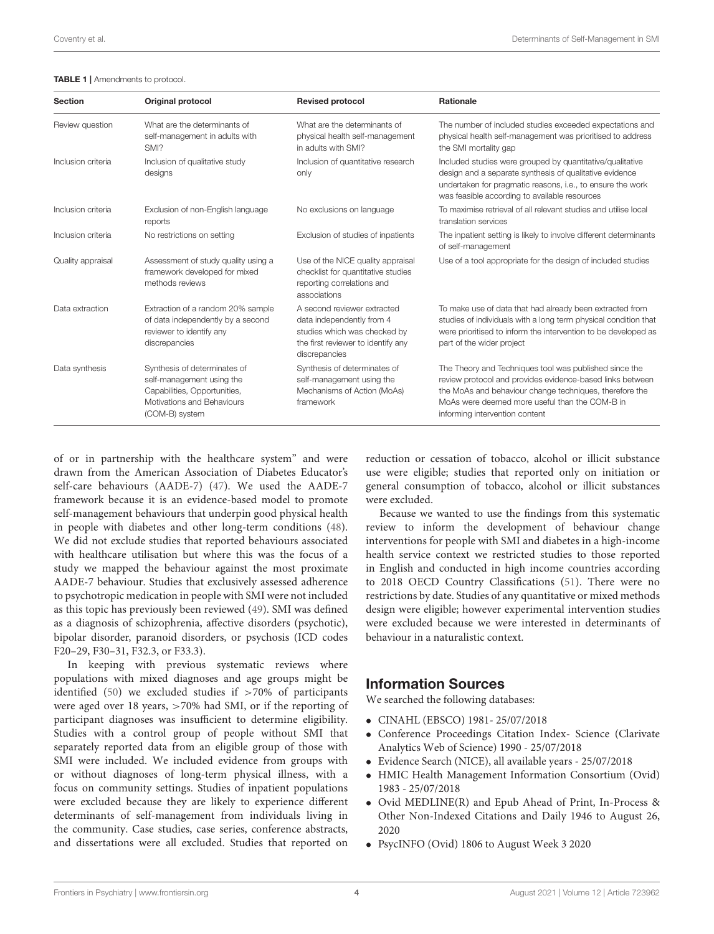#### <span id="page-3-0"></span>TABLE 1 | Amendments to protocol.

| <b>Section</b>     | <b>Original protocol</b>                                                                                                                  | <b>Revised protocol</b>                                                                                                                         | <b>Rationale</b>                                                                                                                                                                                                                                                   |
|--------------------|-------------------------------------------------------------------------------------------------------------------------------------------|-------------------------------------------------------------------------------------------------------------------------------------------------|--------------------------------------------------------------------------------------------------------------------------------------------------------------------------------------------------------------------------------------------------------------------|
| Review question    | What are the determinants of<br>self-management in adults with<br>SMI?                                                                    | What are the determinants of<br>physical health self-management<br>in adults with SMI?                                                          | The number of included studies exceeded expectations and<br>physical health self-management was prioritised to address<br>the SMI mortality gap                                                                                                                    |
| Inclusion criteria | Inclusion of qualitative study<br>designs                                                                                                 | Inclusion of quantitative research<br>only                                                                                                      | Included studies were grouped by quantitative/qualitative<br>design and a separate synthesis of qualitative evidence<br>undertaken for pragmatic reasons, i.e., to ensure the work<br>was feasible according to available resources                                |
| Inclusion criteria | Exclusion of non-English language<br>reports                                                                                              | No exclusions on language                                                                                                                       | To maximise retrieval of all relevant studies and utilise local<br>translation services                                                                                                                                                                            |
| Inclusion criteria | No restrictions on setting                                                                                                                | Exclusion of studies of inpatients                                                                                                              | The inpatient setting is likely to involve different determinants<br>of self-management                                                                                                                                                                            |
| Quality appraisal  | Assessment of study quality using a<br>framework developed for mixed<br>methods reviews                                                   | Use of the NICE quality appraisal<br>checklist for quantitative studies<br>reporting correlations and<br>associations                           | Use of a tool appropriate for the design of included studies                                                                                                                                                                                                       |
| Data extraction    | Extraction of a random 20% sample<br>of data independently by a second<br>reviewer to identify any<br>discrepancies                       | A second reviewer extracted<br>data independently from 4<br>studies which was checked by<br>the first reviewer to identify any<br>discrepancies | To make use of data that had already been extracted from<br>studies of individuals with a long term physical condition that<br>were prioritised to inform the intervention to be developed as<br>part of the wider project                                         |
| Data synthesis     | Synthesis of determinates of<br>self-management using the<br>Capabilities, Opportunities,<br>Motivations and Behaviours<br>(COM-B) system | Synthesis of determinates of<br>self-management using the<br>Mechanisms of Action (MoAs)<br>framework                                           | The Theory and Techniques tool was published since the<br>review protocol and provides evidence-based links between<br>the MoAs and behaviour change techniques, therefore the<br>MoAs were deemed more useful than the COM-B in<br>informing intervention content |

of or in partnership with the healthcare system" and were drawn from the American Association of Diabetes Educator's self-care behaviours (AADE-7) [\(47\)](#page-24-8). We used the AADE-7 framework because it is an evidence-based model to promote self-management behaviours that underpin good physical health in people with diabetes and other long-term conditions [\(48\)](#page-24-9). We did not exclude studies that reported behaviours associated with healthcare utilisation but where this was the focus of a study we mapped the behaviour against the most proximate AADE-7 behaviour. Studies that exclusively assessed adherence to psychotropic medication in people with SMI were not included as this topic has previously been reviewed [\(49\)](#page-24-10). SMI was defined as a diagnosis of schizophrenia, affective disorders (psychotic), bipolar disorder, paranoid disorders, or psychosis (ICD codes F20–29, F30–31, F32.3, or F33.3).

In keeping with previous systematic reviews where populations with mixed diagnoses and age groups might be identified [\(50\)](#page-24-11) we excluded studies if >70% of participants were aged over 18 years, >70% had SMI, or if the reporting of participant diagnoses was insufficient to determine eligibility. Studies with a control group of people without SMI that separately reported data from an eligible group of those with SMI were included. We included evidence from groups with or without diagnoses of long-term physical illness, with a focus on community settings. Studies of inpatient populations were excluded because they are likely to experience different determinants of self-management from individuals living in the community. Case studies, case series, conference abstracts, and dissertations were all excluded. Studies that reported on reduction or cessation of tobacco, alcohol or illicit substance use were eligible; studies that reported only on initiation or general consumption of tobacco, alcohol or illicit substances were excluded.

Because we wanted to use the findings from this systematic review to inform the development of behaviour change interventions for people with SMI and diabetes in a high-income health service context we restricted studies to those reported in English and conducted in high income countries according to 2018 OECD Country Classifications [\(51\)](#page-24-12). There were no restrictions by date. Studies of any quantitative or mixed methods design were eligible; however experimental intervention studies were excluded because we were interested in determinants of behaviour in a naturalistic context.

## Information Sources

We searched the following databases:

- CINAHL (EBSCO) 1981- 25/07/2018
- Conference Proceedings Citation Index- Science (Clarivate Analytics Web of Science) 1990 - 25/07/2018
- Evidence Search (NICE), all available years 25/07/2018
- HMIC Health Management Information Consortium (Ovid) 1983 - 25/07/2018
- Ovid MEDLINE(R) and Epub Ahead of Print, In-Process & Other Non-Indexed Citations and Daily 1946 to August 26, 2020
- PsycINFO (Ovid) 1806 to August Week 3 2020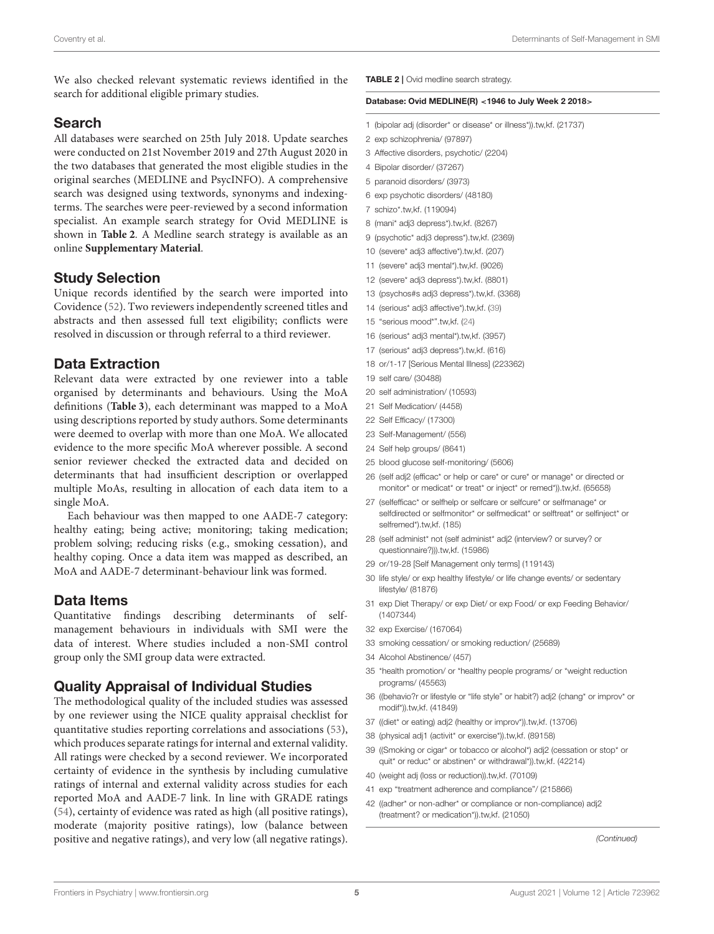We also checked relevant systematic reviews identified in the search for additional eligible primary studies.

### Search

All databases were searched on 25th July 2018. Update searches were conducted on 21st November 2019 and 27th August 2020 in the two databases that generated the most eligible studies in the original searches (MEDLINE and PsycINFO). A comprehensive search was designed using textwords, synonyms and indexingterms. The searches were peer-reviewed by a second information specialist. An example search strategy for Ovid MEDLINE is shown in **[Table 2](#page-4-0)**. A Medline search strategy is available as an online **[Supplementary Material](#page-22-1)**.

### Study Selection

Unique records identified by the search were imported into Covidence [\(52\)](#page-24-13). Two reviewers independently screened titles and abstracts and then assessed full text eligibility; conflicts were resolved in discussion or through referral to a third reviewer.

## Data Extraction

Relevant data were extracted by one reviewer into a table organised by determinants and behaviours. Using the MoA definitions (**[Table 3](#page-6-0)**), each determinant was mapped to a MoA using descriptions reported by study authors. Some determinants were deemed to overlap with more than one MoA. We allocated evidence to the more specific MoA wherever possible. A second senior reviewer checked the extracted data and decided on determinants that had insufficient description or overlapped multiple MoAs, resulting in allocation of each data item to a single MoA.

Each behaviour was then mapped to one AADE-7 category: healthy eating; being active; monitoring; taking medication; problem solving; reducing risks (e.g., smoking cessation), and healthy coping. Once a data item was mapped as described, an MoA and AADE-7 determinant-behaviour link was formed.

## Data Items

Quantitative findings describing determinants of selfmanagement behaviours in individuals with SMI were the data of interest. Where studies included a non-SMI control group only the SMI group data were extracted.

## Quality Appraisal of Individual Studies

The methodological quality of the included studies was assessed by one reviewer using the NICE quality appraisal checklist for quantitative studies reporting correlations and associations [\(53\)](#page-24-14), which produces separate ratings for internal and external validity. All ratings were checked by a second reviewer. We incorporated certainty of evidence in the synthesis by including cumulative ratings of internal and external validity across studies for each reported MoA and AADE-7 link. In line with GRADE ratings [\(54\)](#page-24-15), certainty of evidence was rated as high (all positive ratings), moderate (majority positive ratings), low (balance between positive and negative ratings), and very low (all negative ratings). <span id="page-4-0"></span>TABLE 2 | Ovid medline search strategy.

#### Database: Ovid MEDLINE(R) <1946 to July Week 2 2018>

- 1 (bipolar adj (disorder\* or disease\* or illness\*)).tw,kf. (21737)
- 2 exp schizophrenia/ (97897)
- 3 Affective disorders, psychotic/ (2204)
- 4 Bipolar disorder/ (37267)
- 5 paranoid disorders/ (3973)
- 6 exp psychotic disorders/ (48180)
- 7 schizo\*.tw,kf. (119094)
- 8 (mani\* adj3 depress\*).tw,kf. (8267)
- 9 (psychotic\* adj3 depress\*).tw,kf. (2369)
- 10 (severe\* adj3 affective\*).tw,kf. (207)
- 11 (severe\* adj3 mental\*).tw,kf. (9026)
- 12 (severe\* adj3 depress\*).tw,kf. (8801)
- 13 (psychos#s adj3 depress\*).tw,kf. (3368)
- 14 (serious\* adj3 affective\*).tw,kf. [\(39\)](#page-24-0)
- 15 "serious mood\*".tw,kf. [\(24\)](#page-23-19)
- 16 (serious\* adj3 mental\*).tw,kf. (3957)
- 17 (serious\* adj3 depress\*).tw,kf. (616)
- 18 or/1-17 [Serious Mental Illness] (223362)
- 19 self care/ (30488)
- 20 self administration/ (10593)
- 21 Self Medication/ (4458)
- 22 Self Efficacy/ (17300)
- 23 Self-Management/ (556)
- 24 Self help groups/ (8641)
- 25 blood glucose self-monitoring/ (5606)
- 26 (self adj2 (efficac\* or help or care\* or cure\* or manage\* or directed or monitor\* or medicat\* or treat\* or inject\* or remed\*)).tw,kf. (65658)
- 27 (selfefficac\* or selfhelp or selfcare or selfcure\* or selfmanage\* or selfdirected or selfmonitor\* or selfmedicat\* or selftreat\* or selfinject\* or selfremed\*).tw,kf. (185)
- 28 (self administ\* not (self administ\* adj2 (interview? or survey? or questionnaire?))).tw,kf. (15986)
- 29 or/19-28 [Self Management only terms] (119143)
- 30 life style/ or exp healthy lifestyle/ or life change events/ or sedentary lifestyle/ (81876)
- 31 exp Diet Therapy/ or exp Diet/ or exp Food/ or exp Feeding Behavior/ (1407344)
- 32 exp Exercise/ (167064)
- 33 smoking cessation/ or smoking reduction/ (25689)
- 34 Alcohol Abstinence/ (457)
- 35 \*health promotion/ or \*healthy people programs/ or \*weight reduction programs/ (45563)
- 36 ((behavio?r or lifestyle or "life style" or habit?) adj2 (chang\* or improv\* or modif\*)).tw,kf. (41849)
- 37 ((diet\* or eating) adj2 (healthy or improv\*)).tw,kf. (13706)
- 38 (physical adj1 (activit\* or exercise\*)).tw,kf. (89158)
- 39 ((Smoking or cigar\* or tobacco or alcohol\*) adj2 (cessation or stop\* or quit\* or reduc\* or abstinen\* or withdrawal\*)).tw,kf. (42214)
- 40 (weight adj (loss or reduction)).tw,kf. (70109)
- 41 exp "treatment adherence and compliance"/ (215866)
- 42 ((adher\* or non-adher\* or compliance or non-compliance) adj2 (treatment? or medication\*)).tw,kf. (21050)

*(Continued)*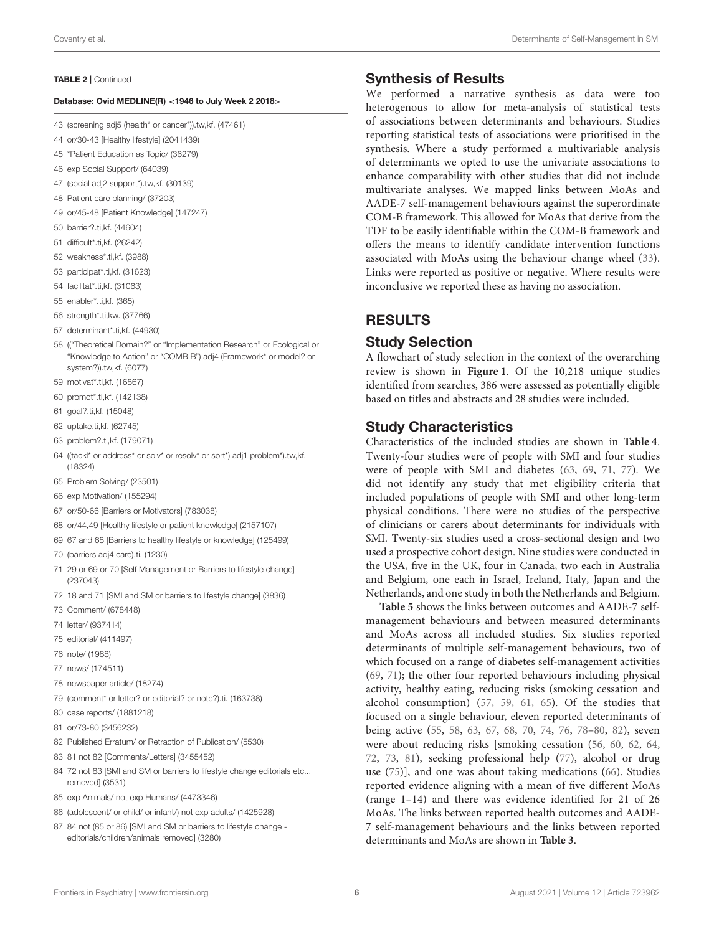#### TABLE 2 | Continued

#### Database: Ovid MEDLINE(R) <1946 to July Week 2 2018>

- 43 (screening adj5 (health\* or cancer\*)).tw,kf. (47461)
- 44 or/30-43 [Healthy lifestyle] (2041439)
- 45 \*Patient Education as Topic/ (36279)
- 46 exp Social Support/ (64039)
- 47 (social adj2 support\*).tw,kf. (30139)
- 48 Patient care planning/ (37203)
- 49 or/45-48 [Patient Knowledge] (147247)
- 50 barrier?.ti,kf. (44604)
- 51 difficult\*.ti,kf. (26242)
- 52 weakness\*.ti,kf. (3988)
- 53 participat\*.ti,kf. (31623)
- 54 facilitat\*.ti,kf. (31063)
- 55 enabler\*.ti,kf. (365)
- 56 strength\*.ti,kw. (37766)
- 57 determinant\*.ti,kf. (44930)
- 58 (("Theoretical Domain?" or "Implementation Research" or Ecological or "Knowledge to Action" or "COMB B") adj4 (Framework\* or model? or system?)).tw,kf. (6077)
- 59 motivat\*.ti,kf. (16867)
- 60 promot\*.ti,kf. (142138)
- 61 goal?.ti,kf. (15048)
- 62 uptake.ti,kf. (62745)
- 63 problem?.ti,kf. (179071)
- 64 ((tackl\* or address\* or solv\* or resolv\* or sort\*) adj1 problem\*).tw,kf. (18324)
- 65 Problem Solving/ (23501)
- 66 exp Motivation/ (155294)
- 67 or/50-66 [Barriers or Motivators] (783038)
- 68 or/44,49 [Healthy lifestyle or patient knowledge] (2157107)
- 69 67 and 68 [Barriers to healthy lifestyle or knowledge] (125499)
- 70 (barriers adj4 care).ti. (1230)
- 71 29 or 69 or 70 [Self Management or Barriers to lifestyle change] (237043)
- 72 18 and 71 [SMI and SM or barriers to lifestyle change] (3836)
- 73 Comment/ (678448)
- 74 letter/ (937414)
- 75 editorial/ (411497)
- 76 note/ (1988)
- 77 news/ (174511)
- 78 newspaper article/ (18274)
- 79 (comment\* or letter? or editorial? or note?).ti. (163738)
- 80 case reports/ (1881218)
- 81 or/73-80 (3456232)
- 82 Published Erratum/ or Retraction of Publication/ (5530)
- 83 81 not 82 [Comments/Letters] (3455452)
- 84 72 not 83 [SMI and SM or barriers to lifestyle change editorials etc... removed] (3531)
- 85 exp Animals/ not exp Humans/ (4473346)
- 86 (adolescent/ or child/ or infant/) not exp adults/ (1425928)
- 87 84 not (85 or 86) [SMI and SM or barriers to lifestyle change editorials/children/animals removed] (3280)

### Synthesis of Results

We performed a narrative synthesis as data were too heterogenous to allow for meta-analysis of statistical tests of associations between determinants and behaviours. Studies reporting statistical tests of associations were prioritised in the synthesis. Where a study performed a multivariable analysis of determinants we opted to use the univariate associations to enhance comparability with other studies that did not include multivariate analyses. We mapped links between MoAs and AADE-7 self-management behaviours against the superordinate COM-B framework. This allowed for MoAs that derive from the TDF to be easily identifiable within the COM-B framework and offers the means to identify candidate intervention functions associated with MoAs using the behaviour change wheel [\(33\)](#page-23-28). Links were reported as positive or negative. Where results were inconclusive we reported these as having no association.

## RESULTS

#### Study Selection

A flowchart of study selection in the context of the overarching review is shown in **[Figure 1](#page-7-0)**. Of the 10,218 unique studies identified from searches, 386 were assessed as potentially eligible based on titles and abstracts and 28 studies were included.

### Study Characteristics

Characteristics of the included studies are shown in **[Table 4](#page-8-0)**. Twenty-four studies were of people with SMI and four studies were of people with SMI and diabetes [\(63,](#page-24-16) [69,](#page-24-17) [71,](#page-24-18) [77\)](#page-25-0). We did not identify any study that met eligibility criteria that included populations of people with SMI and other long-term physical conditions. There were no studies of the perspective of clinicians or carers about determinants for individuals with SMI. Twenty-six studies used a cross-sectional design and two used a prospective cohort design. Nine studies were conducted in the USA, five in the UK, four in Canada, two each in Australia and Belgium, one each in Israel, Ireland, Italy, Japan and the Netherlands, and one study in both the Netherlands and Belgium.

**[Table 5](#page-11-0)** shows the links between outcomes and AADE-7 selfmanagement behaviours and between measured determinants and MoAs across all included studies. Six studies reported determinants of multiple self-management behaviours, two of which focused on a range of diabetes self-management activities [\(69,](#page-24-17) [71\)](#page-24-18); the other four reported behaviours including physical activity, healthy eating, reducing risks (smoking cessation and alcohol consumption) [\(57,](#page-24-19) [59,](#page-24-20) [61,](#page-24-21) [65\)](#page-24-22). Of the studies that focused on a single behaviour, eleven reported determinants of being active [\(55,](#page-24-23) [58,](#page-24-24) [63,](#page-24-16) [67,](#page-24-25) [68,](#page-24-26) [70,](#page-24-27) [74,](#page-24-28) [76,](#page-25-1) [78](#page-25-2)[–80,](#page-25-3) [82\)](#page-25-4), seven were about reducing risks [smoking cessation [\(56,](#page-24-29) [60,](#page-24-30) [62,](#page-24-31) [64,](#page-24-32) [72,](#page-24-33) [73,](#page-24-34) [81\)](#page-25-5), seeking professional help [\(77\)](#page-25-0), alcohol or drug use [\(75\)](#page-24-35)], and one was about taking medications [\(66\)](#page-24-36). Studies reported evidence aligning with a mean of five different MoAs (range 1–14) and there was evidence identified for 21 of 26 MoAs. The links between reported health outcomes and AADE-7 self-management behaviours and the links between reported determinants and MoAs are shown in **[Table 3](#page-6-0)**.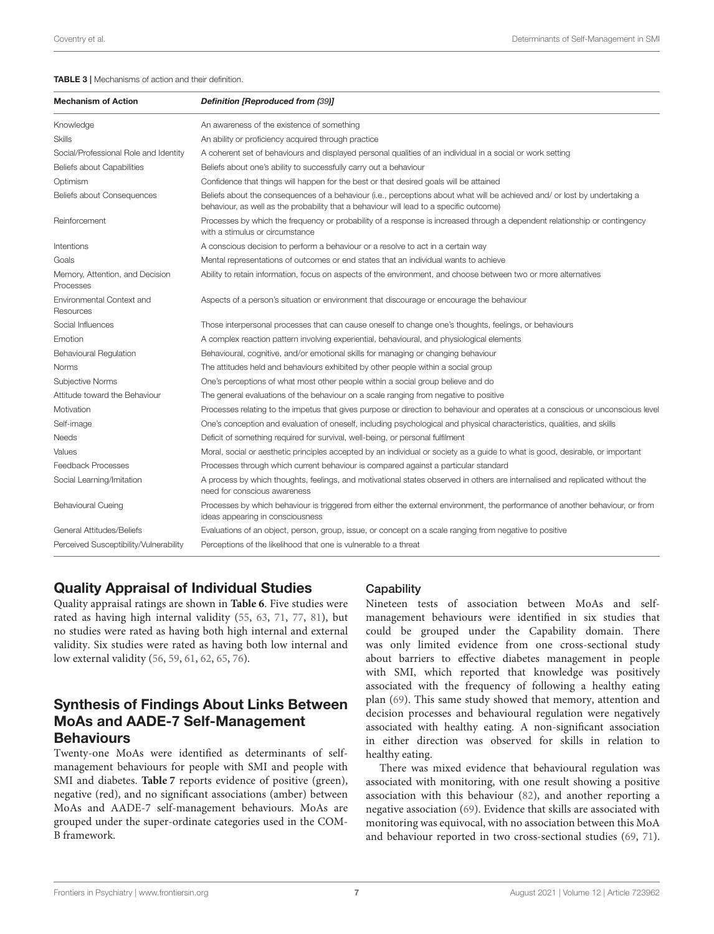#### <span id="page-6-0"></span>TABLE 3 | Mechanisms of action and their definition.

| <b>Mechanism of Action</b>                   | <b>Definition [Reproduced from (39)]</b>                                                                                                                                                                              |
|----------------------------------------------|-----------------------------------------------------------------------------------------------------------------------------------------------------------------------------------------------------------------------|
| Knowledge                                    | An awareness of the existence of something                                                                                                                                                                            |
| <b>Skills</b>                                | An ability or proficiency acquired through practice                                                                                                                                                                   |
| Social/Professional Role and Identity        | A coherent set of behaviours and displayed personal qualities of an individual in a social or work setting                                                                                                            |
| Beliefs about Capabilities                   | Beliefs about one's ability to successfully carry out a behaviour                                                                                                                                                     |
| Optimism                                     | Confidence that things will happen for the best or that desired goals will be attained                                                                                                                                |
| Beliefs about Consequences                   | Beliefs about the consequences of a behaviour (i.e., perceptions about what will be achieved and/ or lost by undertaking a<br>behaviour, as well as the probability that a behaviour will lead to a specific outcome) |
| Reinforcement                                | Processes by which the frequency or probability of a response is increased through a dependent relationship or contingency<br>with a stimulus or circumstance                                                         |
| Intentions                                   | A conscious decision to perform a behaviour or a resolve to act in a certain way                                                                                                                                      |
| Goals                                        | Mental representations of outcomes or end states that an individual wants to achieve                                                                                                                                  |
| Memory, Attention, and Decision<br>Processes | Ability to retain information, focus on aspects of the environment, and choose between two or more alternatives                                                                                                       |
| Environmental Context and<br>Resources       | Aspects of a person's situation or environment that discourage or encourage the behaviour                                                                                                                             |
| Social Influences                            | Those interpersonal processes that can cause oneself to change one's thoughts, feelings, or behaviours                                                                                                                |
| Emotion                                      | A complex reaction pattern involving experiential, behavioural, and physiological elements                                                                                                                            |
| <b>Behavioural Regulation</b>                | Behavioural, cognitive, and/or emotional skills for managing or changing behaviour                                                                                                                                    |
| <b>Norms</b>                                 | The attitudes held and behaviours exhibited by other people within a social group                                                                                                                                     |
| Subjective Norms                             | One's perceptions of what most other people within a social group believe and do                                                                                                                                      |
| Attitude toward the Behaviour                | The general evaluations of the behaviour on a scale ranging from negative to positive                                                                                                                                 |
| Motivation                                   | Processes relating to the impetus that gives purpose or direction to behaviour and operates at a conscious or unconscious level                                                                                       |
| Self-image                                   | One's conception and evaluation of oneself, including psychological and physical characteristics, qualities, and skills                                                                                               |
| Needs                                        | Deficit of something required for survival, well-being, or personal fulfilment                                                                                                                                        |
| Values                                       | Moral, social or aesthetic principles accepted by an individual or society as a guide to what is good, desirable, or important                                                                                        |
| Feedback Processes                           | Processes through which current behaviour is compared against a particular standard                                                                                                                                   |
| Social Learning/Imitation                    | A process by which thoughts, feelings, and motivational states observed in others are internalised and replicated without the<br>need for conscious awareness                                                         |
| <b>Behavioural Cueing</b>                    | Processes by which behaviour is triggered from either the external environment, the performance of another behaviour, or from<br>ideas appearing in consciousness                                                     |
| General Attitudes/Beliefs                    | Evaluations of an object, person, group, issue, or concept on a scale ranging from negative to positive                                                                                                               |
| Perceived Susceptibility/Vulnerability       | Perceptions of the likelihood that one is vulnerable to a threat                                                                                                                                                      |

## Quality Appraisal of Individual Studies

Quality appraisal ratings are shown in **[Table 6](#page-17-0)**. Five studies were rated as having high internal validity [\(55,](#page-24-23) [63,](#page-24-16) [71,](#page-24-18) [77,](#page-25-0) [81\)](#page-25-5), but no studies were rated as having both high internal and external validity. Six studies were rated as having both low internal and low external validity [\(56,](#page-24-29) [59,](#page-24-20) [61,](#page-24-21) [62,](#page-24-31) [65,](#page-24-22) [76\)](#page-25-1).

## Synthesis of Findings About Links Between MoAs and AADE-7 Self-Management **Behaviours**

Twenty-one MoAs were identified as determinants of selfmanagement behaviours for people with SMI and people with SMI and diabetes. **[Table 7](#page-18-0)** reports evidence of positive (green), negative (red), and no significant associations (amber) between MoAs and AADE-7 self-management behaviours. MoAs are grouped under the super-ordinate categories used in the COM-B framework.

### **Capability**

Nineteen tests of association between MoAs and selfmanagement behaviours were identified in six studies that could be grouped under the Capability domain. There was only limited evidence from one cross-sectional study about barriers to effective diabetes management in people with SMI, which reported that knowledge was positively associated with the frequency of following a healthy eating plan [\(69\)](#page-24-17). This same study showed that memory, attention and decision processes and behavioural regulation were negatively associated with healthy eating. A non-significant association in either direction was observed for skills in relation to healthy eating.

There was mixed evidence that behavioural regulation was associated with monitoring, with one result showing a positive association with this behaviour [\(82\)](#page-25-4), and another reporting a negative association [\(69\)](#page-24-17). Evidence that skills are associated with monitoring was equivocal, with no association between this MoA and behaviour reported in two cross-sectional studies [\(69,](#page-24-17) [71\)](#page-24-18).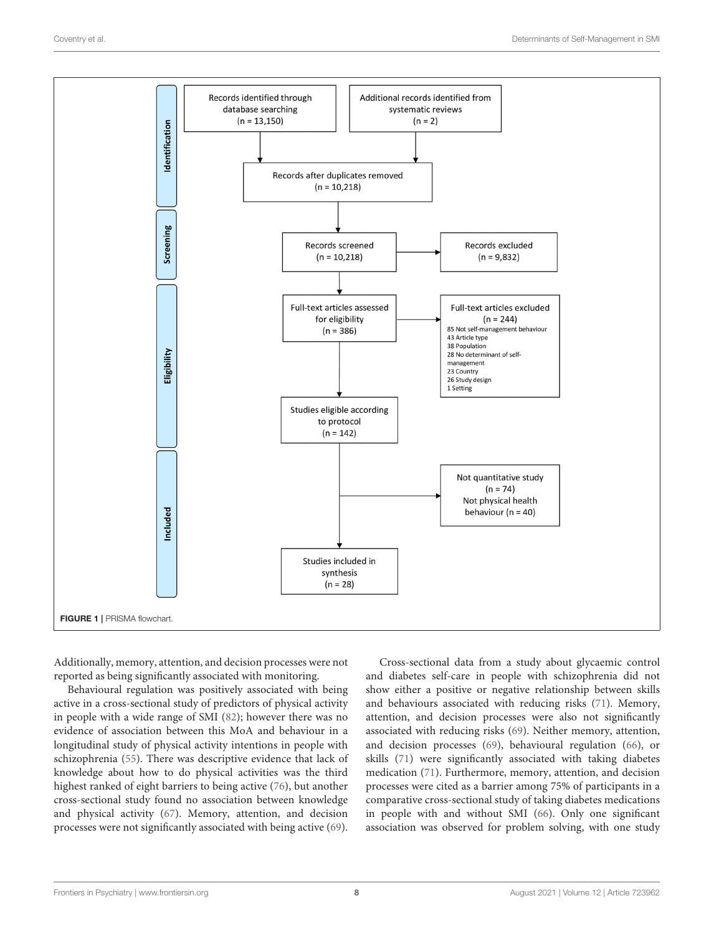

<span id="page-7-0"></span>Additionally, memory, attention, and decision processes were not reported as being significantly associated with monitoring.

Behavioural regulation was positively associated with being active in a cross-sectional study of predictors of physical activity in people with a wide range of SMI [\(82\)](#page-25-4); however there was no evidence of association between this MoA and behaviour in a longitudinal study of physical activity intentions in people with schizophrenia [\(55\)](#page-24-23). There was descriptive evidence that lack of knowledge about how to do physical activities was the third highest ranked of eight barriers to being active [\(76\)](#page-25-1), but another cross-sectional study found no association between knowledge and physical activity [\(67\)](#page-24-25). Memory, attention, and decision processes were not significantly associated with being active [\(69\)](#page-24-17).

Cross-sectional data from a study about glycaemic control and diabetes self-care in people with schizophrenia did not show either a positive or negative relationship between skills and behaviours associated with reducing risks [\(71\)](#page-24-18). Memory, attention, and decision processes were also not significantly associated with reducing risks [\(69\)](#page-24-17). Neither memory, attention, and decision processes [\(69\)](#page-24-17), behavioural regulation [\(66\)](#page-24-36), or skills [\(71\)](#page-24-18) were significantly associated with taking diabetes medication [\(71\)](#page-24-18). Furthermore, memory, attention, and decision processes were cited as a barrier among 75% of participants in a comparative cross-sectional study of taking diabetes medications in people with and without SMI [\(66\)](#page-24-36). Only one significant association was observed for problem solving, with one study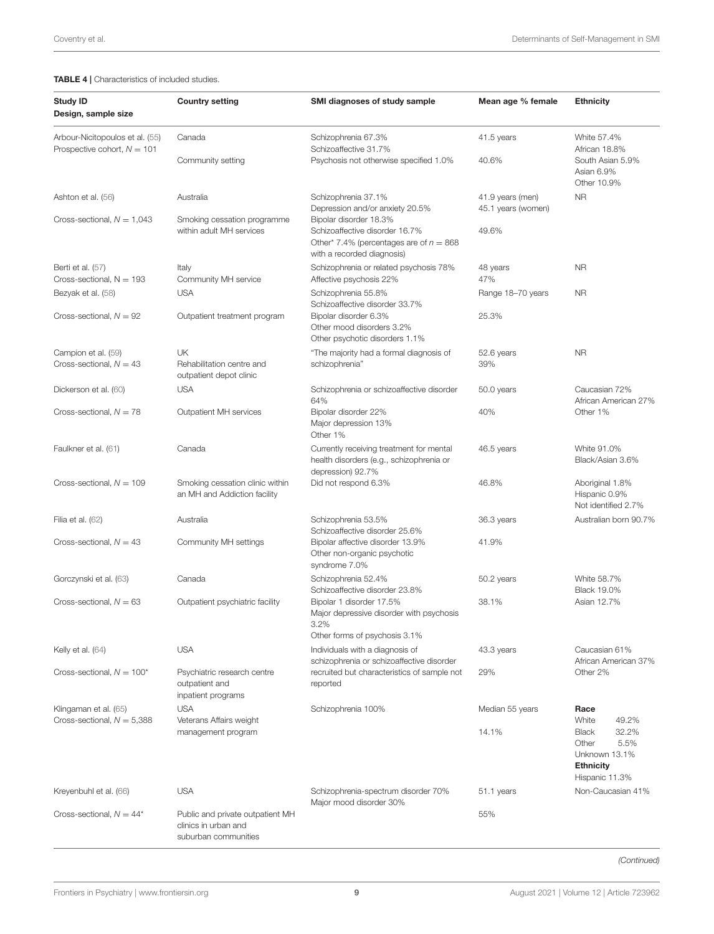#### <span id="page-8-0"></span>TABLE 4 | Characteristics of included studies.

| <b>Study ID</b><br>Design, sample size                           | <b>Country setting</b>                                                           | SMI diagnoses of study sample                                                                                                       | Mean age % female                      | <b>Ethnicity</b>                                                                                                |
|------------------------------------------------------------------|----------------------------------------------------------------------------------|-------------------------------------------------------------------------------------------------------------------------------------|----------------------------------------|-----------------------------------------------------------------------------------------------------------------|
| Arbour-Nicitopoulos et al. (55)<br>Prospective cohort, $N = 101$ | Canada                                                                           | Schizophrenia 67.3%<br>Schizoaffective 31.7%                                                                                        | 41.5 years                             | White 57.4%<br>African 18.8%                                                                                    |
|                                                                  | Community setting                                                                | Psychosis not otherwise specified 1.0%                                                                                              | 40.6%                                  | South Asian 5.9%<br>Asian 6.9%<br>Other 10.9%                                                                   |
| Ashton et al. (56)                                               | Australia                                                                        | Schizophrenia 37.1%<br>Depression and/or anxiety 20.5%                                                                              | 41.9 years (men)<br>45.1 years (women) | N <sub>R</sub>                                                                                                  |
| Cross-sectional, $N = 1,043$                                     | Smoking cessation programme<br>within adult MH services                          | Bipolar disorder 18.3%<br>Schizoaffective disorder 16.7%<br>Other* 7.4% (percentages are of $n = 868$<br>with a recorded diagnosis) | 49.6%                                  |                                                                                                                 |
| Berti et al. (57)                                                | Italy                                                                            | Schizophrenia or related psychosis 78%                                                                                              | 48 years                               | <b>NR</b>                                                                                                       |
| Cross-sectional, $N = 193$                                       | Community MH service                                                             | Affective psychosis 22%                                                                                                             | 47%                                    |                                                                                                                 |
| Bezyak et al. (58)                                               | <b>USA</b>                                                                       | Schizophrenia 55.8%<br>Schizoaffective disorder 33.7%                                                                               | Range 18-70 years                      | <b>NR</b>                                                                                                       |
| Cross-sectional, $N = 92$                                        | Outpatient treatment program                                                     | Bipolar disorder 6.3%<br>Other mood disorders 3.2%<br>Other psychotic disorders 1.1%                                                | 25.3%                                  |                                                                                                                 |
| Campion et al. (59)<br>Cross-sectional, $N = 43$                 | <b>UK</b><br>Rehabilitation centre and<br>outpatient depot clinic                | "The majority had a formal diagnosis of<br>schizophrenia"                                                                           | 52.6 years<br>39%                      | <b>NR</b>                                                                                                       |
| Dickerson et al. (60)                                            | <b>USA</b>                                                                       | Schizophrenia or schizoaffective disorder<br>64%                                                                                    | 50.0 years                             | Caucasian 72%<br>African American 27%                                                                           |
| Cross-sectional, $N = 78$                                        | Outpatient MH services                                                           | Bipolar disorder 22%<br>Major depression 13%<br>Other 1%                                                                            | 40%                                    | Other 1%                                                                                                        |
| Faulkner et al. (61)                                             | Canada                                                                           | Currently receiving treatment for mental<br>health disorders (e.g., schizophrenia or<br>depression) 92.7%                           | 46.5 years                             | White 91.0%<br>Black/Asian 3.6%                                                                                 |
| Cross-sectional, $N = 109$                                       | Smoking cessation clinic within<br>an MH and Addiction facility                  | Did not respond 6.3%                                                                                                                | 46.8%                                  | Aboriginal 1.8%<br>Hispanic 0.9%<br>Not identified 2.7%                                                         |
| Filia et al. (62)                                                | Australia                                                                        | Schizophrenia 53.5%<br>Schizoaffective disorder 25.6%                                                                               | 36.3 years                             | Australian born 90.7%                                                                                           |
| Cross-sectional, $N = 43$                                        | Community MH settings                                                            | Bipolar affective disorder 13.9%<br>Other non-organic psychotic<br>syndrome 7.0%                                                    | 41.9%                                  |                                                                                                                 |
| Gorczynski et al. (63)                                           | Canada                                                                           | Schizophrenia 52.4%<br>Schizoaffective disorder 23.8%                                                                               | 50.2 years                             | White 58.7%<br><b>Black 19.0%</b>                                                                               |
| Cross-sectional, $N = 63$                                        | Outpatient psychiatric facility                                                  | Bipolar 1 disorder 17.5%<br>Major depressive disorder with psychosis<br>3.2%<br>Other forms of psychosis 3.1%                       | 38.1%                                  | Asian 12.7%                                                                                                     |
| Kelly et al. (64)                                                | <b>USA</b>                                                                       | Individuals with a diagnosis of<br>schizophrenia or schizoaffective disorder                                                        | 43.3 years                             | Caucasian 61%<br>African American 37%                                                                           |
| Cross-sectional, $N = 100^*$                                     | Psychiatric research centre<br>outpatient and<br>inpatient programs              | recruited but characteristics of sample not<br>reported                                                                             | 29%                                    | Other 2%                                                                                                        |
| Klingaman et al. (65)                                            | <b>USA</b>                                                                       | Schizophrenia 100%                                                                                                                  | Median 55 years                        | Race                                                                                                            |
| Cross-sectional, $N = 5,388$                                     | Veterans Affairs weight<br>management program                                    |                                                                                                                                     | 14.1%                                  | White<br>49.2%<br>32.2%<br><b>Black</b><br>5.5%<br>Other<br>Unknown 13.1%<br><b>Ethnicity</b><br>Hispanic 11.3% |
| Kreyenbuhl et al. (66)                                           | <b>USA</b>                                                                       | Schizophrenia-spectrum disorder 70%<br>Major mood disorder 30%                                                                      | 51.1 years                             | Non-Caucasian 41%                                                                                               |
| Cross-sectional, $N = 44^*$                                      | Public and private outpatient MH<br>clinics in urban and<br>suburban communities |                                                                                                                                     | 55%                                    |                                                                                                                 |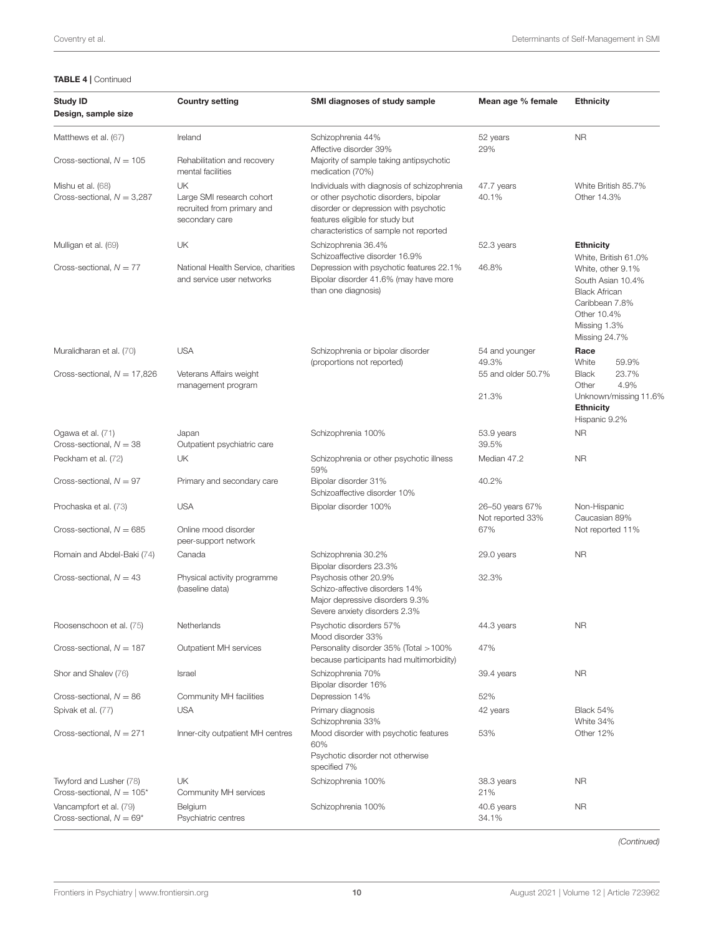#### TABLE 4 | Continued

| <b>Study ID</b><br>Design, sample size                  | <b>Country setting</b>                                                          | SMI diagnoses of study sample                                                                                                                                                                              | Mean age % female                   | <b>Ethnicity</b>                                                                                                                 |
|---------------------------------------------------------|---------------------------------------------------------------------------------|------------------------------------------------------------------------------------------------------------------------------------------------------------------------------------------------------------|-------------------------------------|----------------------------------------------------------------------------------------------------------------------------------|
| Matthews et al. (67)                                    | Ireland                                                                         | Schizophrenia 44%<br>Affective disorder 39%                                                                                                                                                                | 52 years<br>29%                     | <b>NR</b>                                                                                                                        |
| Cross-sectional, $N = 105$                              | Rehabilitation and recovery<br>mental facilities                                | Majority of sample taking antipsychotic<br>medication (70%)                                                                                                                                                |                                     |                                                                                                                                  |
| Mishu et al. (68)<br>Cross-sectional, $N = 3,287$       | UK<br>Large SMI research cohort<br>recruited from primary and<br>secondary care | Individuals with diagnosis of schizophrenia<br>or other psychotic disorders, bipolar<br>disorder or depression with psychotic<br>features eligible for study but<br>characteristics of sample not reported | 47.7 years<br>40.1%                 | White British 85.7%<br>Other 14.3%                                                                                               |
| Mulligan et al. (69)                                    | UK                                                                              | Schizophrenia 36.4%<br>Schizoaffective disorder 16.9%                                                                                                                                                      | 52.3 years                          | <b>Ethnicity</b><br>White, British 61.0%                                                                                         |
| Cross-sectional, $N = 77$                               | National Health Service, charities<br>and service user networks                 | Depression with psychotic features 22.1%<br>Bipolar disorder 41.6% (may have more<br>than one diagnosis)                                                                                                   | 46.8%                               | White, other 9.1%<br>South Asian 10.4%<br><b>Black African</b><br>Caribbean 7.8%<br>Other 10.4%<br>Missing 1.3%<br>Missing 24.7% |
| Muralidharan et al. (70)                                | <b>USA</b>                                                                      | Schizophrenia or bipolar disorder<br>(proportions not reported)                                                                                                                                            | 54 and younger<br>49.3%             | Race<br>White<br>59.9%                                                                                                           |
| Cross-sectional, $N = 17,826$                           | Veterans Affairs weight<br>management program                                   |                                                                                                                                                                                                            | 55 and older 50.7%<br>21.3%         | <b>Black</b><br>23.7%<br>4.9%<br>Other<br>Unknown/missing 11.6%<br><b>Ethnicity</b><br>Hispanic 9.2%                             |
| Ogawa et al. (71)<br>Cross-sectional, $N = 38$          | Japan<br>Outpatient psychiatric care                                            | Schizophrenia 100%                                                                                                                                                                                         | 53.9 years<br>39.5%                 | <b>NR</b>                                                                                                                        |
| Peckham et al. (72)                                     | UK                                                                              | Schizophrenia or other psychotic illness<br>59%                                                                                                                                                            | Median 47.2                         | <b>NR</b>                                                                                                                        |
| Cross-sectional, $N = 97$                               | Primary and secondary care                                                      | Bipolar disorder 31%<br>Schizoaffective disorder 10%                                                                                                                                                       | 40.2%                               |                                                                                                                                  |
| Prochaska et al. (73)                                   | <b>USA</b>                                                                      | Bipolar disorder 100%                                                                                                                                                                                      | 26-50 years 67%<br>Not reported 33% | Non-Hispanic<br>Caucasian 89%                                                                                                    |
| Cross-sectional, $N = 685$                              | Online mood disorder<br>peer-support network                                    |                                                                                                                                                                                                            | 67%                                 | Not reported 11%                                                                                                                 |
| Romain and Abdel-Baki (74)                              | Canada                                                                          | Schizophrenia 30.2%<br>Bipolar disorders 23.3%                                                                                                                                                             | 29.0 years                          | <b>NR</b>                                                                                                                        |
| Cross-sectional, $N = 43$                               | Physical activity programme<br>(baseline data)                                  | Psychosis other 20.9%<br>Schizo-affective disorders 14%<br>Major depressive disorders 9.3%<br>Severe anxiety disorders 2.3%                                                                                | 32.3%                               |                                                                                                                                  |
| Roosenschoon et al. (75)                                | Netherlands                                                                     | Psychotic disorders 57%<br>Mood disorder 33%                                                                                                                                                               | 44.3 years                          | <b>NR</b>                                                                                                                        |
| Cross-sectional, $N = 187$                              | Outpatient MH services                                                          | Personality disorder 35% (Total > 100%<br>because participants had multimorbidity)                                                                                                                         | 47%                                 |                                                                                                                                  |
| Shor and Shalev (76)                                    | Israel                                                                          | Schizophrenia 70%<br>Bipolar disorder 16%                                                                                                                                                                  | 39.4 years                          | <b>NR</b>                                                                                                                        |
| Cross-sectional, $N = 86$                               | Community MH facilities                                                         | Depression 14%                                                                                                                                                                                             | 52%                                 |                                                                                                                                  |
| Spivak et al. (77)                                      | <b>USA</b>                                                                      | Primary diagnosis<br>Schizophrenia 33%                                                                                                                                                                     | 42 years                            | Black 54%<br>White 34%                                                                                                           |
| Cross-sectional, $N = 271$                              | Inner-city outpatient MH centres                                                | Mood disorder with psychotic features<br>60%<br>Psychotic disorder not otherwise<br>specified 7%                                                                                                           | 53%                                 | Other 12%                                                                                                                        |
| Twyford and Lusher (78)<br>Cross-sectional, $N = 105^*$ | UK<br>Community MH services                                                     | Schizophrenia 100%                                                                                                                                                                                         | 38.3 years<br>21%                   | <b>NR</b>                                                                                                                        |
| Vancampfort et al. (79)<br>Cross-sectional, $N = 69^*$  | Belgium<br>Psychiatric centres                                                  | Schizophrenia 100%                                                                                                                                                                                         | 40.6 years<br>34.1%                 | <b>NR</b>                                                                                                                        |

*(Continued)*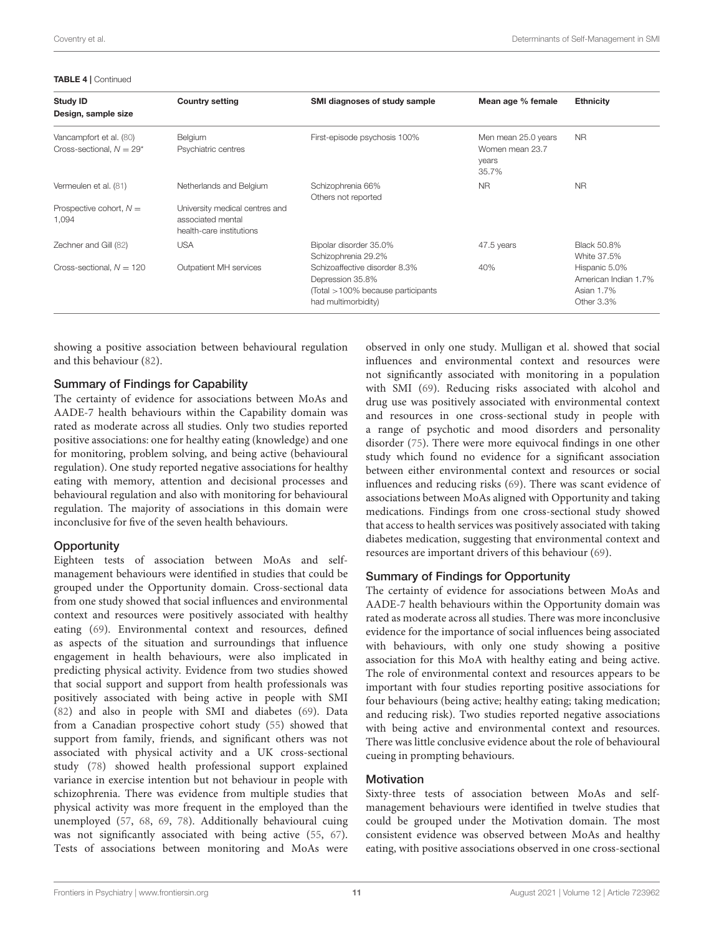TABLE 4 | Continued

| <b>Study ID</b><br>Design, sample size                 | <b>Country setting</b>                                                          | SMI diagnoses of study sample                                                                                 | Mean age % female                                        | <b>Ethnicity</b>                                                  |
|--------------------------------------------------------|---------------------------------------------------------------------------------|---------------------------------------------------------------------------------------------------------------|----------------------------------------------------------|-------------------------------------------------------------------|
| Vancampfort et al. (80)<br>Cross-sectional, $N = 29^*$ | Belgium<br>Psychiatric centres                                                  | First-episode psychosis 100%                                                                                  | Men mean 25.0 years<br>Women mean 23.7<br>years<br>35.7% | NR.                                                               |
| Vermeulen et al. (81)                                  | Netherlands and Belgium                                                         | Schizophrenia 66%<br>Others not reported                                                                      | <b>NR</b>                                                | <b>NR</b>                                                         |
| Prospective cohort, $N =$<br>1,094                     | University medical centres and<br>associated mental<br>health-care institutions |                                                                                                               |                                                          |                                                                   |
| Zechner and Gill (82)                                  | <b>USA</b>                                                                      | Bipolar disorder 35.0%<br>Schizophrenia 29.2%                                                                 | 47.5 years                                               | <b>Black 50.8%</b><br>White 37.5%                                 |
| Cross-sectional, $N = 120$                             | Outpatient MH services                                                          | Schizoaffective disorder 8.3%<br>Depression 35.8%<br>(Total >100% because participants<br>had multimorbidity) | 40%                                                      | Hispanic 5.0%<br>American Indian 1.7%<br>Asian 1.7%<br>Other 3.3% |

showing a positive association between behavioural regulation and this behaviour [\(82\)](#page-25-4).

### Summary of Findings for Capability

The certainty of evidence for associations between MoAs and AADE-7 health behaviours within the Capability domain was rated as moderate across all studies. Only two studies reported positive associations: one for healthy eating (knowledge) and one for monitoring, problem solving, and being active (behavioural regulation). One study reported negative associations for healthy eating with memory, attention and decisional processes and behavioural regulation and also with monitoring for behavioural regulation. The majority of associations in this domain were inconclusive for five of the seven health behaviours.

#### **Opportunity**

Eighteen tests of association between MoAs and selfmanagement behaviours were identified in studies that could be grouped under the Opportunity domain. Cross-sectional data from one study showed that social influences and environmental context and resources were positively associated with healthy eating [\(69\)](#page-24-17). Environmental context and resources, defined as aspects of the situation and surroundings that influence engagement in health behaviours, were also implicated in predicting physical activity. Evidence from two studies showed that social support and support from health professionals was positively associated with being active in people with SMI [\(82\)](#page-25-4) and also in people with SMI and diabetes [\(69\)](#page-24-17). Data from a Canadian prospective cohort study [\(55\)](#page-24-23) showed that support from family, friends, and significant others was not associated with physical activity and a UK cross-sectional study [\(78\)](#page-25-2) showed health professional support explained variance in exercise intention but not behaviour in people with schizophrenia. There was evidence from multiple studies that physical activity was more frequent in the employed than the unemployed [\(57,](#page-24-19) [68,](#page-24-26) [69,](#page-24-17) [78\)](#page-25-2). Additionally behavioural cuing was not significantly associated with being active [\(55,](#page-24-23) [67\)](#page-24-25). Tests of associations between monitoring and MoAs were observed in only one study. Mulligan et al. showed that social influences and environmental context and resources were not significantly associated with monitoring in a population with SMI [\(69\)](#page-24-17). Reducing risks associated with alcohol and drug use was positively associated with environmental context and resources in one cross-sectional study in people with a range of psychotic and mood disorders and personality disorder [\(75\)](#page-24-35). There were more equivocal findings in one other study which found no evidence for a significant association between either environmental context and resources or social influences and reducing risks [\(69\)](#page-24-17). There was scant evidence of associations between MoAs aligned with Opportunity and taking medications. Findings from one cross-sectional study showed that access to health services was positively associated with taking diabetes medication, suggesting that environmental context and resources are important drivers of this behaviour [\(69\)](#page-24-17).

#### Summary of Findings for Opportunity

The certainty of evidence for associations between MoAs and AADE-7 health behaviours within the Opportunity domain was rated as moderate across all studies. There was more inconclusive evidence for the importance of social influences being associated with behaviours, with only one study showing a positive association for this MoA with healthy eating and being active. The role of environmental context and resources appears to be important with four studies reporting positive associations for four behaviours (being active; healthy eating; taking medication; and reducing risk). Two studies reported negative associations with being active and environmental context and resources. There was little conclusive evidence about the role of behavioural cueing in prompting behaviours.

#### **Motivation**

Sixty-three tests of association between MoAs and selfmanagement behaviours were identified in twelve studies that could be grouped under the Motivation domain. The most consistent evidence was observed between MoAs and healthy eating, with positive associations observed in one cross-sectional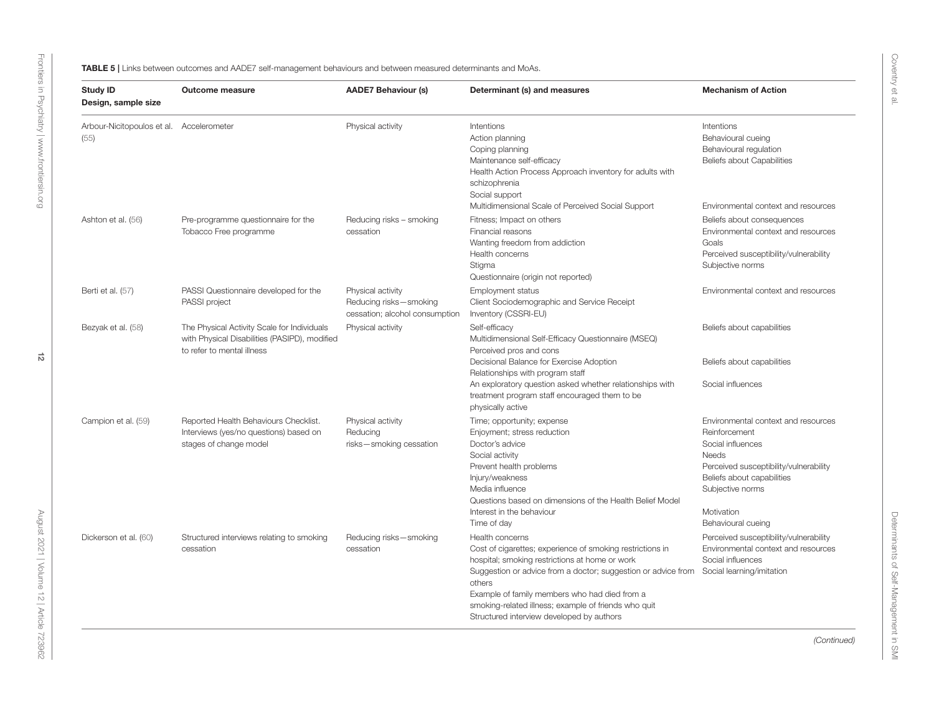<span id="page-11-0"></span>

| <b>Study ID</b><br>Design, sample size | <b>Outcome measure</b>                                                                                                     | <b>AADE7 Behaviour (s)</b>                                                    | Determinant (s) and measures                                                                                                                                                                                                                                                                                                                                    | <b>Mechanism of Action</b>                                                                                                                                                                                         |
|----------------------------------------|----------------------------------------------------------------------------------------------------------------------------|-------------------------------------------------------------------------------|-----------------------------------------------------------------------------------------------------------------------------------------------------------------------------------------------------------------------------------------------------------------------------------------------------------------------------------------------------------------|--------------------------------------------------------------------------------------------------------------------------------------------------------------------------------------------------------------------|
| Arbour-Nicitopoulos et al.<br>(55)     | Accelerometer                                                                                                              | Physical activity                                                             | Intentions<br>Action planning<br>Coping planning<br>Maintenance self-efficacy<br>Health Action Process Approach inventory for adults with<br>schizophrenia<br>Social support<br>Multidimensional Scale of Perceived Social Support                                                                                                                              | Intentions<br>Behavioural cueing<br>Behavioural regulation<br>Beliefs about Capabilities<br>Environmental context and resources                                                                                    |
| Ashton et al. (56)                     | Pre-programme questionnaire for the<br>Tobacco Free programme                                                              | Reducing risks - smoking<br>cessation                                         | Fitness; Impact on others<br>Financial reasons<br>Wanting freedom from addiction<br>Health concerns<br>Stigma<br>Questionnaire (origin not reported)                                                                                                                                                                                                            | Beliefs about consequences<br>Environmental context and resources<br>Goals<br>Perceived susceptibility/vulnerability<br>Subjective norms                                                                           |
| Berti et al. (57)                      | PASSI Questionnaire developed for the<br>PASSI project                                                                     | Physical activity<br>Reducing risks-smoking<br>cessation; alcohol consumption | <b>Employment status</b><br>Client Sociodemographic and Service Receipt<br>Inventory (CSSRI-EU)                                                                                                                                                                                                                                                                 | Environmental context and resources                                                                                                                                                                                |
| Bezyak et al. (58)                     | The Physical Activity Scale for Individuals<br>with Physical Disabilities (PASIPD), modified<br>to refer to mental illness | Physical activity                                                             | Self-efficacy<br>Multidimensional Self-Efficacy Questionnaire (MSEQ)<br>Perceived pros and cons<br>Decisional Balance for Exercise Adoption<br>Relationships with program staff<br>An exploratory question asked whether relationships with<br>treatment program staff encouraged them to be<br>physically active                                               | Beliefs about capabilities<br>Beliefs about capabilities<br>Social influences                                                                                                                                      |
| Campion et al. (59)                    | Reported Health Behaviours Checklist.<br>Interviews (yes/no questions) based on<br>stages of change model                  | Physical activity<br>Reducing<br>risks-smoking cessation                      | Time; opportunity; expense<br>Enjoyment; stress reduction<br>Doctor's advice<br>Social activity<br>Prevent health problems<br>Injury/weakness<br>Media influence<br>Questions based on dimensions of the Health Belief Model<br>Interest in the behaviour<br>Time of day                                                                                        | Environmental context and resources<br>Reinforcement<br>Social influences<br>Needs<br>Perceived susceptibility/vulnerability<br>Beliefs about capabilities<br>Subjective norms<br>Motivation<br>Behavioural cueing |
| Dickerson et al. (60)                  | Structured interviews relating to smoking<br>cessation                                                                     | Reducing risks-smoking<br>cessation                                           | Health concerns<br>Cost of cigarettes; experience of smoking restrictions in<br>hospital; smoking restrictions at home or work<br>Suggestion or advice from a doctor; suggestion or advice from<br>others<br>Example of family members who had died from a<br>smoking-related illness; example of friends who quit<br>Structured interview developed by authors | Perceived susceptibility/vulnerability<br>Environmental context and resources<br>Social influences<br>Social learning/imitation                                                                                    |

Coventry et al.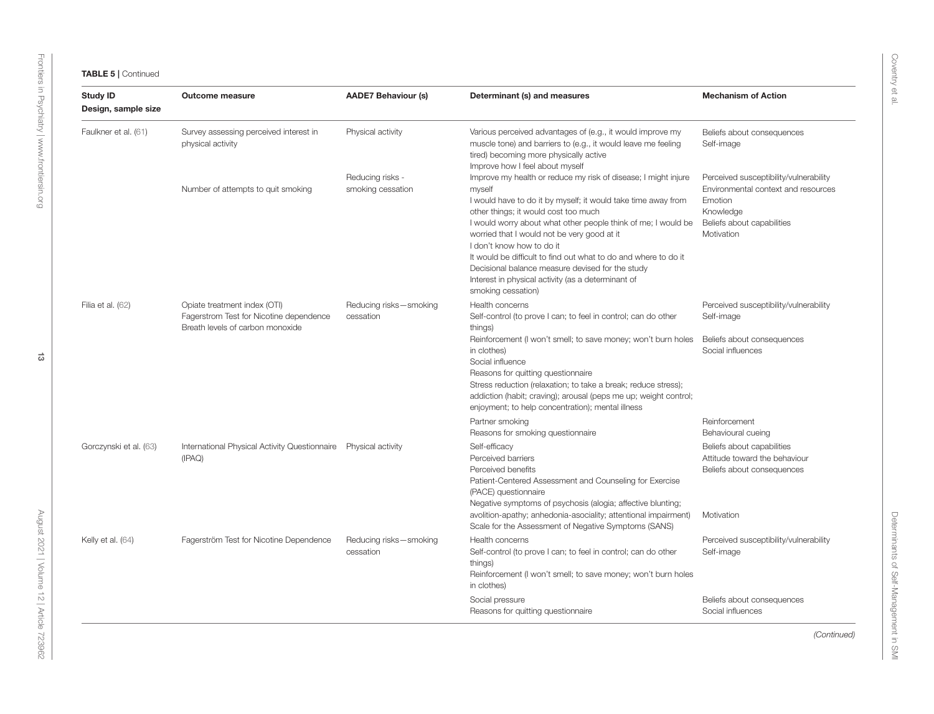| <b>Study ID</b><br>Design, sample size | <b>Outcome measure</b>                                                                                      | <b>AADE7 Behaviour (s)</b>            | Determinant (s) and measures                                                                                                                                                                                                                                                                                                                                                                                                                                                                                                      | <b>Mechanism of Action</b>                                                                                                                        |
|----------------------------------------|-------------------------------------------------------------------------------------------------------------|---------------------------------------|-----------------------------------------------------------------------------------------------------------------------------------------------------------------------------------------------------------------------------------------------------------------------------------------------------------------------------------------------------------------------------------------------------------------------------------------------------------------------------------------------------------------------------------|---------------------------------------------------------------------------------------------------------------------------------------------------|
| Faulkner et al. (61)                   | Survey assessing perceived interest in<br>physical activity                                                 | Physical activity                     | Various perceived advantages of (e.g., it would improve my<br>muscle tone) and barriers to (e.g., it would leave me feeling<br>tired) becoming more physically active<br>Improve how I feel about myself                                                                                                                                                                                                                                                                                                                          | Beliefs about consequences<br>Self-image                                                                                                          |
|                                        | Number of attempts to quit smoking                                                                          | Reducing risks -<br>smoking cessation | Improve my health or reduce my risk of disease; I might injure<br>myself<br>I would have to do it by myself; it would take time away from<br>other things; it would cost too much<br>I would worry about what other people think of me; I would be<br>worried that I would not be very good at it<br>I don't know how to do it<br>It would be difficult to find out what to do and where to do it<br>Decisional balance measure devised for the study<br>Interest in physical activity (as a determinant of<br>smoking cessation) | Perceived susceptibility/vulnerability<br>Environmental context and resources<br>Emotion<br>Knowledge<br>Beliefs about capabilities<br>Motivation |
| Filia et al. (62)                      | Opiate treatment index (OTI)<br>Fagerstrom Test for Nicotine dependence<br>Breath levels of carbon monoxide | Reducing risks-smoking<br>cessation   | Health concerns<br>Self-control (to prove I can; to feel in control; can do other<br>things)<br>Reinforcement (I won't smell; to save money; won't burn holes<br>in clothes)<br>Social influence<br>Reasons for quitting questionnaire<br>Stress reduction (relaxation; to take a break; reduce stress);<br>addiction (habit; craving); arousal (peps me up; weight control;<br>enjoyment; to help concentration); mental illness                                                                                                 | Perceived susceptibility/vulnerability<br>Self-image<br>Beliefs about consequences<br>Social influences                                           |
|                                        |                                                                                                             |                                       | Partner smoking<br>Reasons for smoking questionnaire                                                                                                                                                                                                                                                                                                                                                                                                                                                                              | Reinforcement<br>Behavioural cueing                                                                                                               |
| Gorczynski et al. (63)                 | International Physical Activity Questionnaire<br>(IPAQ)                                                     | Physical activity                     | Self-efficacy<br>Perceived barriers<br>Perceived benefits<br>Patient-Centered Assessment and Counseling for Exercise<br>(PACE) questionnaire<br>Negative symptoms of psychosis (alogia; affective blunting;                                                                                                                                                                                                                                                                                                                       | Beliefs about capabilities<br>Attitude toward the behaviour<br>Beliefs about consequences                                                         |
|                                        |                                                                                                             |                                       | avolition-apathy; anhedonia-asociality; attentional impairment)<br>Scale for the Assessment of Negative Symptoms (SANS)                                                                                                                                                                                                                                                                                                                                                                                                           | Motivation                                                                                                                                        |
| Kelly et al. (64)                      | Fagerström Test for Nicotine Dependence                                                                     | Reducing risks-smoking<br>cessation   | Health concerns<br>Self-control (to prove I can; to feel in control; can do other<br>things)<br>Reinforcement (I won't smell; to save money; won't burn holes<br>in clothes)                                                                                                                                                                                                                                                                                                                                                      | Perceived susceptibility/vulnerability<br>Self-image                                                                                              |
|                                        |                                                                                                             |                                       | Social pressure<br>Reasons for quitting questionnaire                                                                                                                                                                                                                                                                                                                                                                                                                                                                             | Beliefs about consequences<br>Social influences                                                                                                   |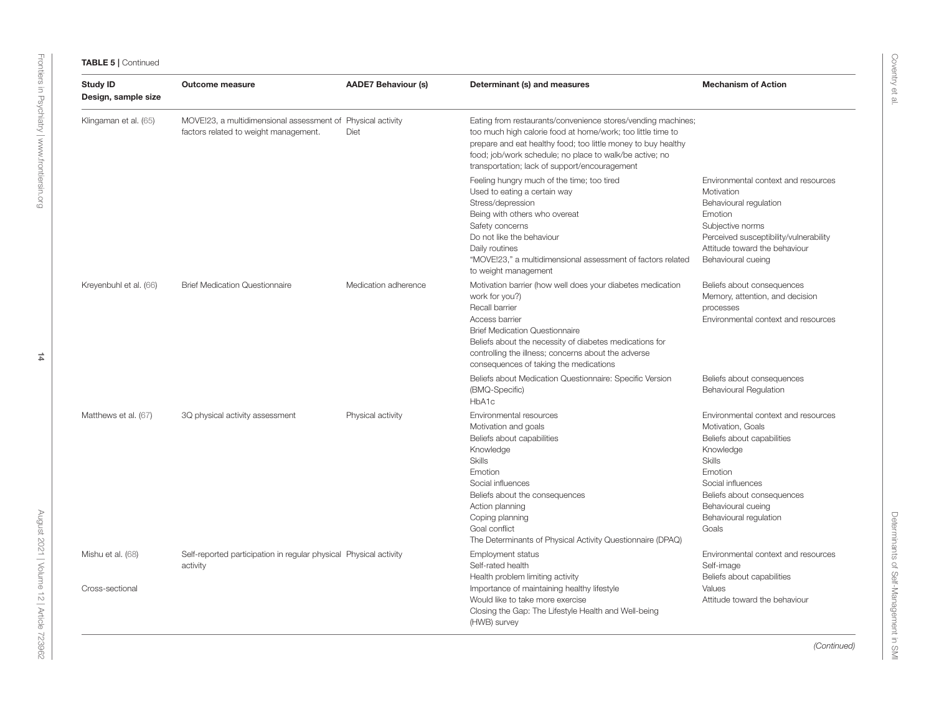| <b>Study ID</b><br>Design, sample size | <b>Outcome measure</b>                                                                               | <b>AADE7 Behaviour (s)</b> | Determinant (s) and measures                                                                                                                                                                                                                                                                                          | <b>Mechanism of Action</b>                                                                                                                                                                                                                  |
|----------------------------------------|------------------------------------------------------------------------------------------------------|----------------------------|-----------------------------------------------------------------------------------------------------------------------------------------------------------------------------------------------------------------------------------------------------------------------------------------------------------------------|---------------------------------------------------------------------------------------------------------------------------------------------------------------------------------------------------------------------------------------------|
| Klingaman et al. (65)                  | MOVE!23, a multidimensional assessment of Physical activity<br>factors related to weight management. | Diet                       | Eating from restaurants/convenience stores/vending machines;<br>too much high calorie food at home/work; too little time to<br>prepare and eat healthy food; too little money to buy healthy<br>food; job/work schedule; no place to walk/be active; no<br>transportation; lack of support/encouragement              |                                                                                                                                                                                                                                             |
|                                        |                                                                                                      |                            | Feeling hungry much of the time; too tired<br>Used to eating a certain way<br>Stress/depression<br>Being with others who overeat<br>Safety concerns<br>Do not like the behaviour<br>Daily routines<br>"MOVE!23," a multidimensional assessment of factors related<br>to weight management                             | Environmental context and resources<br>Motivation<br>Behavioural regulation<br>Emotion<br>Subjective norms<br>Perceived susceptibility/vulnerability<br>Attitude toward the behaviour<br>Behavioural cueing                                 |
| Kreyenbuhl et al. (66)                 | <b>Brief Medication Questionnaire</b>                                                                | Medication adherence       | Motivation barrier (how well does your diabetes medication<br>work for you?)<br>Recall barrier<br>Access barrier<br><b>Brief Medication Questionnaire</b><br>Beliefs about the necessity of diabetes medications for<br>controlling the illness; concerns about the adverse<br>consequences of taking the medications | Beliefs about consequences<br>Memory, attention, and decision<br>processes<br>Environmental context and resources                                                                                                                           |
|                                        |                                                                                                      |                            | Beliefs about Medication Questionnaire: Specific Version<br>(BMQ-Specific)<br>HbA1c                                                                                                                                                                                                                                   | Beliefs about consequences<br><b>Behavioural Regulation</b>                                                                                                                                                                                 |
| Matthews et al. (67)                   | 3Q physical activity assessment                                                                      | Physical activity          | Environmental resources<br>Motivation and goals<br>Beliefs about capabilities<br>Knowledge<br><b>Skills</b><br>Emotion<br>Social influences<br>Beliefs about the consequences<br>Action planning<br>Coping planning<br>Goal conflict<br>The Determinants of Physical Activity Questionnaire (DPAQ)                    | Environmental context and resources<br>Motivation, Goals<br>Beliefs about capabilities<br>Knowledge<br><b>Skills</b><br>Emotion<br>Social influences<br>Beliefs about consequences<br>Behavioural cueing<br>Behavioural regulation<br>Goals |
| Mishu et al. (68)<br>Cross-sectional   | Self-reported participation in regular physical Physical activity<br>activity                        |                            | Employment status<br>Self-rated health<br>Health problem limiting activity<br>Importance of maintaining healthy lifestyle                                                                                                                                                                                             | Environmental context and resources<br>Self-image<br>Beliefs about capabilities<br>Values                                                                                                                                                   |
|                                        |                                                                                                      |                            | Would like to take more exercise<br>Closing the Gap: The Lifestyle Health and Well-being<br>(HWB) survey                                                                                                                                                                                                              | Attitude toward the behaviour                                                                                                                                                                                                               |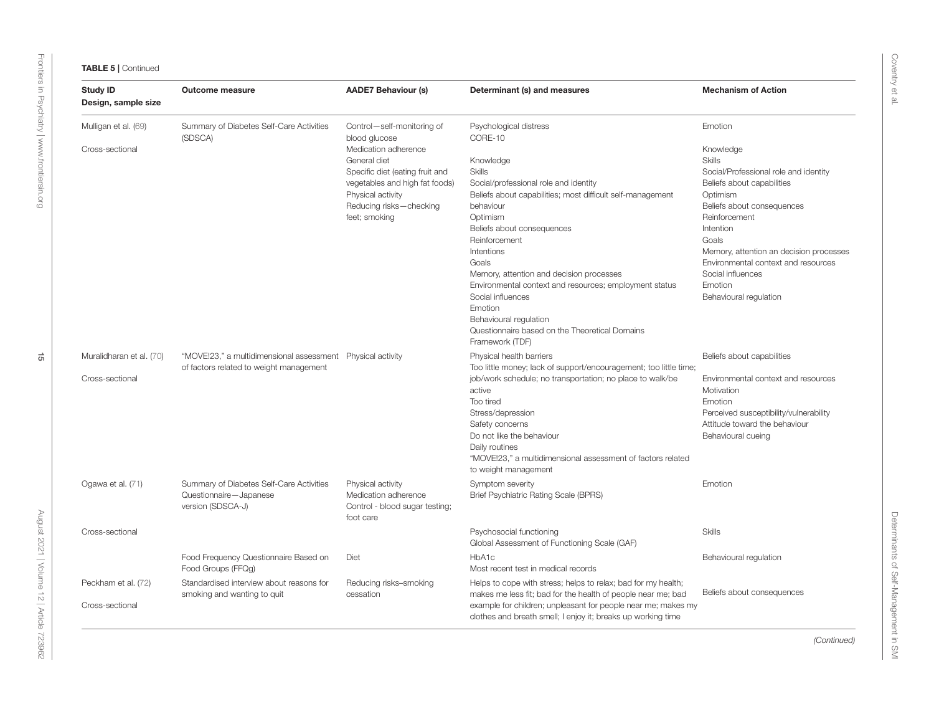| <b>Study ID</b><br>Design, sample size | Outcome measure                                             | <b>AADE7 Behaviour (s)</b>                             | Determinant (s) and measures                                                        | <b>Mechanism of Action</b>              |
|----------------------------------------|-------------------------------------------------------------|--------------------------------------------------------|-------------------------------------------------------------------------------------|-----------------------------------------|
| Mulligan et al. (69)                   | Summary of Diabetes Self-Care Activities<br>(SDSCA)         | Control-self-monitoring of<br>blood glucose            | Psychological distress<br>CORE-10                                                   | Emotion                                 |
| Cross-sectional                        |                                                             | Medication adherence                                   |                                                                                     | Knowledge                               |
|                                        |                                                             | General diet                                           | Knowledge                                                                           | <b>Skills</b>                           |
|                                        |                                                             | Specific diet (eating fruit and                        | <b>Skills</b>                                                                       | Social/Professional role and identity   |
|                                        |                                                             | vegetables and high fat foods)                         | Social/professional role and identity                                               | Beliefs about capabilities              |
|                                        |                                                             | Physical activity                                      | Beliefs about capabilities; most difficult self-management                          | Optimism                                |
|                                        |                                                             | Reducing risks-checking                                | behaviour                                                                           | Beliefs about consequences              |
|                                        |                                                             | feet; smoking                                          | Optimism                                                                            | Reinforcement                           |
|                                        |                                                             |                                                        | Beliefs about consequences                                                          | Intention                               |
|                                        |                                                             |                                                        | Reinforcement                                                                       | Goals                                   |
|                                        |                                                             |                                                        | Intentions                                                                          | Memory, attention an decision processes |
|                                        |                                                             |                                                        | Goals                                                                               | Environmental context and resources     |
|                                        |                                                             |                                                        | Memory, attention and decision processes                                            | Social influences                       |
|                                        |                                                             |                                                        | Environmental context and resources; employment status                              | Emotion                                 |
|                                        |                                                             |                                                        | Social influences                                                                   | Behavioural regulation                  |
|                                        |                                                             |                                                        | Emotion                                                                             |                                         |
|                                        |                                                             |                                                        | Behavioural regulation<br>Questionnaire based on the Theoretical Domains            |                                         |
|                                        |                                                             |                                                        | Framework (TDF)                                                                     |                                         |
| Muralidharan et al. (70)               | "MOVE!23," a multidimensional assessment  Physical activity |                                                        | Physical health barriers                                                            | Beliefs about capabilities              |
|                                        | of factors related to weight management                     |                                                        | Too little money; lack of support/encouragement; too little time;                   |                                         |
| Cross-sectional                        |                                                             |                                                        | job/work schedule; no transportation; no place to walk/be                           | Environmental context and resources     |
|                                        |                                                             |                                                        | active                                                                              | Motivation                              |
|                                        |                                                             |                                                        | Too tired                                                                           | Emotion                                 |
|                                        |                                                             |                                                        | Stress/depression                                                                   | Perceived susceptibility/vulnerability  |
|                                        |                                                             |                                                        | Safety concerns                                                                     | Attitude toward the behaviour           |
|                                        |                                                             |                                                        | Do not like the behaviour                                                           | Behavioural cueing                      |
|                                        |                                                             |                                                        | Daily routines                                                                      |                                         |
|                                        |                                                             |                                                        | "MOVE!23," a multidimensional assessment of factors related<br>to weight management |                                         |
| Ogawa et al. (71)                      | Summary of Diabetes Self-Care Activities                    | Physical activity                                      | Symptom severity                                                                    | Emotion                                 |
|                                        | Questionnaire-Japanese<br>version (SDSCA-J)                 | Medication adherence<br>Control - blood sugar testing; | Brief Psychiatric Rating Scale (BPRS)                                               |                                         |
|                                        |                                                             | foot care                                              |                                                                                     |                                         |
| Cross-sectional                        |                                                             |                                                        | Psychosocial functioning                                                            | <b>Skills</b>                           |
|                                        |                                                             |                                                        | Global Assessment of Functioning Scale (GAF)                                        |                                         |
|                                        | Food Frequency Questionnaire Based on                       | Diet                                                   | HbA1c                                                                               | Behavioural regulation                  |
|                                        | Food Groups (FFQg)                                          |                                                        | Most recent test in medical records                                                 |                                         |
| Peckham et al. (72)                    | Standardised interview about reasons for                    | Reducing risks-smoking                                 | Helps to cope with stress; helps to relax; bad for my health;                       |                                         |
|                                        | smoking and wanting to quit                                 | cessation                                              | makes me less fit; bad for the health of people near me; bad                        | Beliefs about consequences              |
| Cross-sectional                        |                                                             |                                                        | example for children; unpleasant for people near me; makes my                       |                                         |
|                                        |                                                             |                                                        | clothes and breath smell; I enjoy it; breaks up working time                        |                                         |

[Frontiers in Psychiatry](https://www.frontiersin.org/journals/psychiatry)| [www.frontiersin.org](https://www.frontiersin.org)

Frontiers in Psychiatry | www.frontiersin.org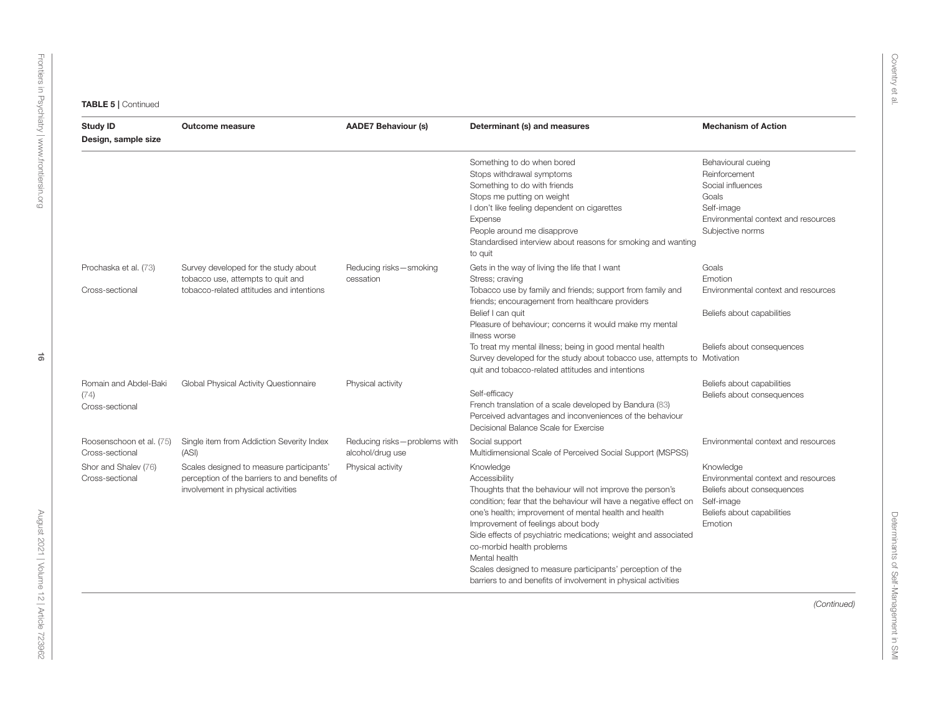| <b>Study ID</b><br>Design, sample size                                                 | <b>Outcome measure</b>                                                                                                                                                                | <b>AADE7 Behaviour (s)</b>                                            | Determinant (s) and measures                                                                                                                                                                                                                                                                                                                                                                                                                                                                                                                                                                | <b>Mechanism of Action</b>                                                                                                                                                   |
|----------------------------------------------------------------------------------------|---------------------------------------------------------------------------------------------------------------------------------------------------------------------------------------|-----------------------------------------------------------------------|---------------------------------------------------------------------------------------------------------------------------------------------------------------------------------------------------------------------------------------------------------------------------------------------------------------------------------------------------------------------------------------------------------------------------------------------------------------------------------------------------------------------------------------------------------------------------------------------|------------------------------------------------------------------------------------------------------------------------------------------------------------------------------|
|                                                                                        |                                                                                                                                                                                       |                                                                       | Something to do when bored<br>Stops withdrawal symptoms<br>Something to do with friends<br>Stops me putting on weight<br>I don't like feeling dependent on cigarettes<br>Expense<br>People around me disapprove<br>Standardised interview about reasons for smoking and wanting<br>to quit                                                                                                                                                                                                                                                                                                  | Behavioural cueing<br>Reinforcement<br>Social influences<br>Goals<br>Self-image<br>Environmental context and resources<br>Subjective norms                                   |
| Prochaska et al. (73)<br>Cross-sectional                                               | Survey developed for the study about<br>tobacco use, attempts to quit and<br>tobacco-related attitudes and intentions                                                                 | Reducing risks-smoking<br>cessation                                   | Gets in the way of living the life that I want<br>Stress; craving<br>Tobacco use by family and friends; support from family and<br>friends; encouragement from healthcare providers<br>Belief I can quit<br>Pleasure of behaviour; concerns it would make my mental<br>illness worse<br>To treat my mental illness; being in good mental health<br>Survey developed for the study about tobacco use, attempts to Motivation<br>quit and tobacco-related attitudes and intentions                                                                                                            | Goals<br>Emotion<br>Environmental context and resources<br>Beliefs about capabilities<br>Beliefs about consequences                                                          |
| Romain and Abdel-Baki<br>(74)<br>Cross-sectional                                       | Global Physical Activity Questionnaire                                                                                                                                                | Physical activity                                                     | Self-efficacy<br>French translation of a scale developed by Bandura (83)<br>Perceived advantages and inconveniences of the behaviour<br>Decisional Balance Scale for Exercise                                                                                                                                                                                                                                                                                                                                                                                                               | Beliefs about capabilities<br>Beliefs about consequences                                                                                                                     |
| Roosenschoon et al. (75)<br>Cross-sectional<br>Shor and Shalev (76)<br>Cross-sectional | Single item from Addiction Severity Index<br>(ASI)<br>Scales designed to measure participants'<br>perception of the barriers to and benefits of<br>involvement in physical activities | Reducing risks-problems with<br>alcohol/drug use<br>Physical activity | Social support<br>Multidimensional Scale of Perceived Social Support (MSPSS)<br>Knowledge<br>Accessibility<br>Thoughts that the behaviour will not improve the person's<br>condition; fear that the behaviour will have a negative effect on<br>one's health; improvement of mental health and health<br>Improvement of feelings about body<br>Side effects of psychiatric medications; weight and associated<br>co-morbid health problems<br>Mental health<br>Scales designed to measure participants' perception of the<br>barriers to and benefits of involvement in physical activities | Environmental context and resources<br>Knowledge<br>Environmental context and resources<br>Beliefs about consequences<br>Self-image<br>Beliefs about capabilities<br>Emotion |
|                                                                                        |                                                                                                                                                                                       |                                                                       |                                                                                                                                                                                                                                                                                                                                                                                                                                                                                                                                                                                             | (Continued)                                                                                                                                                                  |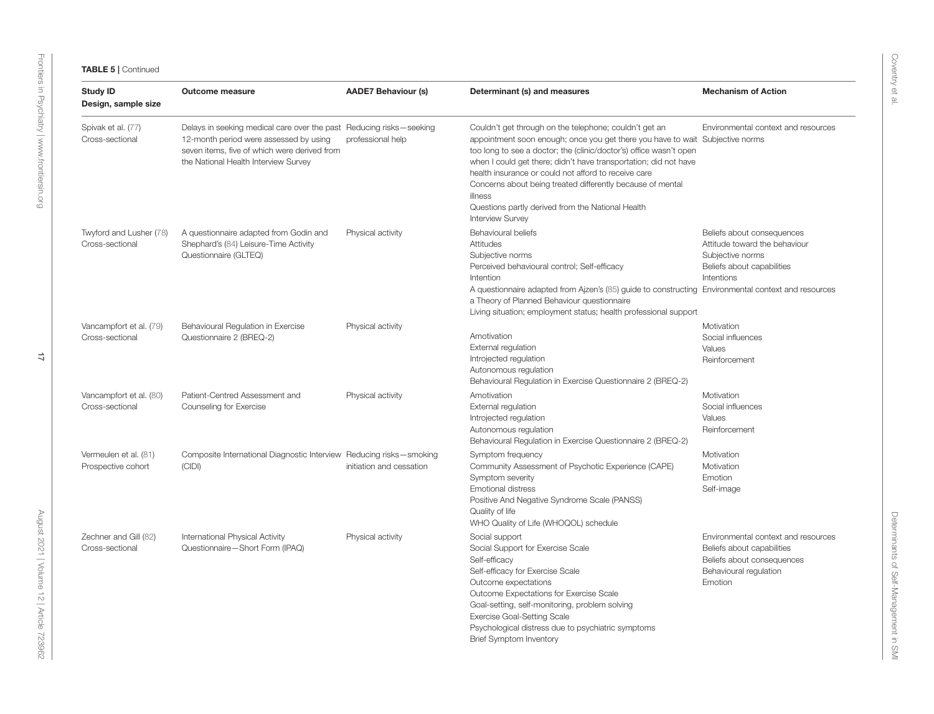| <b>Study ID</b><br>Design, sample size      | <b>Outcome measure</b>                                                                                                                                                                                                     | <b>AADE7 Behaviour (s)</b> | Determinant (s) and measures                                                                                                                                                                                                                                                                                                                                                                                                                                                                       | <b>Mechanism of Action</b>                                                                                                           |
|---------------------------------------------|----------------------------------------------------------------------------------------------------------------------------------------------------------------------------------------------------------------------------|----------------------------|----------------------------------------------------------------------------------------------------------------------------------------------------------------------------------------------------------------------------------------------------------------------------------------------------------------------------------------------------------------------------------------------------------------------------------------------------------------------------------------------------|--------------------------------------------------------------------------------------------------------------------------------------|
| Spivak et al. (77)<br>Cross-sectional       | Delays in seeking medical care over the past Reducing risks-seeking<br>12-month period were assessed by using<br>professional help<br>seven items, five of which were derived from<br>the National Health Interview Survey |                            | Couldn't get through on the telephone; couldn't get an<br>appointment soon enough; once you get there you have to wait Subjective norms<br>too long to see a doctor; the (clinic/doctor's) office wasn't open<br>when I could get there; didn't have transportation; did not have<br>health insurance or could not afford to receive care<br>Concerns about being treated differently because of mental<br>illness<br>Questions partly derived from the National Health<br><b>Interview Survey</b> | Environmental context and resources                                                                                                  |
| Twyford and Lusher (78)<br>Cross-sectional  | A questionnaire adapted from Godin and<br>Shephard's (84) Leisure-Time Activity<br>Questionnaire (GLTEQ)                                                                                                                   | Physical activity          | Behavioural beliefs<br>Attitudes<br>Subjective norms<br>Perceived behavioural control; Self-efficacy<br>Intention<br>A questionnaire adapted from Ajzen's (85) guide to constructing Environmental context and resources<br>a Theory of Planned Behaviour questionnaire<br>Living situation; employment status; health professional support                                                                                                                                                        | Beliefs about consequences<br>Attitude toward the behaviour<br>Subjective norms<br>Beliefs about capabilities<br>Intentions          |
| Vancampfort et al. (79)<br>Cross-sectional  | Behavioural Regulation in Exercise<br>Questionnaire 2 (BREQ-2)                                                                                                                                                             | Physical activity          | Amotivation<br>External regulation<br>Introjected regulation<br>Autonomous regulation<br>Behavioural Regulation in Exercise Questionnaire 2 (BREQ-2)                                                                                                                                                                                                                                                                                                                                               | Motivation<br>Social influences<br>Values<br>Reinforcement                                                                           |
| Vancampfort et al. (80)<br>Cross-sectional  | Patient-Centred Assessment and<br>Counseling for Exercise                                                                                                                                                                  | Physical activity          | Amotivation<br>External regulation<br>Introjected regulation<br>Autonomous regulation<br>Behavioural Regulation in Exercise Questionnaire 2 (BREQ-2)                                                                                                                                                                                                                                                                                                                                               | Motivation<br>Social influences<br>Values<br>Reinforcement                                                                           |
| Vermeulen et al. (81)<br>Prospective cohort | Composite International Diagnostic Interview Reducing risks-smoking<br>(CIDI)                                                                                                                                              | initiation and cessation   | Symptom frequency<br>Community Assessment of Psychotic Experience (CAPE)<br>Symptom severity<br><b>Emotional distress</b><br>Positive And Negative Syndrome Scale (PANSS)<br>Quality of life<br>WHO Quality of Life (WHOQOL) schedule                                                                                                                                                                                                                                                              | Motivation<br>Motivation<br>Emotion<br>Self-image                                                                                    |
| Zechner and Gill (82)<br>Cross-sectional    | International Physical Activity<br>Questionnaire-Short Form (IPAQ)                                                                                                                                                         | Physical activity          | Social support<br>Social Support for Exercise Scale<br>Self-efficacy<br>Self-efficacy for Exercise Scale<br>Outcome expectations<br>Outcome Expectations for Exercise Scale<br>Goal-setting, self-monitoring, problem solving<br><b>Exercise Goal-Setting Scale</b><br>Psychological distress due to psychiatric symptoms<br><b>Brief Symptom Inventory</b>                                                                                                                                        | Environmental context and resources<br>Beliefs about capabilities<br>Beliefs about consequences<br>Behavioural regulation<br>Emotion |

[Frontiers in Psychiatry](https://www.frontiersin.org/journals/psychiatry)| [www.frontiersin.org](https://www.frontiersin.org)

Frontiers in Psychiatry | www.frontiersin.org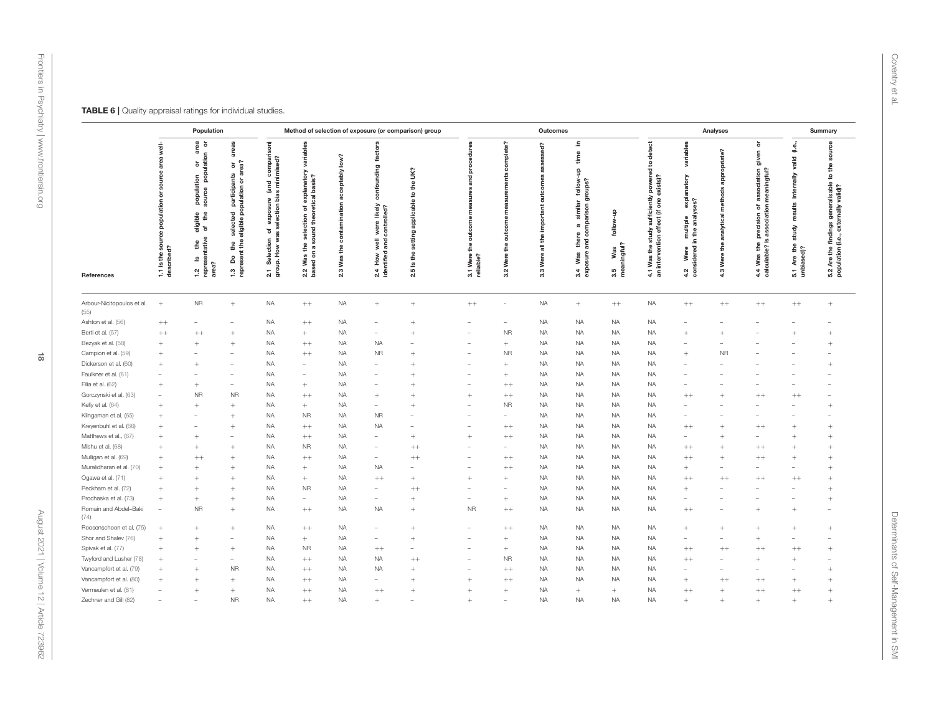<span id="page-17-0"></span>

|                                    | Method of selection of exposure (or comparison) group<br>Population  |                                                                                                                                                  |                                                                                                                                                  |                                                                                                                                                          |                                                                                                                                                 |                                                                      | Outcomes                                                                                                  |                                                          |                                                              |                                         |                                                                |                                                                                                                         | Analyses                                                           |                                                                                                                                                                         | Summary                                                                                                |                                                                |                                                                                                                                  |                                                                                       |                                                                                                                       |
|------------------------------------|----------------------------------------------------------------------|--------------------------------------------------------------------------------------------------------------------------------------------------|--------------------------------------------------------------------------------------------------------------------------------------------------|----------------------------------------------------------------------------------------------------------------------------------------------------------|-------------------------------------------------------------------------------------------------------------------------------------------------|----------------------------------------------------------------------|-----------------------------------------------------------------------------------------------------------|----------------------------------------------------------|--------------------------------------------------------------|-----------------------------------------|----------------------------------------------------------------|-------------------------------------------------------------------------------------------------------------------------|--------------------------------------------------------------------|-------------------------------------------------------------------------------------------------------------------------------------------------------------------------|--------------------------------------------------------------------------------------------------------|----------------------------------------------------------------|----------------------------------------------------------------------------------------------------------------------------------|---------------------------------------------------------------------------------------|-----------------------------------------------------------------------------------------------------------------------|
| References                         | $\frac{1}{8}$<br>믔<br>populatio<br>នី<br>1.1 Is the so<br>described? | ၉ ခ<br>ಹ<br>ō<br>画<br>ă<br>population<br>source pop<br>å.<br>ible<br>$\epsilon$<br>eligi<br>of<br>ative<br>£<br>S<br>area?<br>ē<br>$\frac{2}{1}$ | areas<br>or<br>ea?<br>靑<br>ected participants<br>jible population or a<br>eligible<br>g<br>$\frac{4}{3}$<br>٣<br>å<br>eser<br>$\frac{3}{2}$<br>ē | son)<br>compar<br>ed?<br>minimis<br>land<br>bias<br>ure<br>selection<br>exp<br>৳<br>g<br>ă<br>How<br>ā<br>Sele<br>훅<br>g<br>S<br>$\overline{\mathbf{2}}$ | variables<br><b>Janatory</b><br>basis?<br>expl<br>Ŗ<br>Ⴆ.<br>ction<br>š<br>꾿<br>sele<br>z<br>₽<br>$\boldsymbol{\varpi}$<br>등<br>Was<br>ᅙ<br>2.2 | $\overline{\mathbf{c}}$<br>vldabte<br>Ē<br>વ<br>ے<br>a<br>Was<br>2.3 | tors<br>fact<br>ding<br>8<br>likely<br>were likely<br>controlled?<br>well<br>and<br>2.4 How<br>identified | Š<br>£<br>S.<br>applicable<br>setting<br>the<br>ഛ<br>2.5 | edures<br>δ<br>and<br>outcon<br>å<br>3.1 Were t<br>reliable? | mplete?<br>۴<br>ᇹ<br>the<br>Were<br>3.2 | ssed?<br>8<br>com<br>ã<br>important<br>the<br>등<br>Were<br>3.3 | 르.<br>time<br>을<br>follow-<br>oups?<br>틈<br>similar<br>$\epsilon$<br>ë<br>a<br>ø<br>ă<br>£<br>Was<br>sure<br>exp<br>3.4 | $\frac{1}{2}$<br>ż<br>≗<br>ڡ<br>Was<br>mingful?<br>mea<br>LO<br>ത് | detect<br>ly powered to <b>c</b><br>exists)?<br>sufficiently p<br>fect (if one e:<br>fect<br>study<br>둠<br>vention<br>$\mathop{\mathsf{g}}$<br>Was<br>inter<br>4.1<br>高 | riables<br>π<br>anatory<br>multiple expla<br>in the analyses?<br>Were<br>idered<br>ē,<br>$\frac{2}{3}$ | ်ခဲ့<br>appropria<br>methods<br>analytical<br>£<br>Were<br>4.3 | ŏ<br>given<br>aningful?<br>sociation<br>e.<br>æ<br>ŏ<br>ā<br>pciatio<br>sion<br>preci<br>ဖ<br>the<br>ulable?<br>Was<br>$4.4$ ole | ತಿ<br>valid<br>nally<br>inter<br>£<br>study<br>£<br>$\ddot{q}$<br>5.1 Are<br>unbiased | 8<br>ទ្ល<br>£<br>ೆ<br>generalisable<br>valid)?<br>nally<br>exter<br>findings<br>(i.e.,<br>5.2 Are the<br>population ( |
| Arbour-Nicitopoulos et al.<br>(55) | $+$                                                                  | <b>NR</b>                                                                                                                                        | $^{+}$                                                                                                                                           | <b>NA</b>                                                                                                                                                | $^{++}$                                                                                                                                         | NA.                                                                  | $^+$                                                                                                      | $^{+}$                                                   | $^{++}$                                                      |                                         | <b>NA</b>                                                      | $\begin{array}{c} + \end{array}$                                                                                        | $^{++}$                                                            | <b>NA</b>                                                                                                                                                               | $^{++}$                                                                                                | $^{++}$                                                        | $^{++}$                                                                                                                          | $^{++}$                                                                               | $+$                                                                                                                   |
| Ashton et al. (56)                 | $^{++}$                                                              |                                                                                                                                                  |                                                                                                                                                  | <b>NA</b>                                                                                                                                                | $++$                                                                                                                                            | <b>NA</b>                                                            |                                                                                                           |                                                          |                                                              |                                         | <b>NA</b>                                                      | <b>NA</b>                                                                                                               | <b>NA</b>                                                          | <b>NA</b>                                                                                                                                                               |                                                                                                        |                                                                |                                                                                                                                  |                                                                                       |                                                                                                                       |
| Berti et al. (57)                  | $^{++}$                                                              | $^{++}$                                                                                                                                          | $^{+}$                                                                                                                                           | <b>NA</b>                                                                                                                                                | $\! + \!\!\!\!$                                                                                                                                 | <b>NA</b>                                                            | $\sim$                                                                                                    | $\ddot{}$                                                |                                                              | <b>NR</b>                               | <b>NA</b>                                                      | $_{\sf NA}$                                                                                                             | <b>NA</b>                                                          | <b>NA</b>                                                                                                                                                               | $\ddot{}$                                                                                              | $\overline{+}$                                                 |                                                                                                                                  |                                                                                       | $^+$                                                                                                                  |
| Bezyak et al. (58)                 | $+$                                                                  | $\begin{array}{c} + \end{array}$                                                                                                                 | $^{+}$                                                                                                                                           | <b>NA</b>                                                                                                                                                | $++$                                                                                                                                            | <b>NA</b>                                                            | <b>NA</b>                                                                                                 |                                                          |                                                              | $+$                                     | <b>NA</b>                                                      | <b>NA</b>                                                                                                               | <b>NA</b>                                                          | <b>NA</b>                                                                                                                                                               |                                                                                                        |                                                                |                                                                                                                                  |                                                                                       | $^{+}$                                                                                                                |
| Campion et al. (59)                | $^{+}$                                                               |                                                                                                                                                  |                                                                                                                                                  | <b>NA</b>                                                                                                                                                | $++$                                                                                                                                            | <b>NA</b>                                                            | <b>NR</b>                                                                                                 | $\ddot{}$                                                |                                                              | <b>NR</b>                               | <b>NA</b>                                                      | <b>NA</b>                                                                                                               | <b>NA</b>                                                          | <b>NA</b>                                                                                                                                                               | $^{+}$                                                                                                 | <b>NR</b>                                                      |                                                                                                                                  |                                                                                       |                                                                                                                       |
| Dickerson et al. (60)              |                                                                      | $^{+}$                                                                                                                                           |                                                                                                                                                  | <b>NA</b>                                                                                                                                                | ÷                                                                                                                                               | NA.                                                                  | <b>College</b>                                                                                            | $^{+}$                                                   |                                                              | $^{+}$                                  | <b>NA</b>                                                      | <b>NA</b>                                                                                                               | NA.                                                                | <b>NA</b>                                                                                                                                                               |                                                                                                        |                                                                |                                                                                                                                  |                                                                                       | $^{+}$                                                                                                                |
| Faulkner et al. (61)               |                                                                      | $\overline{\phantom{a}}$                                                                                                                         |                                                                                                                                                  | <b>NA</b>                                                                                                                                                | $\overline{\phantom{0}}$                                                                                                                        | <b>NA</b>                                                            | $\overline{\phantom{a}}$                                                                                  | $\ddot{}$                                                |                                                              | $+$                                     | <b>NA</b>                                                      | <b>NA</b>                                                                                                               | <b>NA</b>                                                          | <b>NA</b>                                                                                                                                                               |                                                                                                        |                                                                |                                                                                                                                  |                                                                                       |                                                                                                                       |
| Filia et al. (62)                  |                                                                      | $+$                                                                                                                                              |                                                                                                                                                  | <b>NA</b>                                                                                                                                                | $^{+}$                                                                                                                                          | NA.                                                                  |                                                                                                           |                                                          |                                                              | $^{++}$                                 | <b>NA</b>                                                      | <b>NA</b>                                                                                                               | <b>NA</b>                                                          | <b>NA</b>                                                                                                                                                               |                                                                                                        |                                                                |                                                                                                                                  |                                                                                       |                                                                                                                       |
| Gorczynski et al. (63)             |                                                                      | <b>NR</b>                                                                                                                                        | <b>NR</b>                                                                                                                                        | <b>NA</b>                                                                                                                                                | $^{++}$                                                                                                                                         | NA.                                                                  | $^{+}$                                                                                                    |                                                          | $^{+}$                                                       | $^{++}$                                 | NA.                                                            | <b>NA</b>                                                                                                               | NA.                                                                | <b>NA</b>                                                                                                                                                               | $^{++}$                                                                                                | $^{+}$                                                         | $^{++}$                                                                                                                          | $^{++}$                                                                               |                                                                                                                       |
| Kelly et al. (64)                  | $\overline{+}$                                                       | $+$                                                                                                                                              | $\ddot{}$                                                                                                                                        | <b>NA</b>                                                                                                                                                | $^{+}$                                                                                                                                          | <b>NA</b>                                                            | $\overline{\phantom{a}}$                                                                                  | $\ddot{}$                                                | $\overline{\phantom{a}}$                                     | <b>NR</b>                               | <b>NA</b>                                                      | <b>NA</b>                                                                                                               | <b>NA</b>                                                          | <b>NA</b>                                                                                                                                                               | $\overline{\phantom{a}}$                                                                               | $\overline{\phantom{a}}$                                       | ÷                                                                                                                                | $\qquad \qquad -$                                                                     | $^{+}$                                                                                                                |
| Klingaman et al. (65)              |                                                                      |                                                                                                                                                  | $\ddot{}$                                                                                                                                        | <b>NA</b>                                                                                                                                                | NR                                                                                                                                              | NA.                                                                  | <b>NR</b>                                                                                                 |                                                          |                                                              |                                         | NA.                                                            | <b>NA</b>                                                                                                               | NA.                                                                | <b>NA</b>                                                                                                                                                               |                                                                                                        |                                                                |                                                                                                                                  |                                                                                       |                                                                                                                       |
| Kreyenbuhl et al. (66)             | $\overline{+}$                                                       | $\sim$                                                                                                                                           | $^{+}$                                                                                                                                           | <b>NA</b>                                                                                                                                                | $^{++}$                                                                                                                                         | <b>NA</b>                                                            | <b>NA</b>                                                                                                 |                                                          | <b>College</b>                                               | $++$                                    | <b>NA</b>                                                      | <b>NA</b>                                                                                                               | <b>NA</b>                                                          | <b>NA</b>                                                                                                                                                               | $^{++}$                                                                                                | $\overline{+}$                                                 | $^{++}$                                                                                                                          | $+$                                                                                   | $^{+}$                                                                                                                |
| Matthews et al., (67)              |                                                                      | $^{+}$                                                                                                                                           |                                                                                                                                                  | <b>NA</b>                                                                                                                                                | $^{++}$                                                                                                                                         | <b>NA</b>                                                            |                                                                                                           | $\ddot{}$                                                | $^{+}$                                                       | $^{++}$                                 | <b>NA</b>                                                      | <b>NA</b>                                                                                                               | <b>NA</b>                                                          | <b>NA</b>                                                                                                                                                               |                                                                                                        | $\overline{+}$                                                 |                                                                                                                                  |                                                                                       | $^{+}$                                                                                                                |
| Mishu et al. (68)                  |                                                                      | $^{+}$                                                                                                                                           | $\ddot{}$                                                                                                                                        | <b>NA</b>                                                                                                                                                | <b>NR</b>                                                                                                                                       | <b>NA</b>                                                            | ۰                                                                                                         | $+ +$                                                    |                                                              | ۰                                       | <b>NA</b>                                                      | <b>NA</b>                                                                                                               | <b>NA</b>                                                          | <b>NA</b>                                                                                                                                                               | $^{++}$                                                                                                | $\overline{+}$                                                 | $^{++}$                                                                                                                          |                                                                                       | $^{+}$                                                                                                                |
| Mulligan et al. (69)               | $\overline{+}$                                                       | $^{++}$                                                                                                                                          | $^{+}$                                                                                                                                           | <b>NA</b>                                                                                                                                                | $++$                                                                                                                                            | <b>NA</b>                                                            | $\overline{\phantom{a}}$                                                                                  | $++$                                                     |                                                              | $++$                                    | <b>NA</b>                                                      | <b>NA</b>                                                                                                               | <b>NA</b>                                                          | <b>NA</b>                                                                                                                                                               | $^{++}$                                                                                                | $^{+}$                                                         | $^{++}$                                                                                                                          | $\pm$                                                                                 | $^{+}$                                                                                                                |
| Muralidharan et al. (70)           |                                                                      | $^{+}$                                                                                                                                           | $\ddot{}$                                                                                                                                        | <b>NA</b>                                                                                                                                                | $^{+}$                                                                                                                                          | <b>NA</b>                                                            | <b>NA</b>                                                                                                 |                                                          |                                                              | $^{++}$                                 | <b>NA</b>                                                      | <b>NA</b>                                                                                                               | <b>NA</b>                                                          | <b>NA</b>                                                                                                                                                               | $^{+}$                                                                                                 |                                                                |                                                                                                                                  |                                                                                       | $^{+}$                                                                                                                |
| Ogawa et al. (71)                  |                                                                      | $^{+}$                                                                                                                                           | $^{+}$                                                                                                                                           | <b>NA</b>                                                                                                                                                | $^{+}$                                                                                                                                          | NA.                                                                  | $^{++}$                                                                                                   | $^{+}$                                                   | $^{+}$                                                       | $^{+}$                                  | <b>NA</b>                                                      | <b>NA</b>                                                                                                               | NA.                                                                | <b>NA</b>                                                                                                                                                               | $^{++}$                                                                                                | $^{++}$                                                        | $^{++}$                                                                                                                          | $^{++}$                                                                               | $^{+}$                                                                                                                |
| Peckham et al. (72)                | $\overline{+}$                                                       | $^{+}$                                                                                                                                           | $\ddot{}$                                                                                                                                        | <b>NA</b>                                                                                                                                                | <b>NR</b>                                                                                                                                       | <b>NA</b>                                                            | $\overline{\phantom{a}}$                                                                                  | $++$                                                     |                                                              |                                         | <b>NA</b>                                                      | <b>NA</b>                                                                                                               | <b>NA</b>                                                          | <b>NA</b>                                                                                                                                                               | $^{+}$                                                                                                 |                                                                | $\overline{\phantom{0}}$                                                                                                         |                                                                                       | $\ddot{}$                                                                                                             |
| Prochaska et al. (73)              | $^{+}$                                                               | $^+$                                                                                                                                             | $\ddot{}$                                                                                                                                        | <b>NA</b>                                                                                                                                                | $\equiv$                                                                                                                                        | NA.                                                                  | $\overline{a}$                                                                                            | $\ddot{}$                                                | ٠                                                            | $^{+}$                                  | <b>NA</b>                                                      | <b>NA</b>                                                                                                               | <b>NA</b>                                                          | <b>NA</b>                                                                                                                                                               |                                                                                                        |                                                                |                                                                                                                                  | L.                                                                                    | $^{+}$                                                                                                                |
| Romain and Abdel-Baki<br>(74)      | $\overline{\phantom{a}}$                                             | <b>NR</b>                                                                                                                                        | $^{+}$                                                                                                                                           | <b>NA</b>                                                                                                                                                | $++$                                                                                                                                            | NA                                                                   | <b>NA</b>                                                                                                 | $^{+}$                                                   | <b>NR</b>                                                    | $^{++}$                                 | <b>NA</b>                                                      | <b>NA</b>                                                                                                               | <b>NA</b>                                                          | <b>NA</b>                                                                                                                                                               | $++$                                                                                                   | $\overline{\phantom{a}}$                                       | $^{+}$                                                                                                                           | $\ddot{}$                                                                             | $\overline{\phantom{a}}$                                                                                              |
| Roosenschoon et al. (75)           | $\overline{1}$                                                       | $^{+}$                                                                                                                                           | $^{+}$                                                                                                                                           | $\sf{NA}$                                                                                                                                                | $^{++}$                                                                                                                                         | <b>NA</b>                                                            |                                                                                                           | $^{+}$                                                   |                                                              | $++$                                    | <b>NA</b>                                                      | <b>NA</b>                                                                                                               | <b>NA</b>                                                          | <b>NA</b>                                                                                                                                                               | $^{+}$                                                                                                 | $^{+}$                                                         | $\ddot{+}$                                                                                                                       | $+$                                                                                   | $^{+}$                                                                                                                |
| Shor and Shalev (76)               | $\overline{+}$                                                       | $^{+}$                                                                                                                                           | $\hspace{0.1mm}-\hspace{0.1mm}$                                                                                                                  | <b>NA</b>                                                                                                                                                | $^{+}$                                                                                                                                          | <b>NA</b>                                                            | $\overline{\phantom{a}}$                                                                                  | $\ddot{}$                                                | $\overline{\phantom{a}}$                                     | $+$                                     | <b>NA</b>                                                      | <b>NA</b>                                                                                                               | <b>NA</b>                                                          | <b>NA</b>                                                                                                                                                               | $\overline{\phantom{a}}$                                                                               | $\overline{\phantom{0}}$                                       | $\, +$                                                                                                                           | $\qquad \qquad -$                                                                     | $\overline{\phantom{a}}$                                                                                              |
| Spivak et al. (77)                 |                                                                      | $+$                                                                                                                                              | $^{+}$                                                                                                                                           | <b>NA</b>                                                                                                                                                | NR                                                                                                                                              | NA.                                                                  | $^{++}$                                                                                                   |                                                          |                                                              | $+$                                     | NA.                                                            | <b>NA</b>                                                                                                               | NA.                                                                | NA.                                                                                                                                                                     | $^{++}$                                                                                                | $^{++}$                                                        | $^{++}$                                                                                                                          | $^{++}$                                                                               | $^+$                                                                                                                  |
| Twyford and Lusher (78)            | $\overline{+}$                                                       | $\sim$                                                                                                                                           |                                                                                                                                                  | <b>NA</b>                                                                                                                                                | $^{++}$                                                                                                                                         | <b>NA</b>                                                            | <b>NA</b>                                                                                                 | $+ +$                                                    | ۰                                                            | <b>NR</b>                               | <b>NA</b>                                                      | <b>NA</b>                                                                                                               | <b>NA</b>                                                          | <b>NA</b>                                                                                                                                                               | $^{++}$                                                                                                | ۰                                                              | $^{+}$                                                                                                                           | $+$                                                                                   | $\sim$                                                                                                                |
| Vancampfort et al. (79)            | $\overline{+}$                                                       | $\overline{+}$                                                                                                                                   | <b>NR</b>                                                                                                                                        | <b>NA</b>                                                                                                                                                | $++$                                                                                                                                            | <b>NA</b>                                                            | <b>NA</b>                                                                                                 | $^{+}$                                                   |                                                              | $^{++}$                                 | <b>NA</b>                                                      | <b>NA</b>                                                                                                               | <b>NA</b>                                                          | <b>NA</b>                                                                                                                                                               |                                                                                                        |                                                                |                                                                                                                                  |                                                                                       | $^{+}$                                                                                                                |
| Vancampfort et al. (80)            |                                                                      | $^{+}$                                                                                                                                           | $\ddot{}$                                                                                                                                        | <b>NA</b>                                                                                                                                                | $^{++}$                                                                                                                                         | <b>NA</b>                                                            | ÷                                                                                                         | $\ddot{}$                                                | $^{+}$                                                       | $^{++}$                                 | <b>NA</b>                                                      | <b>NA</b>                                                                                                               | <b>NA</b>                                                          | <b>NA</b>                                                                                                                                                               | $^{+}$                                                                                                 | $++$                                                           | $^{++}$                                                                                                                          | $^{+}$                                                                                | $^{+}$                                                                                                                |
| Vermeulen et al. (81)              | $\overline{\phantom{0}}$                                             | $\begin{array}{c} + \end{array}$                                                                                                                 | $^{+}$                                                                                                                                           | <b>NA</b>                                                                                                                                                | $^{++}$                                                                                                                                         | <b>NA</b>                                                            | $^{++}$                                                                                                   | $^{+}$                                                   | $^{+}$                                                       | $^{+}$                                  | <b>NA</b>                                                      | $^{+}$                                                                                                                  | $+$                                                                | <b>NA</b>                                                                                                                                                               | $^{++}$                                                                                                | $+$                                                            | $^{++}$                                                                                                                          | $^{++}$                                                                               | $^{+}$                                                                                                                |
| Zechner and Gill (82)              |                                                                      |                                                                                                                                                  | <b>NR</b>                                                                                                                                        | <b>NA</b>                                                                                                                                                | $^{++}$                                                                                                                                         | <b>NA</b>                                                            | $^{+}$                                                                                                    |                                                          | $^{+}$                                                       |                                         | <b>NA</b>                                                      | <b>NA</b>                                                                                                               | <b>NA</b>                                                          | <b>NA</b>                                                                                                                                                               | $^{+}$                                                                                                 | $\overline{+}$                                                 | $+$                                                                                                                              | $^{+}$                                                                                | $^{+}$                                                                                                                |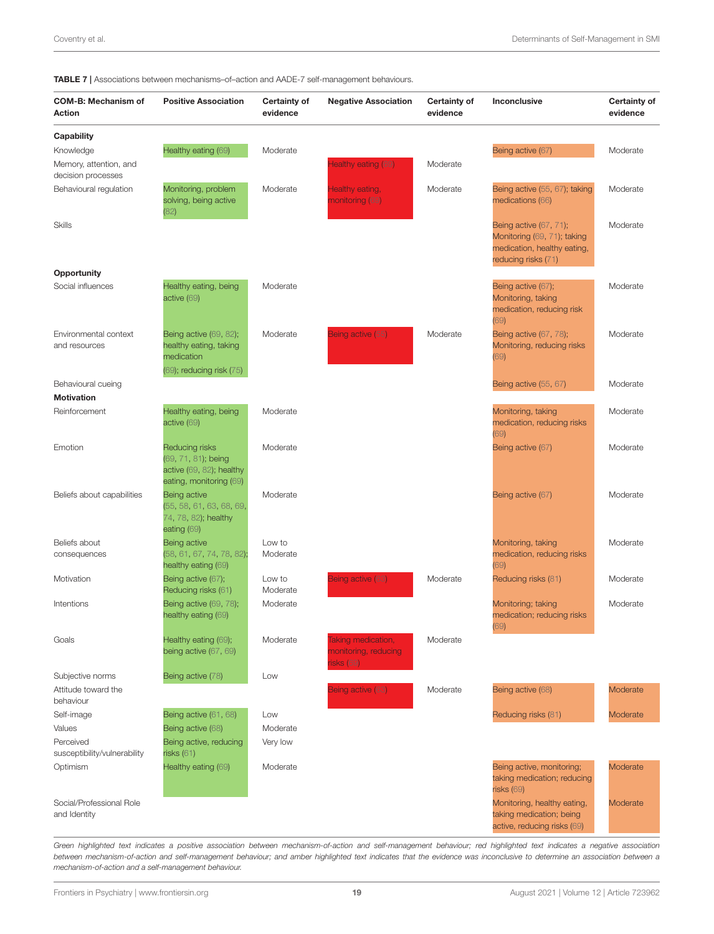| <b>IADLE I</b>   ASSOCIATIONS DELWEEN MECHANISMS-OPACTION AND AADL-I SEIPHANGGEMENT DENAVIOUS. |                                                                                                 |                          |                                                       |                                 |                                                                                                                    |                                 |
|------------------------------------------------------------------------------------------------|-------------------------------------------------------------------------------------------------|--------------------------|-------------------------------------------------------|---------------------------------|--------------------------------------------------------------------------------------------------------------------|---------------------------------|
| <b>COM-B: Mechanism of</b><br>Action                                                           | <b>Positive Association</b>                                                                     | Certainty of<br>evidence | <b>Negative Association</b>                           | <b>Certainty of</b><br>evidence | Inconclusive                                                                                                       | <b>Certainty of</b><br>evidence |
| <b>Capability</b>                                                                              |                                                                                                 |                          |                                                       |                                 |                                                                                                                    |                                 |
| Knowledge                                                                                      | Healthy eating (69)                                                                             | Moderate                 |                                                       |                                 | Being active (67)                                                                                                  | Moderate                        |
| Memory, attention, and<br>decision processes                                                   |                                                                                                 |                          | lealthy eating (69)                                   | Moderate                        |                                                                                                                    |                                 |
| Behavioural regulation                                                                         | Monitoring, problem<br>solving, being active<br>(82)                                            | Moderate                 | Healthy eating,<br>nonitoring (69)                    | Moderate                        | Being active (55, 67); taking<br>medications (66)                                                                  | Moderate                        |
| <b>Skills</b>                                                                                  |                                                                                                 |                          |                                                       |                                 | <b>Being active (67, 71);</b><br>Monitoring (69, 71); taking<br>medication, healthy eating,<br>reducing risks (71) | Moderate                        |
| <b>Opportunity</b>                                                                             |                                                                                                 |                          |                                                       |                                 |                                                                                                                    |                                 |
| Social influences                                                                              | Healthy eating, being<br>active (69)                                                            | Moderate                 |                                                       |                                 | Being active (67);<br>Monitoring, taking<br>medication, reducing risk<br>(69)                                      | Moderate                        |
| Environmental context<br>and resources                                                         | Being active (69, 82);<br>healthy eating, taking<br>medication<br>(69); reducing risk (75)      | Moderate                 | Being active (55)                                     | Moderate                        | Being active (67, 78);<br>Monitoring, reducing risks<br>(69)                                                       | Moderate                        |
| Behavioural cueing                                                                             |                                                                                                 |                          |                                                       |                                 | Being active (55, 67)                                                                                              | Moderate                        |
| <b>Motivation</b>                                                                              |                                                                                                 |                          |                                                       |                                 |                                                                                                                    |                                 |
| Reinforcement                                                                                  | Healthy eating, being<br>active (69)                                                            | Moderate                 |                                                       |                                 | Monitoring, taking<br>medication, reducing risks<br>(69)                                                           | Moderate                        |
| Emotion                                                                                        | Reducing risks<br>(69, 71, 81); being<br>active $(69, 82)$ ; healthy<br>eating, monitoring (69) | Moderate                 |                                                       |                                 | Being active (67)                                                                                                  | Moderate                        |
| Beliefs about capabilities                                                                     | Being active<br>(55, 58, 61, 63, 68, 69,<br>74, 78, 82); healthy<br>eating (69)                 | Moderate                 |                                                       |                                 | Being active (67)                                                                                                  | Moderate                        |
| Beliefs about                                                                                  | Being active                                                                                    | Low to                   |                                                       |                                 | Monitoring, taking                                                                                                 | Moderate                        |
| consequences                                                                                   | (58, 61, 67, 74, 78, 82);<br>healthy eating (69)                                                | Moderate                 |                                                       |                                 | medication, reducing risks<br>(69)                                                                                 |                                 |
| Motivation                                                                                     | Being active (67);<br>Reducing risks (61)                                                       | Low to<br>Moderate       | Being active (63)                                     | Moderate                        | Reducing risks (81)                                                                                                | Moderate                        |
| Intentions                                                                                     | Being active (69, 78);<br>healthy eating (69)                                                   | Moderate                 |                                                       |                                 | Monitoring; taking<br>medication; reducing risks<br>(69)                                                           | Moderate                        |
| Goals                                                                                          | Healthy eating (69);<br>being active (67, 69)                                                   | Moderate                 | aking medication,<br>nonitoring, reducing<br>sks (69) | Moderate                        |                                                                                                                    |                                 |
| Subjective norms                                                                               | Being active (78)                                                                               | Low                      |                                                       |                                 |                                                                                                                    |                                 |
| Attitude toward the<br>behaviour                                                               |                                                                                                 |                          | Being active (63)                                     | Moderate                        | Being active (68)                                                                                                  | Moderate                        |
| Self-image                                                                                     | Being active (61, 68)                                                                           | Low                      |                                                       |                                 | Reducing risks (81)                                                                                                | Moderate                        |
| Values                                                                                         | Being active (68)                                                                               | Moderate                 |                                                       |                                 |                                                                                                                    |                                 |
| Perceived<br>susceptibility/vulnerability                                                      | Being active, reducing<br>risks(61)                                                             | Very low                 |                                                       |                                 |                                                                                                                    |                                 |
| Optimism                                                                                       | Healthy eating (69)                                                                             | Moderate                 |                                                       |                                 | Being active, monitoring;<br>taking medication; reducing<br>risks (69)                                             | Moderate                        |
| Social/Professional Role<br>and Identity                                                       |                                                                                                 |                          |                                                       |                                 | Monitoring, healthy eating,<br>taking medication; being<br>active, reducing risks (69)                             | Moderate                        |

<span id="page-18-0"></span>TABLE 7 | Associations between mechanisms–of–action and AADE-7 self-management behaviours.

*Green highlighted text indicates a positive association between mechanism-of-action and self-management behaviour; red highlighted text indicates a negative association between mechanism-of-action and self-management behaviour; and amber highlighted text indicates that the evidence was inconclusive to determine an association between a mechanism-of-action and a self-management behaviour.*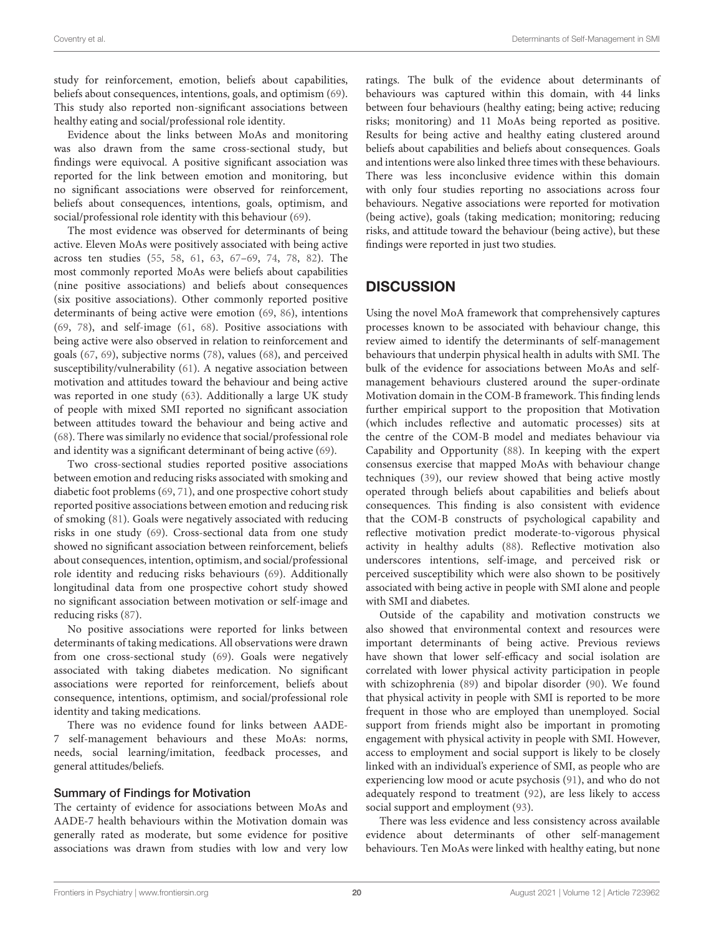study for reinforcement, emotion, beliefs about capabilities, beliefs about consequences, intentions, goals, and optimism [\(69\)](#page-24-17). This study also reported non-significant associations between healthy eating and social/professional role identity.

Evidence about the links between MoAs and monitoring was also drawn from the same cross-sectional study, but findings were equivocal. A positive significant association was reported for the link between emotion and monitoring, but no significant associations were observed for reinforcement, beliefs about consequences, intentions, goals, optimism, and social/professional role identity with this behaviour [\(69\)](#page-24-17).

The most evidence was observed for determinants of being active. Eleven MoAs were positively associated with being active across ten studies [\(55,](#page-24-23) [58,](#page-24-24) [61,](#page-24-21) [63,](#page-24-16) [67–](#page-24-25)[69,](#page-24-17) [74,](#page-24-28) [78,](#page-25-2) [82\)](#page-25-4). The most commonly reported MoAs were beliefs about capabilities (nine positive associations) and beliefs about consequences (six positive associations). Other commonly reported positive determinants of being active were emotion [\(69,](#page-24-17) [86\)](#page-25-17), intentions [\(69,](#page-24-17) [78\)](#page-25-2), and self-image [\(61,](#page-24-21) [68\)](#page-24-26). Positive associations with being active were also observed in relation to reinforcement and goals [\(67,](#page-24-25) [69\)](#page-24-17), subjective norms [\(78\)](#page-25-2), values [\(68\)](#page-24-26), and perceived susceptibility/vulnerability [\(61\)](#page-24-21). A negative association between motivation and attitudes toward the behaviour and being active was reported in one study [\(63\)](#page-24-16). Additionally a large UK study of people with mixed SMI reported no significant association between attitudes toward the behaviour and being active and [\(68\)](#page-24-26). There was similarly no evidence that social/professional role and identity was a significant determinant of being active [\(69\)](#page-24-17).

Two cross-sectional studies reported positive associations between emotion and reducing risks associated with smoking and diabetic foot problems [\(69,](#page-24-17) [71\)](#page-24-18), and one prospective cohort study reported positive associations between emotion and reducing risk of smoking [\(81\)](#page-25-5). Goals were negatively associated with reducing risks in one study [\(69\)](#page-24-17). Cross-sectional data from one study showed no significant association between reinforcement, beliefs about consequences, intention, optimism, and social/professional role identity and reducing risks behaviours [\(69\)](#page-24-17). Additionally longitudinal data from one prospective cohort study showed no significant association between motivation or self-image and reducing risks [\(87\)](#page-25-18).

No positive associations were reported for links between determinants of taking medications. All observations were drawn from one cross-sectional study [\(69\)](#page-24-17). Goals were negatively associated with taking diabetes medication. No significant associations were reported for reinforcement, beliefs about consequence, intentions, optimism, and social/professional role identity and taking medications.

There was no evidence found for links between AADE-7 self-management behaviours and these MoAs: norms, needs, social learning/imitation, feedback processes, and general attitudes/beliefs.

#### Summary of Findings for Motivation

The certainty of evidence for associations between MoAs and AADE-7 health behaviours within the Motivation domain was generally rated as moderate, but some evidence for positive associations was drawn from studies with low and very low ratings. The bulk of the evidence about determinants of behaviours was captured within this domain, with 44 links between four behaviours (healthy eating; being active; reducing risks; monitoring) and 11 MoAs being reported as positive. Results for being active and healthy eating clustered around beliefs about capabilities and beliefs about consequences. Goals and intentions were also linked three times with these behaviours. There was less inconclusive evidence within this domain with only four studies reporting no associations across four behaviours. Negative associations were reported for motivation (being active), goals (taking medication; monitoring; reducing risks, and attitude toward the behaviour (being active), but these findings were reported in just two studies.

## **DISCUSSION**

Using the novel MoA framework that comprehensively captures processes known to be associated with behaviour change, this review aimed to identify the determinants of self-management behaviours that underpin physical health in adults with SMI. The bulk of the evidence for associations between MoAs and selfmanagement behaviours clustered around the super-ordinate Motivation domain in the COM-B framework. This finding lends further empirical support to the proposition that Motivation (which includes reflective and automatic processes) sits at the centre of the COM-B model and mediates behaviour via Capability and Opportunity [\(88\)](#page-25-19). In keeping with the expert consensus exercise that mapped MoAs with behaviour change techniques [\(39\)](#page-24-0), our review showed that being active mostly operated through beliefs about capabilities and beliefs about consequences. This finding is also consistent with evidence that the COM-B constructs of psychological capability and reflective motivation predict moderate-to-vigorous physical activity in healthy adults [\(88\)](#page-25-19). Reflective motivation also underscores intentions, self-image, and perceived risk or perceived susceptibility which were also shown to be positively associated with being active in people with SMI alone and people with SMI and diabetes.

Outside of the capability and motivation constructs we also showed that environmental context and resources were important determinants of being active. Previous reviews have shown that lower self-efficacy and social isolation are correlated with lower physical activity participation in people with schizophrenia [\(89\)](#page-25-20) and bipolar disorder [\(90\)](#page-25-21). We found that physical activity in people with SMI is reported to be more frequent in those who are employed than unemployed. Social support from friends might also be important in promoting engagement with physical activity in people with SMI. However, access to employment and social support is likely to be closely linked with an individual's experience of SMI, as people who are experiencing low mood or acute psychosis [\(91\)](#page-25-22), and who do not adequately respond to treatment [\(92\)](#page-25-23), are less likely to access social support and employment [\(93\)](#page-25-24).

There was less evidence and less consistency across available evidence about determinants of other self-management behaviours. Ten MoAs were linked with healthy eating, but none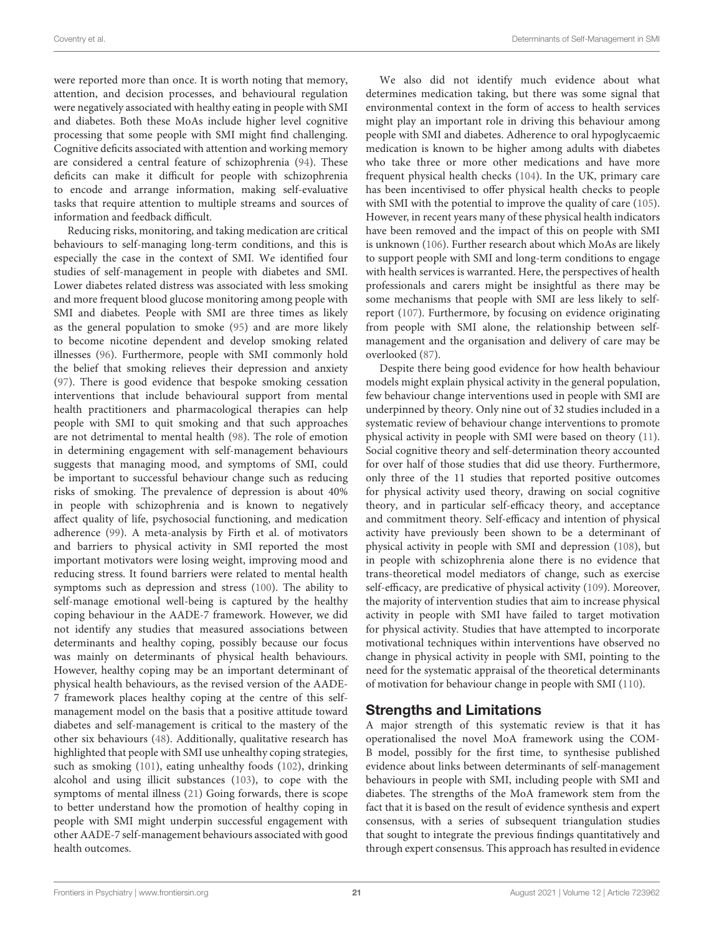were reported more than once. It is worth noting that memory, attention, and decision processes, and behavioural regulation were negatively associated with healthy eating in people with SMI and diabetes. Both these MoAs include higher level cognitive processing that some people with SMI might find challenging. Cognitive deficits associated with attention and working memory are considered a central feature of schizophrenia [\(94\)](#page-25-25). These deficits can make it difficult for people with schizophrenia to encode and arrange information, making self-evaluative tasks that require attention to multiple streams and sources of information and feedback difficult.

Reducing risks, monitoring, and taking medication are critical behaviours to self-managing long-term conditions, and this is especially the case in the context of SMI. We identified four studies of self-management in people with diabetes and SMI. Lower diabetes related distress was associated with less smoking and more frequent blood glucose monitoring among people with SMI and diabetes. People with SMI are three times as likely as the general population to smoke [\(95\)](#page-25-26) and are more likely to become nicotine dependent and develop smoking related illnesses [\(96\)](#page-25-27). Furthermore, people with SMI commonly hold the belief that smoking relieves their depression and anxiety [\(97\)](#page-25-28). There is good evidence that bespoke smoking cessation interventions that include behavioural support from mental health practitioners and pharmacological therapies can help people with SMI to quit smoking and that such approaches are not detrimental to mental health [\(98\)](#page-25-29). The role of emotion in determining engagement with self-management behaviours suggests that managing mood, and symptoms of SMI, could be important to successful behaviour change such as reducing risks of smoking. The prevalence of depression is about 40% in people with schizophrenia and is known to negatively affect quality of life, psychosocial functioning, and medication adherence [\(99\)](#page-25-30). A meta-analysis by Firth et al. of motivators and barriers to physical activity in SMI reported the most important motivators were losing weight, improving mood and reducing stress. It found barriers were related to mental health symptoms such as depression and stress [\(100\)](#page-25-31). The ability to self-manage emotional well-being is captured by the healthy coping behaviour in the AADE-7 framework. However, we did not identify any studies that measured associations between determinants and healthy coping, possibly because our focus was mainly on determinants of physical health behaviours. However, healthy coping may be an important determinant of physical health behaviours, as the revised version of the AADE-7 framework places healthy coping at the centre of this selfmanagement model on the basis that a positive attitude toward diabetes and self-management is critical to the mastery of the other six behaviours [\(48\)](#page-24-9). Additionally, qualitative research has highlighted that people with SMI use unhealthy coping strategies, such as smoking [\(101\)](#page-25-32), eating unhealthy foods [\(102\)](#page-25-33), drinking alcohol and using illicit substances [\(103\)](#page-25-34), to cope with the symptoms of mental illness [\(21\)](#page-23-16) Going forwards, there is scope to better understand how the promotion of healthy coping in people with SMI might underpin successful engagement with other AADE-7 self-management behaviours associated with good health outcomes.

We also did not identify much evidence about what determines medication taking, but there was some signal that environmental context in the form of access to health services might play an important role in driving this behaviour among people with SMI and diabetes. Adherence to oral hypoglycaemic medication is known to be higher among adults with diabetes who take three or more other medications and have more frequent physical health checks [\(104\)](#page-25-35). In the UK, primary care has been incentivised to offer physical health checks to people with SMI with the potential to improve the quality of care [\(105\)](#page-25-36). However, in recent years many of these physical health indicators have been removed and the impact of this on people with SMI is unknown [\(106\)](#page-25-37). Further research about which MoAs are likely to support people with SMI and long-term conditions to engage with health services is warranted. Here, the perspectives of health professionals and carers might be insightful as there may be some mechanisms that people with SMI are less likely to selfreport [\(107\)](#page-25-38). Furthermore, by focusing on evidence originating from people with SMI alone, the relationship between selfmanagement and the organisation and delivery of care may be overlooked [\(87\)](#page-25-18).

Despite there being good evidence for how health behaviour models might explain physical activity in the general population, few behaviour change interventions used in people with SMI are underpinned by theory. Only nine out of 32 studies included in a systematic review of behaviour change interventions to promote physical activity in people with SMI were based on theory [\(11\)](#page-23-6). Social cognitive theory and self-determination theory accounted for over half of those studies that did use theory. Furthermore, only three of the 11 studies that reported positive outcomes for physical activity used theory, drawing on social cognitive theory, and in particular self-efficacy theory, and acceptance and commitment theory. Self-efficacy and intention of physical activity have previously been shown to be a determinant of physical activity in people with SMI and depression [\(108\)](#page-25-39), but in people with schizophrenia alone there is no evidence that trans-theoretical model mediators of change, such as exercise self-efficacy, are predicative of physical activity [\(109\)](#page-25-40). Moreover, the majority of intervention studies that aim to increase physical activity in people with SMI have failed to target motivation for physical activity. Studies that have attempted to incorporate motivational techniques within interventions have observed no change in physical activity in people with SMI, pointing to the need for the systematic appraisal of the theoretical determinants of motivation for behaviour change in people with SMI [\(110\)](#page-25-41).

## Strengths and Limitations

A major strength of this systematic review is that it has operationalised the novel MoA framework using the COM-B model, possibly for the first time, to synthesise published evidence about links between determinants of self-management behaviours in people with SMI, including people with SMI and diabetes. The strengths of the MoA framework stem from the fact that it is based on the result of evidence synthesis and expert consensus, with a series of subsequent triangulation studies that sought to integrate the previous findings quantitatively and through expert consensus. This approach has resulted in evidence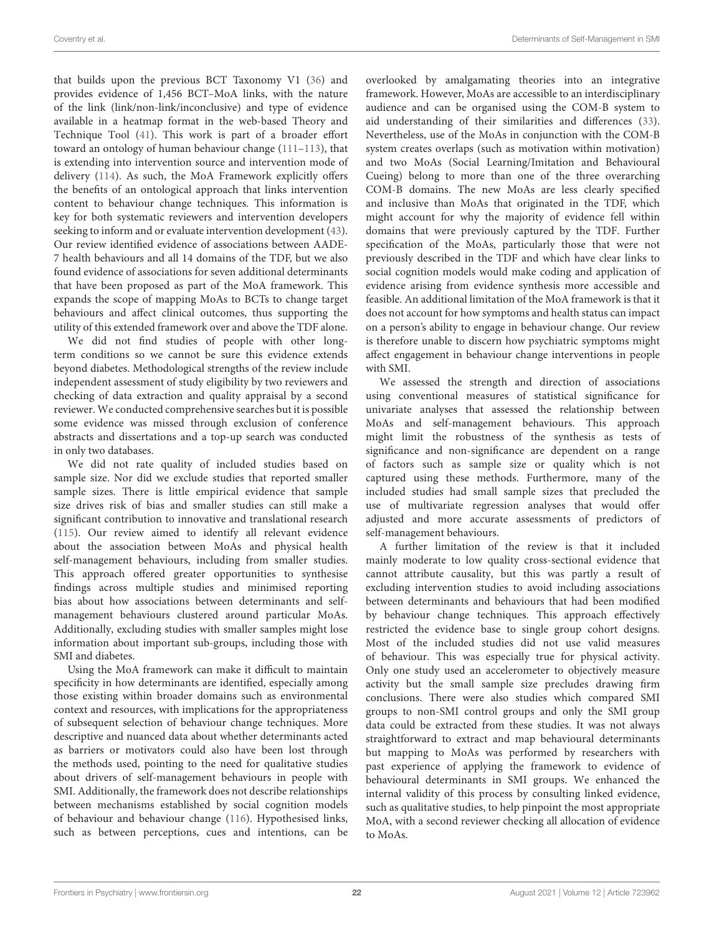that builds upon the previous BCT Taxonomy V1 [\(36\)](#page-23-31) and provides evidence of 1,456 BCT–MoA links, with the nature of the link (link/non-link/inconclusive) and type of evidence available in a heatmap format in the web-based Theory and Technique Tool [\(41\)](#page-24-2). This work is part of a broader effort toward an ontology of human behaviour change [\(111–](#page-25-42)[113\)](#page-26-0), that is extending into intervention source and intervention mode of delivery [\(114\)](#page-26-1). As such, the MoA Framework explicitly offers the benefits of an ontological approach that links intervention content to behaviour change techniques. This information is key for both systematic reviewers and intervention developers seeking to inform and or evaluate intervention development [\(43\)](#page-24-4). Our review identified evidence of associations between AADE-7 health behaviours and all 14 domains of the TDF, but we also found evidence of associations for seven additional determinants that have been proposed as part of the MoA framework. This expands the scope of mapping MoAs to BCTs to change target behaviours and affect clinical outcomes, thus supporting the utility of this extended framework over and above the TDF alone.

We did not find studies of people with other longterm conditions so we cannot be sure this evidence extends beyond diabetes. Methodological strengths of the review include independent assessment of study eligibility by two reviewers and checking of data extraction and quality appraisal by a second reviewer. We conducted comprehensive searches but it is possible some evidence was missed through exclusion of conference abstracts and dissertations and a top-up search was conducted in only two databases.

We did not rate quality of included studies based on sample size. Nor did we exclude studies that reported smaller sample sizes. There is little empirical evidence that sample size drives risk of bias and smaller studies can still make a significant contribution to innovative and translational research [\(115\)](#page-26-2). Our review aimed to identify all relevant evidence about the association between MoAs and physical health self-management behaviours, including from smaller studies. This approach offered greater opportunities to synthesise findings across multiple studies and minimised reporting bias about how associations between determinants and selfmanagement behaviours clustered around particular MoAs. Additionally, excluding studies with smaller samples might lose information about important sub-groups, including those with SMI and diabetes.

Using the MoA framework can make it difficult to maintain specificity in how determinants are identified, especially among those existing within broader domains such as environmental context and resources, with implications for the appropriateness of subsequent selection of behaviour change techniques. More descriptive and nuanced data about whether determinants acted as barriers or motivators could also have been lost through the methods used, pointing to the need for qualitative studies about drivers of self-management behaviours in people with SMI. Additionally, the framework does not describe relationships between mechanisms established by social cognition models of behaviour and behaviour change [\(116\)](#page-26-3). Hypothesised links, such as between perceptions, cues and intentions, can be overlooked by amalgamating theories into an integrative framework. However, MoAs are accessible to an interdisciplinary audience and can be organised using the COM-B system to aid understanding of their similarities and differences [\(33\)](#page-23-28). Nevertheless, use of the MoAs in conjunction with the COM-B system creates overlaps (such as motivation within motivation) and two MoAs (Social Learning/Imitation and Behavioural Cueing) belong to more than one of the three overarching COM-B domains. The new MoAs are less clearly specified and inclusive than MoAs that originated in the TDF, which might account for why the majority of evidence fell within domains that were previously captured by the TDF. Further specification of the MoAs, particularly those that were not previously described in the TDF and which have clear links to social cognition models would make coding and application of evidence arising from evidence synthesis more accessible and feasible. An additional limitation of the MoA framework is that it does not account for how symptoms and health status can impact on a person's ability to engage in behaviour change. Our review is therefore unable to discern how psychiatric symptoms might affect engagement in behaviour change interventions in people with SMI.

We assessed the strength and direction of associations using conventional measures of statistical significance for univariate analyses that assessed the relationship between MoAs and self-management behaviours. This approach might limit the robustness of the synthesis as tests of significance and non-significance are dependent on a range of factors such as sample size or quality which is not captured using these methods. Furthermore, many of the included studies had small sample sizes that precluded the use of multivariate regression analyses that would offer adjusted and more accurate assessments of predictors of self-management behaviours.

A further limitation of the review is that it included mainly moderate to low quality cross-sectional evidence that cannot attribute causality, but this was partly a result of excluding intervention studies to avoid including associations between determinants and behaviours that had been modified by behaviour change techniques. This approach effectively restricted the evidence base to single group cohort designs. Most of the included studies did not use valid measures of behaviour. This was especially true for physical activity. Only one study used an accelerometer to objectively measure activity but the small sample size precludes drawing firm conclusions. There were also studies which compared SMI groups to non-SMI control groups and only the SMI group data could be extracted from these studies. It was not always straightforward to extract and map behavioural determinants but mapping to MoAs was performed by researchers with past experience of applying the framework to evidence of behavioural determinants in SMI groups. We enhanced the internal validity of this process by consulting linked evidence, such as qualitative studies, to help pinpoint the most appropriate MoA, with a second reviewer checking all allocation of evidence to MoAs.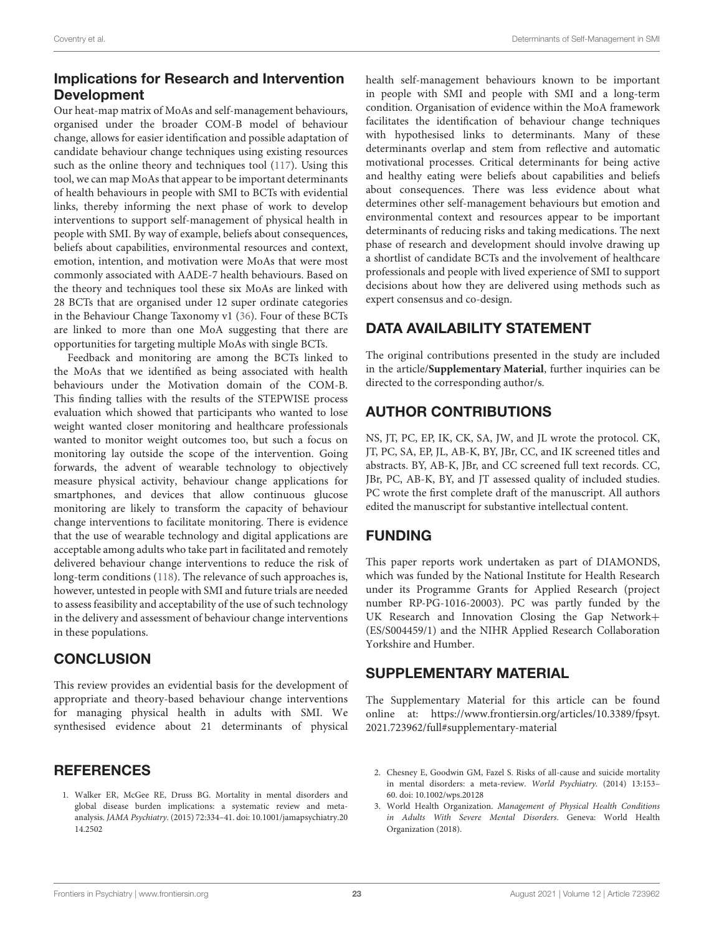## Implications for Research and Intervention Development

Our heat-map matrix of MoAs and self-management behaviours, organised under the broader COM-B model of behaviour change, allows for easier identification and possible adaptation of candidate behaviour change techniques using existing resources such as the online theory and techniques tool [\(117\)](#page-26-4). Using this tool, we can map MoAs that appear to be important determinants of health behaviours in people with SMI to BCTs with evidential links, thereby informing the next phase of work to develop interventions to support self-management of physical health in people with SMI. By way of example, beliefs about consequences, beliefs about capabilities, environmental resources and context, emotion, intention, and motivation were MoAs that were most commonly associated with AADE-7 health behaviours. Based on the theory and techniques tool these six MoAs are linked with 28 BCTs that are organised under 12 super ordinate categories in the Behaviour Change Taxonomy v1 [\(36\)](#page-23-31). Four of these BCTs are linked to more than one MoA suggesting that there are opportunities for targeting multiple MoAs with single BCTs.

Feedback and monitoring are among the BCTs linked to the MoAs that we identified as being associated with health behaviours under the Motivation domain of the COM-B. This finding tallies with the results of the STEPWISE process evaluation which showed that participants who wanted to lose weight wanted closer monitoring and healthcare professionals wanted to monitor weight outcomes too, but such a focus on monitoring lay outside the scope of the intervention. Going forwards, the advent of wearable technology to objectively measure physical activity, behaviour change applications for smartphones, and devices that allow continuous glucose monitoring are likely to transform the capacity of behaviour change interventions to facilitate monitoring. There is evidence that the use of wearable technology and digital applications are acceptable among adults who take part in facilitated and remotely delivered behaviour change interventions to reduce the risk of long-term conditions [\(118\)](#page-26-5). The relevance of such approaches is, however, untested in people with SMI and future trials are needed to assess feasibility and acceptability of the use of such technology in the delivery and assessment of behaviour change interventions in these populations.

## **CONCLUSION**

This review provides an evidential basis for the development of appropriate and theory-based behaviour change interventions for managing physical health in adults with SMI. We synthesised evidence about 21 determinants of physical

## **REFERENCES**

<span id="page-22-0"></span>1. Walker ER, McGee RE, Druss BG. Mortality in mental disorders and global disease burden implications: a systematic review and metaanalysis. JAMA Psychiatry. [\(2015\) 72:334–41. doi: 10.1001/jamapsychiatry.20](https://doi.org/10.1001/jamapsychiatry.2014.2502) 14.2502

health self-management behaviours known to be important in people with SMI and people with SMI and a long-term condition. Organisation of evidence within the MoA framework facilitates the identification of behaviour change techniques with hypothesised links to determinants. Many of these determinants overlap and stem from reflective and automatic motivational processes. Critical determinants for being active and healthy eating were beliefs about capabilities and beliefs about consequences. There was less evidence about what determines other self-management behaviours but emotion and environmental context and resources appear to be important determinants of reducing risks and taking medications. The next phase of research and development should involve drawing up a shortlist of candidate BCTs and the involvement of healthcare professionals and people with lived experience of SMI to support decisions about how they are delivered using methods such as expert consensus and co-design.

## DATA AVAILABILITY STATEMENT

The original contributions presented in the study are included in the article/**[Supplementary Material](#page-22-1)**, further inquiries can be directed to the corresponding author/s.

## AUTHOR CONTRIBUTIONS

NS, JT, PC, EP, IK, CK, SA, JW, and JL wrote the protocol. CK, JT, PC, SA, EP, JL, AB-K, BY, JBr, CC, and IK screened titles and abstracts. BY, AB-K, JBr, and CC screened full text records. CC, JBr, PC, AB-K, BY, and JT assessed quality of included studies. PC wrote the first complete draft of the manuscript. All authors edited the manuscript for substantive intellectual content.

## FUNDING

This paper reports work undertaken as part of DIAMONDS, which was funded by the National Institute for Health Research under its Programme Grants for Applied Research (project number RP-PG-1016-20003). PC was partly funded by the UK Research and Innovation Closing the Gap Network+ (ES/S004459/1) and the NIHR Applied Research Collaboration Yorkshire and Humber.

## SUPPLEMENTARY MATERIAL

<span id="page-22-1"></span>The Supplementary Material for this article can be found [online at: https://www.frontiersin.org/articles/10.3389/fpsyt.](https://www.frontiersin.org/articles/10.3389/fpsyt.2021.723962/full#supplementary-material) 2021.723962/full#supplementary-material

- 2. Chesney E, Goodwin GM, Fazel S. Risks of all-cause and suicide mortality in mental disorders: a meta-review. World Psychiatry. (2014) 13:153– 60. doi: [10.1002/wps.20128](https://doi.org/10.1002/wps.20128)
- 3. World Health Organization. Management of Physical Health Conditions in Adults With Severe Mental Disorders. Geneva: World Health Organization (2018).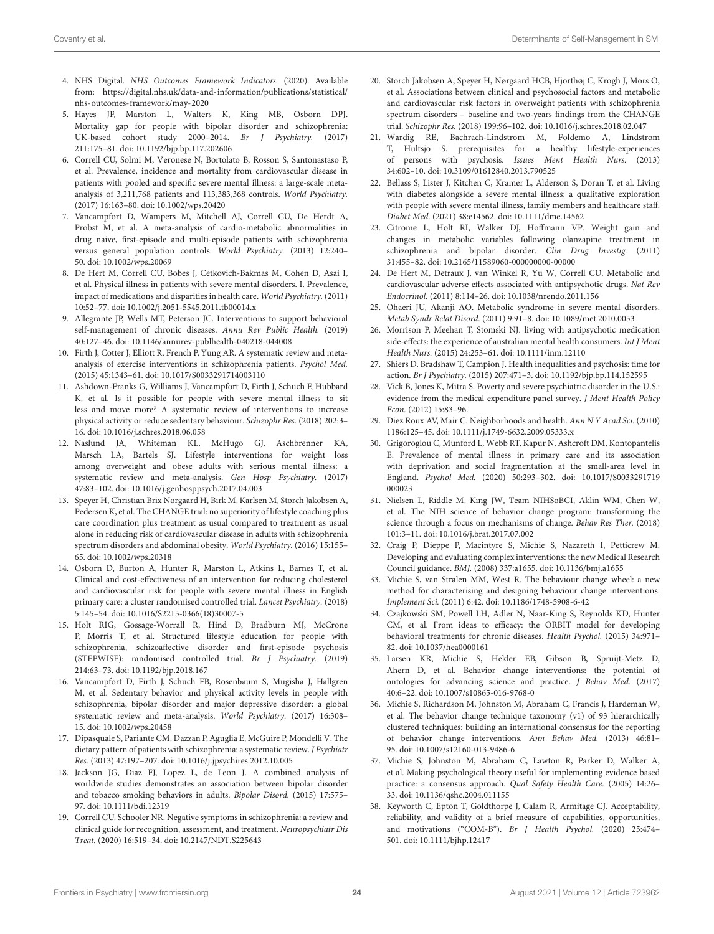- <span id="page-23-0"></span>4. NHS Digital. NHS Outcomes Framework Indicators. (2020). Available from: [https://digital.nhs.uk/data-and-information/publications/statistical/](https://digital.nhs.uk/data-and-information/publications/statistical/nhs-outcomes-framework/may-2020) [nhs-outcomes-framework/may-2020](https://digital.nhs.uk/data-and-information/publications/statistical/nhs-outcomes-framework/may-2020)
- <span id="page-23-1"></span>5. Hayes JF, Marston L, Walters K, King MB, Osborn DPJ. Mortality gap for people with bipolar disorder and schizophrenia: UK-based cohort study 2000–2014. Br J Psychiatry. (2017) 211:175–81. doi: [10.1192/bjp.bp.117.202606](https://doi.org/10.1192/bjp.bp.117.202606)
- <span id="page-23-2"></span>6. Correll CU, Solmi M, Veronese N, Bortolato B, Rosson S, Santonastaso P, et al. Prevalence, incidence and mortality from cardiovascular disease in patients with pooled and specific severe mental illness: a large-scale metaanalysis of 3,211,768 patients and 113,383,368 controls. World Psychiatry. (2017) 16:163–80. doi: [10.1002/wps.20420](https://doi.org/10.1002/wps.20420)
- 7. Vancampfort D, Wampers M, Mitchell AJ, Correll CU, De Herdt A, Probst M, et al. A meta-analysis of cardio-metabolic abnormalities in drug naive, first-episode and multi-episode patients with schizophrenia versus general population controls. World Psychiatry. (2013) 12:240– 50. doi: [10.1002/wps.20069](https://doi.org/10.1002/wps.20069)
- <span id="page-23-3"></span>8. De Hert M, Correll CU, Bobes J, Cetkovich-Bakmas M, Cohen D, Asai I, et al. Physical illness in patients with severe mental disorders. I. Prevalence, impact of medications and disparities in health care. World Psychiatry. (2011) 10:52–77. doi: [10.1002/j.2051-5545.2011.tb00014.x](https://doi.org/10.1002/j.2051-5545.2011.tb00014.x)
- <span id="page-23-4"></span>9. Allegrante JP, Wells MT, Peterson JC. Interventions to support behavioral self-management of chronic diseases. Annu Rev Public Health. (2019) 40:127–46. doi: [10.1146/annurev-publhealth-040218-044008](https://doi.org/10.1146/annurev-publhealth-040218-044008)
- <span id="page-23-5"></span>10. Firth J, Cotter J, Elliott R, French P, Yung AR. A systematic review and metaanalysis of exercise interventions in schizophrenia patients. Psychol Med. (2015) 45:1343–61. doi: [10.1017/S0033291714003110](https://doi.org/10.1017/S0033291714003110)
- <span id="page-23-6"></span>11. Ashdown-Franks G, Williams J, Vancampfort D, Firth J, Schuch F, Hubbard K, et al. Is it possible for people with severe mental illness to sit less and move more? A systematic review of interventions to increase physical activity or reduce sedentary behaviour. Schizophr Res. (2018) 202:3– 16. doi: [10.1016/j.schres.2018.06.058](https://doi.org/10.1016/j.schres.2018.06.058)
- <span id="page-23-7"></span>12. Naslund JA, Whiteman KL, McHugo GJ, Aschbrenner KA, Marsch LA, Bartels SJ. Lifestyle interventions for weight loss among overweight and obese adults with serious mental illness: a systematic review and meta-analysis. Gen Hosp Psychiatry. (2017) 47:83–102. doi: [10.1016/j.genhosppsych.2017.04.003](https://doi.org/10.1016/j.genhosppsych.2017.04.003)
- <span id="page-23-8"></span>13. Speyer H, Christian Brix Norgaard H, Birk M, Karlsen M, Storch Jakobsen A, Pedersen K, et al. The CHANGE trial: no superiority of lifestyle coaching plus care coordination plus treatment as usual compared to treatment as usual alone in reducing risk of cardiovascular disease in adults with schizophrenia spectrum disorders and abdominal obesity. World Psychiatry. (2016) 15:155– 65. doi: [10.1002/wps.20318](https://doi.org/10.1002/wps.20318)
- <span id="page-23-9"></span>14. Osborn D, Burton A, Hunter R, Marston L, Atkins L, Barnes T, et al. Clinical and cost-effectiveness of an intervention for reducing cholesterol and cardiovascular risk for people with severe mental illness in English primary care: a cluster randomised controlled trial. Lancet Psychiatry. (2018) 5:145–54. doi: [10.1016/S2215-0366\(18\)30007-5](https://doi.org/10.1016/S2215-0366(18)30007-5)
- <span id="page-23-10"></span>15. Holt RIG, Gossage-Worrall R, Hind D, Bradburn MJ, McCrone P, Morris T, et al. Structured lifestyle education for people with schizophrenia, schizoaffective disorder and first-episode psychosis (STEPWISE): randomised controlled trial. Br J Psychiatry. (2019) 214:63–73. doi: [10.1192/bjp.2018.167](https://doi.org/10.1192/bjp.2018.167)
- <span id="page-23-11"></span>16. Vancampfort D, Firth J, Schuch FB, Rosenbaum S, Mugisha J, Hallgren M, et al. Sedentary behavior and physical activity levels in people with schizophrenia, bipolar disorder and major depressive disorder: a global systematic review and meta-analysis. World Psychiatry. (2017) 16:308– 15. doi: [10.1002/wps.20458](https://doi.org/10.1002/wps.20458)
- <span id="page-23-12"></span>17. Dipasquale S, Pariante CM, Dazzan P, Aguglia E, McGuire P, Mondelli V. The dietary pattern of patients with schizophrenia: a systematic review. J Psychiatr Res. (2013) 47:197–207. doi: [10.1016/j.jpsychires.2012.10.005](https://doi.org/10.1016/j.jpsychires.2012.10.005)
- <span id="page-23-13"></span>18. Jackson JG, Diaz FJ, Lopez L, de Leon J. A combined analysis of worldwide studies demonstrates an association between bipolar disorder and tobacco smoking behaviors in adults. Bipolar Disord. (2015) 17:575– 97. doi: [10.1111/bdi.12319](https://doi.org/10.1111/bdi.12319)
- <span id="page-23-14"></span>19. Correll CU, Schooler NR. Negative symptoms in schizophrenia: a review and clinical guide for recognition, assessment, and treatment. Neuropsychiatr Dis Treat. (2020) 16:519–34. doi: [10.2147/NDT.S225643](https://doi.org/10.2147/NDT.S225643)
- <span id="page-23-15"></span>20. Storch Jakobsen A, Speyer H, Nørgaard HCB, Hjorthøj C, Krogh J, Mors O, et al. Associations between clinical and psychosocial factors and metabolic and cardiovascular risk factors in overweight patients with schizophrenia spectrum disorders – baseline and two-years findings from the CHANGE trial. Schizophr Res. (2018) 199:96–102. doi: [10.1016/j.schres.2018.02.047](https://doi.org/10.1016/j.schres.2018.02.047)
- <span id="page-23-16"></span>21. Wardig RE, Bachrach-Lindstrom M, Foldemo A, Lindstrom T, Hultsjo S. prerequisites for a healthy lifestyle-experiences of persons with psychosis. Issues Ment Health Nurs. (2013) 34:602–10. doi: [10.3109/01612840.2013.790525](https://doi.org/10.3109/01612840.2013.790525)
- <span id="page-23-17"></span>22. Bellass S, Lister J, Kitchen C, Kramer L, Alderson S, Doran T, et al. Living with diabetes alongside a severe mental illness: a qualitative exploration with people with severe mental illness, family members and healthcare staff. Diabet Med. (2021) 38:e14562. doi: [10.1111/dme.14562](https://doi.org/10.1111/dme.14562)
- <span id="page-23-18"></span>23. Citrome L, Holt RI, Walker DJ, Hoffmann VP. Weight gain and changes in metabolic variables following olanzapine treatment in schizophrenia and bipolar disorder. Clin Drug Investig. (2011) 31:455–82. doi: [10.2165/11589060-000000000-00000](https://doi.org/10.2165/11589060-000000000-00000)
- <span id="page-23-19"></span>24. De Hert M, Detraux J, van Winkel R, Yu W, Correll CU. Metabolic and cardiovascular adverse effects associated with antipsychotic drugs. Nat Rev Endocrinol. (2011) 8:114–26. doi: [10.1038/nrendo.2011.156](https://doi.org/10.1038/nrendo.2011.156)
- <span id="page-23-20"></span>25. Ohaeri JU, Akanji AO. Metabolic syndrome in severe mental disorders. Metab Syndr Relat Disord. (2011) 9:91–8. doi: [10.1089/met.2010.0053](https://doi.org/10.1089/met.2010.0053)
- <span id="page-23-21"></span>26. Morrison P, Meehan T, Stomski NJ. living with antipsychotic medication side-effects: the experience of australian mental health consumers. Int J Ment Health Nurs. (2015) 24:253–61. doi: [10.1111/inm.12110](https://doi.org/10.1111/inm.12110)
- <span id="page-23-22"></span>27. Shiers D, Bradshaw T, Campion J. Health inequalities and psychosis: time for action. Br J Psychiatry. (2015) 207:471–3. doi: [10.1192/bjp.bp.114.152595](https://doi.org/10.1192/bjp.bp.114.152595)
- <span id="page-23-23"></span>28. Vick B, Jones K, Mitra S. Poverty and severe psychiatric disorder in the U.S.: evidence from the medical expenditure panel survey. J Ment Health Policy Econ. (2012) 15:83–96.
- <span id="page-23-24"></span>29. Diez Roux AV, Mair C. Neighborhoods and health. Ann N Y Acad Sci. (2010) 1186:125–45. doi: [10.1111/j.1749-6632.2009.05333.x](https://doi.org/10.1111/j.1749-6632.2009.05333.x)
- <span id="page-23-25"></span>30. Grigoroglou C, Munford L, Webb RT, Kapur N, Ashcroft DM, Kontopantelis E. Prevalence of mental illness in primary care and its association with deprivation and social fragmentation at the small-area level in England. Psychol Med. [\(2020\) 50:293–302. doi: 10.1017/S0033291719](https://doi.org/10.1017/S0033291719000023) 000023
- <span id="page-23-26"></span>31. Nielsen L, Riddle M, King JW, Team NIHSoBCI, Aklin WM, Chen W, et al. The NIH science of behavior change program: transforming the science through a focus on mechanisms of change. Behav Res Ther. (2018) 101:3–11. doi: [10.1016/j.brat.2017.07.002](https://doi.org/10.1016/j.brat.2017.07.002)
- <span id="page-23-27"></span>32. Craig P, Dieppe P, Macintyre S, Michie S, Nazareth I, Petticrew M. Developing and evaluating complex interventions: the new Medical Research Council guidance. BMJ. (2008) 337:a1655. doi: [10.1136/bmj.a1655](https://doi.org/10.1136/bmj.a1655)
- <span id="page-23-28"></span>33. Michie S, van Stralen MM, West R. The behaviour change wheel: a new method for characterising and designing behaviour change interventions. Implement Sci. (2011) 6:42. doi: [10.1186/1748-5908-6-42](https://doi.org/10.1186/1748-5908-6-42)
- <span id="page-23-29"></span>34. Czajkowski SM, Powell LH, Adler N, Naar-King S, Reynolds KD, Hunter CM, et al. From ideas to efficacy: the ORBIT model for developing behavioral treatments for chronic diseases. Health Psychol. (2015) 34:971– 82. doi: [10.1037/hea0000161](https://doi.org/10.1037/hea0000161)
- <span id="page-23-30"></span>35. Larsen KR, Michie S, Hekler EB, Gibson B, Spruijt-Metz D, Ahern D, et al. Behavior change interventions: the potential of ontologies for advancing science and practice. J Behav Med. (2017) 40:6–22. doi: [10.1007/s10865-016-9768-0](https://doi.org/10.1007/s10865-016-9768-0)
- <span id="page-23-31"></span>36. Michie S, Richardson M, Johnston M, Abraham C, Francis J, Hardeman W, et al. The behavior change technique taxonomy (v1) of 93 hierarchically clustered techniques: building an international consensus for the reporting of behavior change interventions. Ann Behav Med. (2013) 46:81– 95. doi: [10.1007/s12160-013-9486-6](https://doi.org/10.1007/s12160-013-9486-6)
- <span id="page-23-32"></span>37. Michie S, Johnston M, Abraham C, Lawton R, Parker D, Walker A, et al. Making psychological theory useful for implementing evidence based practice: a consensus approach. Qual Safety Health Care. (2005) 14:26– 33. doi: [10.1136/qshc.2004.011155](https://doi.org/10.1136/qshc.2004.011155)
- <span id="page-23-33"></span>38. Keyworth C, Epton T, Goldthorpe J, Calam R, Armitage CJ. Acceptability, reliability, and validity of a brief measure of capabilities, opportunities, and motivations ("COM-B"). Br J Health Psychol. (2020) 25:474– 501. doi: [10.1111/bjhp.12417](https://doi.org/10.1111/bjhp.12417)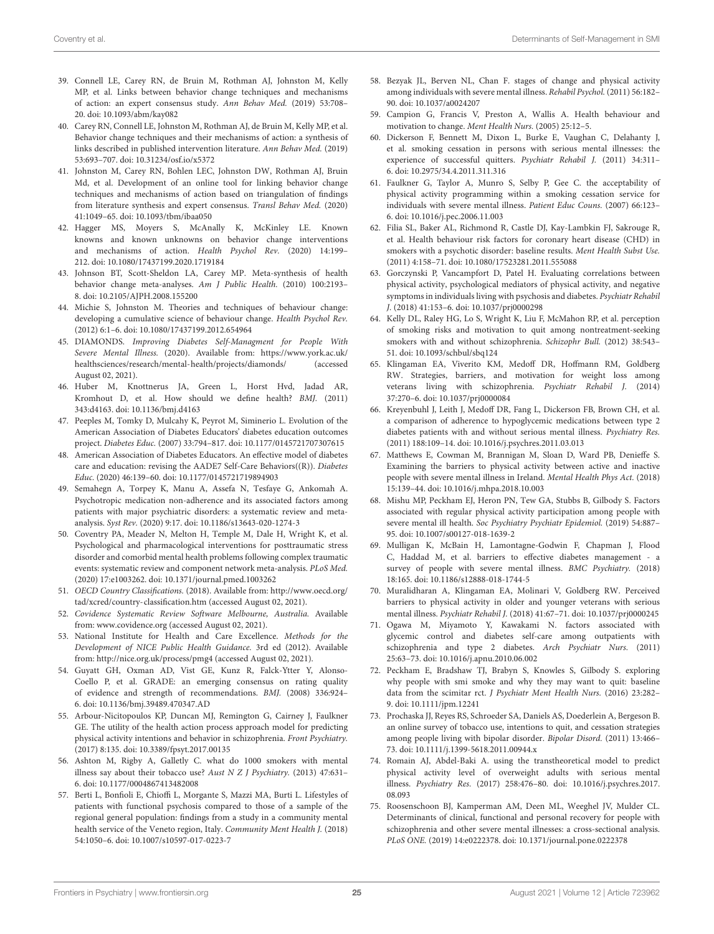- <span id="page-24-39"></span><span id="page-24-38"></span><span id="page-24-0"></span>39. Connell LE, Carey RN, de Bruin M, Rothman AJ, Johnston M, Kelly MP, et al. Links between behavior change techniques and mechanisms of action: an expert consensus study. Ann Behav Med. (2019) 53:708– 20. doi: [10.1093/abm/kay082](https://doi.org/10.1093/abm/kay082)
- <span id="page-24-1"></span>40. Carey RN, Connell LE, Johnston M, Rothman AJ, de Bruin M, Kelly MP, et al. Behavior change techniques and their mechanisms of action: a synthesis of links described in published intervention literature. Ann Behav Med. (2019) 53:693–707. doi: [10.31234/osf.io/x5372](https://doi.org/10.31234/osf.io/x5372)
- <span id="page-24-2"></span>41. Johnston M, Carey RN, Bohlen LEC, Johnston DW, Rothman AJ, Bruin Md, et al. Development of an online tool for linking behavior change techniques and mechanisms of action based on triangulation of findings from literature synthesis and expert consensus. Transl Behav Med. (2020) 41:1049–65. doi: [10.1093/tbm/ibaa050](https://doi.org/10.1093/tbm/ibaa050)
- <span id="page-24-3"></span>42. Hagger MS, Moyers S, McAnally K, McKinley LE. Known knowns and known unknowns on behavior change interventions and mechanisms of action. Health Psychol Rev. (2020) 14:199– 212. doi: [10.1080/17437199.2020.1719184](https://doi.org/10.1080/17437199.2020.1719184)
- <span id="page-24-4"></span>43. Johnson BT, Scott-Sheldon LA, Carey MP. Meta-synthesis of health behavior change meta-analyses. Am J Public Health. (2010) 100:2193– 8. doi: [10.2105/AJPH.2008.155200](https://doi.org/10.2105/AJPH.2008.155200)
- <span id="page-24-5"></span>44. Michie S, Johnston M. Theories and techniques of behaviour change: developing a cumulative science of behaviour change. Health Psychol Rev. (2012) 6:1–6. doi: [10.1080/17437199.2012.654964](https://doi.org/10.1080/17437199.2012.654964)
- <span id="page-24-6"></span>45. DIAMONDS. Improving Diabetes Self-Managment for People With Severe Mental Illness. (2020). Available from: [https://www.york.ac.uk/](https://www.york.ac.uk/healthsciences/research/mental-health/projects/diamonds/) [healthsciences/research/mental-health/projects/diamonds/](https://www.york.ac.uk/healthsciences/research/mental-health/projects/diamonds/) (accessed August 02, 2021).
- <span id="page-24-57"></span><span id="page-24-56"></span><span id="page-24-7"></span>46. Huber M, Knottnerus JA, Green L, Horst Hvd, Jadad AR, Kromhout D, et al. How should we define health? BMJ. (2011) 343:d4163. doi: [10.1136/bmj.d4163](https://doi.org/10.1136/bmj.d4163)
- <span id="page-24-8"></span>47. Peeples M, Tomky D, Mulcahy K, Peyrot M, Siminerio L. Evolution of the American Association of Diabetes Educators' diabetes education outcomes project. Diabetes Educ. (2007) 33:794–817. doi: [10.1177/0145721707307615](https://doi.org/10.1177/0145721707307615)
- <span id="page-24-9"></span>48. American Association of Diabetes Educators. An effective model of diabetes care and education: revising the AADE7 Self-Care Behaviors((R)). Diabetes Educ. (2020) 46:139–60. doi: [10.1177/0145721719894903](https://doi.org/10.1177/0145721719894903)
- <span id="page-24-10"></span>49. Semahegn A, Torpey K, Manu A, Assefa N, Tesfaye G, Ankomah A. Psychotropic medication non-adherence and its associated factors among patients with major psychiatric disorders: a systematic review and metaanalysis. Syst Rev. (2020) 9:17. doi: [10.1186/s13643-020-1274-3](https://doi.org/10.1186/s13643-020-1274-3)
- <span id="page-24-11"></span>50. Coventry PA, Meader N, Melton H, Temple M, Dale H, Wright K, et al. Psychological and pharmacological interventions for posttraumatic stress disorder and comorbid mental health problems following complex traumatic events: systematic review and component network meta-analysis. PLoS Med. (2020) 17:e1003262. doi: [10.1371/journal.pmed.1003262](https://doi.org/10.1371/journal.pmed.1003262)
- <span id="page-24-12"></span>51. OECD Country Classifications. (2018). Available from: [http://www.oecd.org/](http://www.oecd.org/tad/xcred/country-classification.htm) [tad/xcred/country-classification.htm](http://www.oecd.org/tad/xcred/country-classification.htm) (accessed August 02, 2021).
- <span id="page-24-13"></span>52. Covidence Systematic Review Software Melbourne, Australia. Available from: [www.covidence.org](http://www.covidence.org) (accessed August 02, 2021).
- <span id="page-24-14"></span>53. National Institute for Health and Care Excellence. Methods for the Development of NICE Public Health Guidance. 3rd ed (2012). Available from: http://nice.org.uk/process/pmg4 (accessed August 02, 2021).
- <span id="page-24-15"></span>54. Guyatt GH, Oxman AD, Vist GE, Kunz R, Falck-Ytter Y, Alonso-Coello P, et al. GRADE: an emerging consensus on rating quality of evidence and strength of recommendations. BMJ. (2008) 336:924– 6. doi: [10.1136/bmj.39489.470347.AD](https://doi.org/10.1136/bmj.39489.470347.AD)
- <span id="page-24-23"></span>55. Arbour-Nicitopoulos KP, Duncan MJ, Remington G, Cairney J, Faulkner GE. The utility of the health action process approach model for predicting physical activity intentions and behavior in schizophrenia. Front Psychiatry. (2017) 8:135. doi: [10.3389/fpsyt.2017.00135](https://doi.org/10.3389/fpsyt.2017.00135)
- <span id="page-24-29"></span>56. Ashton M, Rigby A, Galletly C. what do 1000 smokers with mental illness say about their tobacco use? Aust N Z J Psychiatry. (2013) 47:631-6. doi: [10.1177/0004867413482008](https://doi.org/10.1177/0004867413482008)
- <span id="page-24-19"></span>57. Berti L, Bonfioli E, Chioffi L, Morgante S, Mazzi MA, Burti L. Lifestyles of patients with functional psychosis compared to those of a sample of the regional general population: findings from a study in a community mental health service of the Veneto region, Italy. Community Ment Health J. (2018) 54:1050–6. doi: [10.1007/s10597-017-0223-7](https://doi.org/10.1007/s10597-017-0223-7)
- <span id="page-24-37"></span><span id="page-24-24"></span>58. Bezyak JL, Berven NL, Chan F. stages of change and physical activity among individuals with severe mental illness. Rehabil Psychol. (2011) 56:182– 90. doi: [10.1037/a0024207](https://doi.org/10.1037/a0024207)
- <span id="page-24-20"></span>59. Campion G, Francis V, Preston A, Wallis A. Health behaviour and motivation to change. Ment Health Nurs. (2005) 25:12–5.
- <span id="page-24-30"></span>60. Dickerson F, Bennett M, Dixon L, Burke E, Vaughan C, Delahanty J, et al. smoking cessation in persons with serious mental illnesses: the experience of successful quitters. Psychiatr Rehabil J. (2011) 34:311– 6. doi: [10.2975/34.4.2011.311.316](https://doi.org/10.2975/34.4.2011.311.316)
- <span id="page-24-21"></span>61. Faulkner G, Taylor A, Munro S, Selby P, Gee C. the acceptability of physical activity programming within a smoking cessation service for individuals with severe mental illness. Patient Educ Couns. (2007) 66:123– 6. doi: [10.1016/j.pec.2006.11.003](https://doi.org/10.1016/j.pec.2006.11.003)
- <span id="page-24-31"></span>62. Filia SL, Baker AL, Richmond R, Castle DJ, Kay-Lambkin FJ, Sakrouge R, et al. Health behaviour risk factors for coronary heart disease (CHD) in smokers with a psychotic disorder: baseline results. Ment Health Subst Use. (2011) 4:158–71. doi: [10.1080/17523281.2011.555088](https://doi.org/10.1080/17523281.2011.555088)
- <span id="page-24-16"></span>63. Gorczynski P, Vancampfort D, Patel H. Evaluating correlations between physical activity, psychological mediators of physical activity, and negative symptoms in individuals living with psychosis and diabetes. Psychiatr Rehabil J. (2018) 41:153–6. doi: [10.1037/prj0000298](https://doi.org/10.1037/prj0000298)
- <span id="page-24-32"></span>64. Kelly DL, Raley HG, Lo S, Wright K, Liu F, McMahon RP, et al. perception of smoking risks and motivation to quit among nontreatment-seeking smokers with and without schizophrenia. Schizophr Bull. (2012) 38:543– 51. doi: [10.1093/schbul/sbq124](https://doi.org/10.1093/schbul/sbq124)
- <span id="page-24-55"></span><span id="page-24-54"></span><span id="page-24-53"></span><span id="page-24-52"></span><span id="page-24-51"></span><span id="page-24-50"></span><span id="page-24-49"></span><span id="page-24-48"></span><span id="page-24-47"></span><span id="page-24-46"></span><span id="page-24-45"></span><span id="page-24-44"></span><span id="page-24-43"></span><span id="page-24-42"></span><span id="page-24-41"></span><span id="page-24-40"></span><span id="page-24-22"></span>65. Klingaman EA, Viverito KM, Medoff DR, Hoffmann RM, Goldberg RW. Strategies, barriers, and motivation for weight loss among veterans living with schizophrenia. Psychiatr Rehabil J. (2014) 37:270–6. doi: [10.1037/prj0000084](https://doi.org/10.1037/prj0000084)
- <span id="page-24-36"></span>66. Kreyenbuhl J, Leith J, Medoff DR, Fang L, Dickerson FB, Brown CH, et al. a comparison of adherence to hypoglycemic medications between type 2 diabetes patients with and without serious mental illness. Psychiatry Res. (2011) 188:109–14. doi: [10.1016/j.psychres.2011.03.013](https://doi.org/10.1016/j.psychres.2011.03.013)
- <span id="page-24-25"></span>67. Matthews E, Cowman M, Brannigan M, Sloan D, Ward PB, Denieffe S. Examining the barriers to physical activity between active and inactive people with severe mental illness in Ireland. Mental Health Phys Act. (2018) 15:139–44. doi: [10.1016/j.mhpa.2018.10.003](https://doi.org/10.1016/j.mhpa.2018.10.003)
- <span id="page-24-26"></span>68. Mishu MP, Peckham EJ, Heron PN, Tew GA, Stubbs B, Gilbody S. Factors associated with regular physical activity participation among people with severe mental ill health. Soc Psychiatry Psychiatr Epidemiol. (2019) 54:887– 95. doi: [10.1007/s00127-018-1639-2](https://doi.org/10.1007/s00127-018-1639-2)
- <span id="page-24-17"></span>69. Mulligan K, McBain H, Lamontagne-Godwin F, Chapman J, Flood C, Haddad M, et al. barriers to effective diabetes management - a survey of people with severe mental illness. BMC Psychiatry. (2018) 18:165. doi: [10.1186/s12888-018-1744-5](https://doi.org/10.1186/s12888-018-1744-5)
- <span id="page-24-27"></span>70. Muralidharan A, Klingaman EA, Molinari V, Goldberg RW. Perceived barriers to physical activity in older and younger veterans with serious mental illness. Psychiatr Rehabil J. (2018) 41:67–71. doi: [10.1037/prj0000245](https://doi.org/10.1037/prj0000245)
- <span id="page-24-18"></span>71. Ogawa M, Miyamoto Y, Kawakami N. factors associated with glycemic control and diabetes self-care among outpatients with schizophrenia and type 2 diabetes. Arch Psychiatr Nurs. (2011) 25:63–73. doi: [10.1016/j.apnu.2010.06.002](https://doi.org/10.1016/j.apnu.2010.06.002)
- <span id="page-24-33"></span>72. Peckham E, Bradshaw TJ, Brabyn S, Knowles S, Gilbody S. exploring why people with smi smoke and why they may want to quit: baseline data from the scimitar rct. J Psychiatr Ment Health Nurs. (2016) 23:282– 9. doi: [10.1111/jpm.12241](https://doi.org/10.1111/jpm.12241)
- <span id="page-24-34"></span>73. Prochaska JJ, Reyes RS, Schroeder SA, Daniels AS, Doederlein A, Bergeson B. an online survey of tobacco use, intentions to quit, and cessation strategies among people living with bipolar disorder. Bipolar Disord. (2011) 13:466– 73. doi: [10.1111/j.1399-5618.2011.00944.x](https://doi.org/10.1111/j.1399-5618.2011.00944.x)
- <span id="page-24-28"></span>74. Romain AJ, Abdel-Baki A. using the transtheoretical model to predict physical activity level of overweight adults with serious mental illness. Psychiatry Res. [\(2017\) 258:476–80. doi: 10.1016/j.psychres.2017.](https://doi.org/10.1016/j.psychres.2017.08.093) 08.093
- <span id="page-24-35"></span>75. Roosenschoon BJ, Kamperman AM, Deen ML, Weeghel JV, Mulder CL. Determinants of clinical, functional and personal recovery for people with schizophrenia and other severe mental illnesses: a cross-sectional analysis. PLoS ONE. (2019) 14:e0222378. doi: [10.1371/journal.pone.0222378](https://doi.org/10.1371/journal.pone.0222378)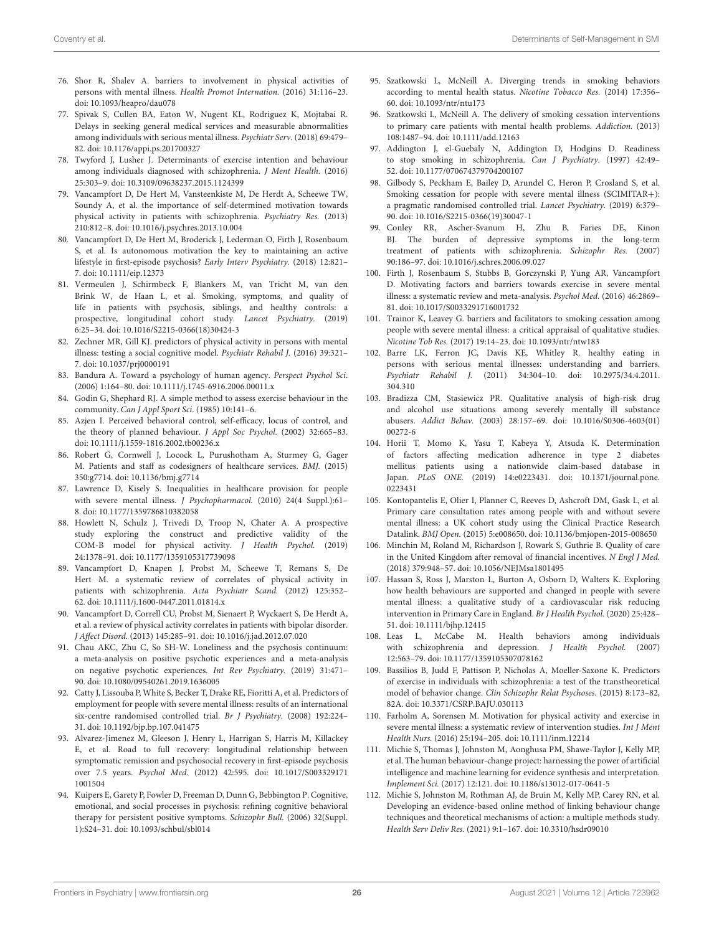- <span id="page-25-1"></span>76. Shor R, Shalev A. barriers to involvement in physical activities of persons with mental illness. Health Promot Internation. (2016) 31:116–23. doi: [10.1093/heapro/dau078](https://doi.org/10.1093/heapro/dau078)
- <span id="page-25-0"></span>77. Spivak S, Cullen BA, Eaton W, Nugent KL, Rodriguez K, Mojtabai R. Delays in seeking general medical services and measurable abnormalities among individuals with serious mental illness. Psychiatr Serv. (2018) 69:479– 82. doi: [10.1176/appi.ps.201700327](https://doi.org/10.1176/appi.ps.201700327)
- <span id="page-25-2"></span>78. Twyford J, Lusher J. Determinants of exercise intention and behaviour among individuals diagnosed with schizophrenia. J Ment Health. (2016) 25:303–9. doi: [10.3109/09638237.2015.1124399](https://doi.org/10.3109/09638237.2015.1124399)
- <span id="page-25-6"></span>79. Vancampfort D, De Hert M, Vansteenkiste M, De Herdt A, Scheewe TW, Soundy A, et al. the importance of self-determined motivation towards physical activity in patients with schizophrenia. Psychiatry Res. (2013) 210:812–8. doi: [10.1016/j.psychres.2013.10.004](https://doi.org/10.1016/j.psychres.2013.10.004)
- <span id="page-25-3"></span>80. Vancampfort D, De Hert M, Broderick J, Lederman O, Firth J, Rosenbaum S, et al. Is autonomous motivation the key to maintaining an active lifestyle in first-episode psychosis? Early Interv Psychiatry. (2018) 12:821– 7. doi: [10.1111/eip.12373](https://doi.org/10.1111/eip.12373)
- <span id="page-25-5"></span>81. Vermeulen J, Schirmbeck F, Blankers M, van Tricht M, van den Brink W, de Haan L, et al. Smoking, symptoms, and quality of life in patients with psychosis, siblings, and healthy controls: a prospective, longitudinal cohort study. Lancet Psychiatry. (2019) 6:25–34. doi: [10.1016/S2215-0366\(18\)30424-3](https://doi.org/10.1016/S2215-0366(18)30424-3)
- <span id="page-25-4"></span>82. Zechner MR, Gill KJ. predictors of physical activity in persons with mental illness: testing a social cognitive model. Psychiatr Rehabil J. (2016) 39:321– 7. doi: [10.1037/prj0000191](https://doi.org/10.1037/prj0000191)
- 83. Bandura A. Toward a psychology of human agency. Perspect Psychol Sci. (2006) 1:164–80. doi: [10.1111/j.1745-6916.2006.00011.x](https://doi.org/10.1111/j.1745-6916.2006.00011.x)
- 84. Godin G, Shephard RJ. A simple method to assess exercise behaviour in the community. Can J Appl Sport Sci. (1985) 10:141-6.
- 85. Azjen I. Perceived behavioral control, self-efficacy, locus of control, and the theory of planned behaviour. J Appl Soc Psychol. (2002) 32:665–83. doi: [10.1111/j.1559-1816.2002.tb00236.x](https://doi.org/10.1111/j.1559-1816.2002.tb00236.x)
- <span id="page-25-17"></span>86. Robert G, Cornwell J, Locock L, Purushotham A, Sturmey G, Gager M. Patients and staff as codesigners of healthcare services. BMJ. (2015) 350:g7714. doi: [10.1136/bmj.g7714](https://doi.org/10.1136/bmj.g7714)
- <span id="page-25-18"></span>87. Lawrence D, Kisely S. Inequalities in healthcare provision for people with severe mental illness. J Psychopharmacol. (2010) 24(4 Suppl.):61– 8. doi: [10.1177/1359786810382058](https://doi.org/10.1177/1359786810382058)
- <span id="page-25-19"></span>88. Howlett N, Schulz J, Trivedi D, Troop N, Chater A. A prospective study exploring the construct and predictive validity of the COM-B model for physical activity. J Health Psychol. (2019) 24:1378–91. doi: [10.1177/1359105317739098](https://doi.org/10.1177/1359105317739098)
- <span id="page-25-20"></span>89. Vancampfort D, Knapen J, Probst M, Scheewe T, Remans S, De Hert M. a systematic review of correlates of physical activity in patients with schizophrenia. Acta Psychiatr Scand. (2012) 125:352– 62. doi: [10.1111/j.1600-0447.2011.01814.x](https://doi.org/10.1111/j.1600-0447.2011.01814.x)
- <span id="page-25-21"></span>90. Vancampfort D, Correll CU, Probst M, Sienaert P, Wyckaert S, De Herdt A, et al. a review of physical activity correlates in patients with bipolar disorder. J Affect Disord. (2013) 145:285–91. doi: [10.1016/j.jad.2012.07.020](https://doi.org/10.1016/j.jad.2012.07.020)
- <span id="page-25-22"></span>91. Chau AKC, Zhu C, So SH-W. Loneliness and the psychosis continuum: a meta-analysis on positive psychotic experiences and a meta-analysis on negative psychotic experiences. Int Rev Psychiatry. (2019) 31:471– 90. doi: [10.1080/09540261.2019.1636005](https://doi.org/10.1080/09540261.2019.1636005)
- <span id="page-25-23"></span>92. Catty J, Lissouba P, White S, Becker T, Drake RE, Fioritti A, et al. Predictors of employment for people with severe mental illness: results of an international six-centre randomised controlled trial. Br J Psychiatry. (2008) 192:224– 31. doi: [10.1192/bjp.bp.107.041475](https://doi.org/10.1192/bjp.bp.107.041475)
- <span id="page-25-24"></span>93. Alvarez-Jimenez M, Gleeson J, Henry L, Harrigan S, Harris M, Killackey E, et al. Road to full recovery: longitudinal relationship between symptomatic remission and psychosocial recovery in first-episode psychosis over 7.5 years. Psychol Med. [\(2012\) 42:595. doi: 10.1017/S003329171](https://doi.org/10.1017/S0033291711001504) 1001504
- <span id="page-25-25"></span>94. Kuipers E, Garety P, Fowler D, Freeman D, Dunn G, Bebbington P. Cognitive, emotional, and social processes in psychosis: refining cognitive behavioral therapy for persistent positive symptoms. Schizophr Bull. (2006) 32(Suppl. 1):S24–31. doi: [10.1093/schbul/sbl014](https://doi.org/10.1093/schbul/sbl014)
- <span id="page-25-26"></span><span id="page-25-16"></span><span id="page-25-15"></span><span id="page-25-14"></span><span id="page-25-13"></span><span id="page-25-12"></span><span id="page-25-11"></span><span id="page-25-10"></span><span id="page-25-9"></span><span id="page-25-8"></span><span id="page-25-7"></span>95. Szatkowski L, McNeill A. Diverging trends in smoking behaviors according to mental health status. Nicotine Tobacco Res. (2014) 17:356– 60. doi: [10.1093/ntr/ntu173](https://doi.org/10.1093/ntr/ntu173)
- <span id="page-25-27"></span>96. Szatkowski L, McNeill A. The delivery of smoking cessation interventions to primary care patients with mental health problems. Addiction. (2013) 108:1487–94. doi: [10.1111/add.12163](https://doi.org/10.1111/add.12163)
- <span id="page-25-28"></span>97. Addington J, el-Guebaly N, Addington D, Hodgins D. Readiness to stop smoking in schizophrenia. Can J Psychiatry. (1997) 42:49– 52. doi: [10.1177/070674379704200107](https://doi.org/10.1177/070674379704200107)
- <span id="page-25-29"></span>98. Gilbody S, Peckham E, Bailey D, Arundel C, Heron P, Crosland S, et al. Smoking cessation for people with severe mental illness (SCIMITAR+): a pragmatic randomised controlled trial. Lancet Psychiatry. (2019) 6:379– 90. doi: [10.1016/S2215-0366\(19\)30047-1](https://doi.org/10.1016/S2215-0366(19)30047-1)
- <span id="page-25-30"></span>99. Conley RR, Ascher-Svanum H, Zhu B, Faries DE, Kinon BJ. The burden of depressive symptoms in the long-term treatment of patients with schizophrenia. Schizophr Res. (2007) 90:186–97. doi: [10.1016/j.schres.2006.09.027](https://doi.org/10.1016/j.schres.2006.09.027)
- <span id="page-25-31"></span>100. Firth J, Rosenbaum S, Stubbs B, Gorczynski P, Yung AR, Vancampfort D. Motivating factors and barriers towards exercise in severe mental illness: a systematic review and meta-analysis. Psychol Med. (2016) 46:2869– 81. doi: [10.1017/S0033291716001732](https://doi.org/10.1017/S0033291716001732)
- <span id="page-25-32"></span>101. Trainor K, Leavey G. barriers and facilitators to smoking cessation among people with severe mental illness: a critical appraisal of qualitative studies. Nicotine Tob Res. (2017) 19:14–23. doi: [10.1093/ntr/ntw183](https://doi.org/10.1093/ntr/ntw183)
- <span id="page-25-33"></span>102. Barre LK, Ferron JC, Davis KE, Whitley R. healthy eating in persons with serious mental illnesses: understanding and barriers. Psychiatr Rehabil J. [\(2011\) 34:304–10. doi: 10.2975/34.4.2011.](https://doi.org/10.2975/34.4.2011.304.310) 304.310
- <span id="page-25-34"></span>103. Bradizza CM, Stasiewicz PR. Qualitative analysis of high-risk drug and alcohol use situations among severely mentally ill substance abusers. Addict Behav. [\(2003\) 28:157–69. doi: 10.1016/S0306-4603\(01\)](https://doi.org/10.1016/S0306-4603(01)00272-6) 00272-6
- <span id="page-25-35"></span>104. Horii T, Momo K, Yasu T, Kabeya Y, Atsuda K. Determination of factors affecting medication adherence in type 2 diabetes mellitus patients using a nationwide claim-based database in Japan. PLoS ONE. [\(2019\) 14:e0223431. doi: 10.1371/journal.pone.](https://doi.org/10.1371/journal.pone.0223431) 0223431
- <span id="page-25-36"></span>105. Kontopantelis E, Olier I, Planner C, Reeves D, Ashcroft DM, Gask L, et al. Primary care consultation rates among people with and without severe mental illness: a UK cohort study using the Clinical Practice Research Datalink. BMJ Open. (2015) 5:e008650. doi: [10.1136/bmjopen-2015-008650](https://doi.org/10.1136/bmjopen-2015-008650)
- <span id="page-25-37"></span>106. Minchin M, Roland M, Richardson J, Rowark S, Guthrie B. Quality of care in the United Kingdom after removal of financial incentives. N Engl J Med. (2018) 379:948–57. doi: [10.1056/NEJMsa1801495](https://doi.org/10.1056/NEJMsa1801495)
- <span id="page-25-38"></span>107. Hassan S, Ross J, Marston L, Burton A, Osborn D, Walters K. Exploring how health behaviours are supported and changed in people with severe mental illness: a qualitative study of a cardiovascular risk reducing intervention in Primary Care in England. Br J Health Psychol. (2020) 25:428– 51. doi: [10.1111/bjhp.12415](https://doi.org/10.1111/bjhp.12415)
- <span id="page-25-39"></span>108. Leas L, McCabe M. Health behaviors among individuals with schizophrenia and depression. J Health Psychol. (2007) 12:563–79. doi: [10.1177/1359105307078162](https://doi.org/10.1177/1359105307078162)
- <span id="page-25-40"></span>109. Bassilios B, Judd F, Pattison P, Nicholas A, Moeller-Saxone K. Predictors of exercise in individuals with schizophrenia: a test of the transtheoretical model of behavior change. Clin Schizophr Relat Psychoses. (2015) 8:173–82, 82A. doi: [10.3371/CSRP.BAJU.030113](https://doi.org/10.3371/CSRP.BAJU.030113)
- <span id="page-25-41"></span>110. Farholm A, Sorensen M. Motivation for physical activity and exercise in severe mental illness: a systematic review of intervention studies. Int J Ment Health Nurs. (2016) 25:194–205. doi: [10.1111/inm.12214](https://doi.org/10.1111/inm.12214)
- <span id="page-25-42"></span>111. Michie S, Thomas J, Johnston M, Aonghusa PM, Shawe-Taylor J, Kelly MP, et al. The human behaviour-change project: harnessing the power of artificial intelligence and machine learning for evidence synthesis and interpretation. Implement Sci. (2017) 12:121. doi: [10.1186/s13012-017-0641-5](https://doi.org/10.1186/s13012-017-0641-5)
- 112. Michie S, Johnston M, Rothman AJ, de Bruin M, Kelly MP, Carey RN, et al. Developing an evidence-based online method of linking behaviour change techniques and theoretical mechanisms of action: a multiple methods study. Health Serv Deliv Res. (2021) 9:1–167. doi: [10.3310/hsdr09010](https://doi.org/10.3310/hsdr09010)